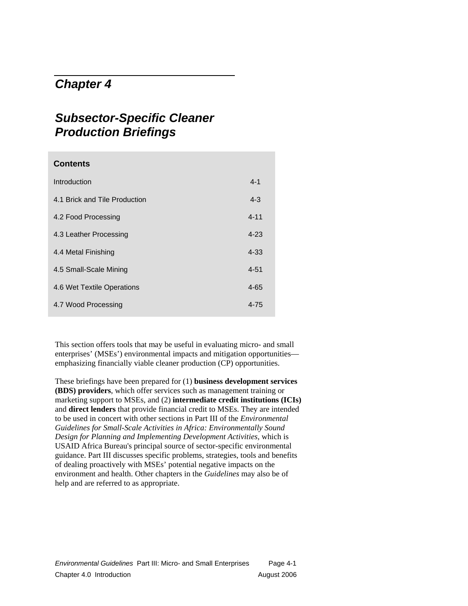# *Chapter 4*

# *Subsector-Specific Cleaner Production Briefings*

| <b>Contents</b>               |          |
|-------------------------------|----------|
| Introduction                  | $4 - 1$  |
| 4.1 Brick and Tile Production | $4 - 3$  |
| 4.2 Food Processing           | $4 - 11$ |
| 4.3 Leather Processing        | $4 - 23$ |
| 4.4 Metal Finishing           | $4 - 33$ |
| 4.5 Small-Scale Mining        | $4 - 51$ |
| 4.6 Wet Textile Operations    | $4 - 65$ |
| 4.7 Wood Processing           | $4 - 75$ |

This section offers tools that may be useful in evaluating micro- and small enterprises' (MSEs') environmental impacts and mitigation opportunities emphasizing financially viable cleaner production (CP) opportunities.

These briefings have been prepared for (1) **business development services (BDS) providers**, which offer services such as management training or marketing support to MSEs, and (2) **intermediate credit institutions (ICIs)** and **direct lenders** that provide financial credit to MSEs. They are intended to be used in concert with other sections in Part III of the *Environmental Guidelines for Small-Scale Activities in Africa: Environmentally Sound Design for Planning and Implementing Development Activities,* which is USAID Africa Bureau's principal source of sector-specific environmental guidance. Part III discusses specific problems, strategies, tools and benefits of dealing proactively with MSEs' potential negative impacts on the environment and health. Other chapters in the *Guidelines* may also be of help and are referred to as appropriate.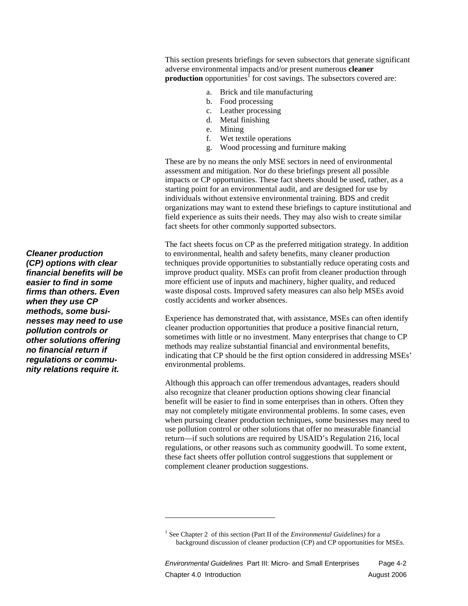This section presents briefings for seven subsectors that generate significant adverse environmental impacts and/or present numerous **cleaner production** opportunities<sup>1</sup> for cost savings. The subsectors covered are:

- a. Brick and tile manufacturing
- b. Food processing
- c. Leather processing
- d. Metal finishing
- e. Mining
- f. Wet textile operations
- g. Wood processing and furniture making

These are by no means the only MSE sectors in need of environmental assessment and mitigation. Nor do these briefings present all possible impacts or CP opportunities. These fact sheets should be used, rather, as a starting point for an environmental audit, and are designed for use by individuals without extensive environmental training. BDS and credit organizations may want to extend these briefings to capture institutional and field experience as suits their needs. They may also wish to create similar fact sheets for other commonly supported subsectors.

The fact sheets focus on CP as the preferred mitigation strategy. In addition to environmental, health and safety benefits, many cleaner production techniques provide opportunities to substantially reduce operating costs and improve product quality. MSEs can profit from cleaner production through more efficient use of inputs and machinery, higher quality, and reduced waste disposal costs. Improved safety measures can also help MSEs avoid costly accidents and worker absences.

Experience has demonstrated that, with assistance, MSEs can often identify cleaner production opportunities that produce a positive financial return, sometimes with little or no investment. Many enterprises that change to CP methods may realize substantial financial and environmental benefits, indicating that CP should be the first option considered in addressing MSEs' environmental problems.

Although this approach can offer tremendous advantages, readers should also recognize that cleaner production options showing clear financial benefit will be easier to find in some enterprises than in others. Often they may not completely mitigate environmental problems. In some cases, even when pursuing cleaner production techniques, some businesses may need to use pollution control or other solutions that offer no measurable financial return—if such solutions are required by USAID's Regulation 216, local regulations, or other reasons such as community goodwill. To some extent, these fact sheets offer pollution control suggestions that supplement or complement cleaner production suggestions.

-

*Cleaner production (CP) options with clear financial benefits will be easier to find in some firms than others. Even when they use CP methods, some businesses may need to use pollution controls or other solutions offering no financial return if regulations or community relations require it.* 

<sup>&</sup>lt;sup>1</sup> See Chapter 2 of this section (Part II of the *Environmental Guidelines*) for a background discussion of cleaner production (CP) and CP opportunities for MSEs.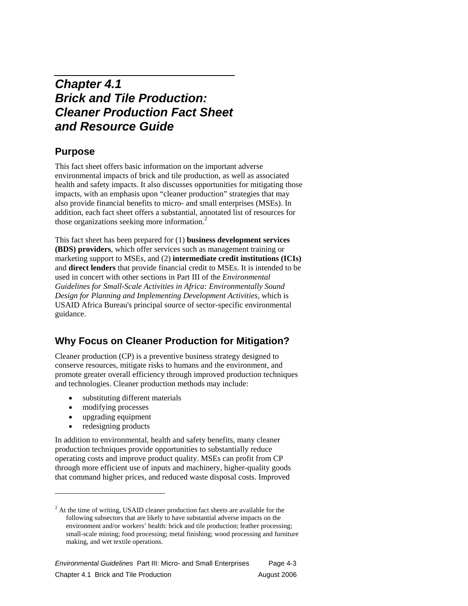# *Chapter 4.1 Brick and Tile Production: Cleaner Production Fact Sheet and Resource Guide*

## **Purpose**

This fact sheet offers basic information on the important adverse environmental impacts of brick and tile production, as well as associated health and safety impacts. It also discusses opportunities for mitigating those impacts, with an emphasis upon "cleaner production" strategies that may also provide financial benefits to micro- and small enterprises (MSEs). In addition, each fact sheet offers a substantial, annotated list of resources for those organizations seeking more information. $2$ 

This fact sheet has been prepared for (1) **business development services (BDS) providers**, which offer services such as management training or marketing support to MSEs, and (2) **intermediate credit institutions (ICIs)** and **direct lenders** that provide financial credit to MSEs. It is intended to be used in concert with other sections in Part III of the *Environmental Guidelines for Small-Scale Activities in Africa: Environmentally Sound Design for Planning and Implementing Development Activities,* which is USAID Africa Bureau's principal source of sector-specific environmental guidance.

# **Why Focus on Cleaner Production for Mitigation?**

Cleaner production (CP) is a preventive business strategy designed to conserve resources, mitigate risks to humans and the environment, and promote greater overall efficiency through improved production techniques and technologies. Cleaner production methods may include:

- substituting different materials
- modifying processes
- upgrading equipment
- redesigning products

-

In addition to environmental, health and safety benefits, many cleaner production techniques provide opportunities to substantially reduce operating costs and improve product quality. MSEs can profit from CP through more efficient use of inputs and machinery, higher-quality goods that command higher prices, and reduced waste disposal costs. Improved

 $2^2$  At the time of writing, USAID cleaner production fact sheets are available for the following subsectors that are likely to have substantial adverse impacts on the environment and/or workers' health: brick and tile production; leather processing; small-scale mining; food processing; metal finishing; wood processing and furniture making, and wet textile operations.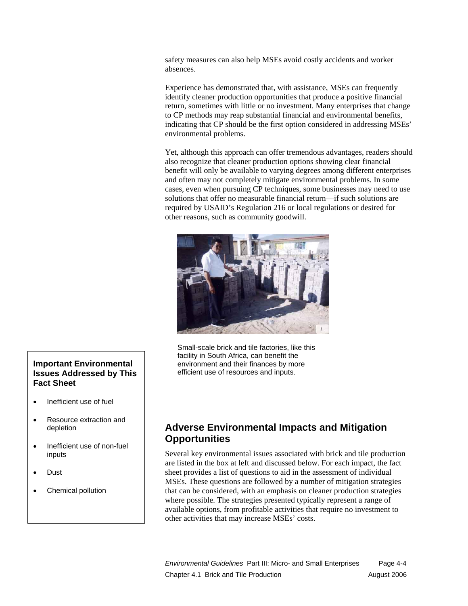safety measures can also help MSEs avoid costly accidents and worker absences.

Experience has demonstrated that, with assistance, MSEs can frequently identify cleaner production opportunities that produce a positive financial return, sometimes with little or no investment. Many enterprises that change to CP methods may reap substantial financial and environmental benefits, indicating that CP should be the first option considered in addressing MSEs' environmental problems.

Yet, although this approach can offer tremendous advantages, readers should also recognize that cleaner production options showing clear financial benefit will only be available to varying degrees among different enterprises and often may not completely mitigate environmental problems. In some cases, even when pursuing CP techniques, some businesses may need to use solutions that offer no measurable financial return—if such solutions are required by USAID's Regulation 216 or local regulations or desired for other reasons, such as community goodwill.



Small-scale brick and tile factories, like this facility in South Africa, can benefit the environment and their finances by more efficient use of resources and inputs.

## **Important Environmental Issues Addressed by This Fact Sheet**

- Inefficient use of fuel
- Resource extraction and depletion
- Inefficient use of non-fuel inputs
- Dust
- Chemical pollution

# **Adverse Environmental Impacts and Mitigation Opportunities**

Several key environmental issues associated with brick and tile production are listed in the box at left and discussed below. For each impact, the fact sheet provides a list of questions to aid in the assessment of individual MSEs. These questions are followed by a number of mitigation strategies that can be considered, with an emphasis on cleaner production strategies where possible. The strategies presented typically represent a range of available options, from profitable activities that require no investment to other activities that may increase MSEs' costs.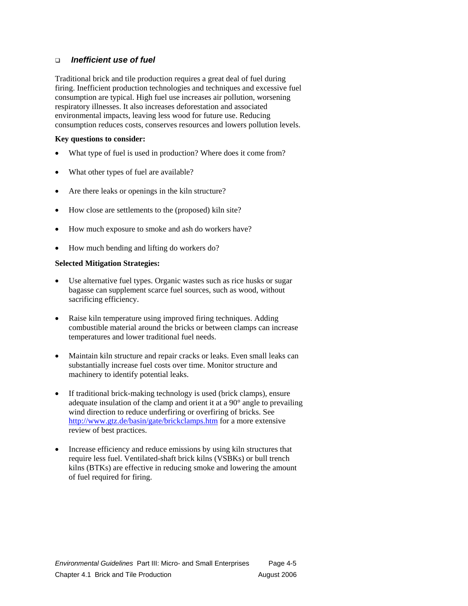#### *Inefficient use of fuel*

Traditional brick and tile production requires a great deal of fuel during firing. Inefficient production technologies and techniques and excessive fuel consumption are typical. High fuel use increases air pollution, worsening respiratory illnesses. It also increases deforestation and associated environmental impacts, leaving less wood for future use. Reducing consumption reduces costs, conserves resources and lowers pollution levels.

#### **Key questions to consider:**

- What type of fuel is used in production? Where does it come from?
- What other types of fuel are available?
- Are there leaks or openings in the kiln structure?
- How close are settlements to the (proposed) kiln site?
- How much exposure to smoke and ash do workers have?
- How much bending and lifting do workers do?

#### **Selected Mitigation Strategies:**

- Use alternative fuel types. Organic wastes such as rice husks or sugar bagasse can supplement scarce fuel sources, such as wood, without sacrificing efficiency.
- Raise kiln temperature using improved firing techniques. Adding combustible material around the bricks or between clamps can increase temperatures and lower traditional fuel needs.
- Maintain kiln structure and repair cracks or leaks. Even small leaks can substantially increase fuel costs over time. Monitor structure and machinery to identify potential leaks.
- If traditional brick-making technology is used (brick clamps), ensure adequate insulation of the clamp and orient it at a 90° angle to prevailing wind direction to reduce underfiring or overfiring of bricks. See http://www.gtz.de/basin/gate/brickclamps.htm for a more extensive review of best practices.
- Increase efficiency and reduce emissions by using kiln structures that require less fuel. Ventilated-shaft brick kilns (VSBKs) or bull trench kilns (BTKs) are effective in reducing smoke and lowering the amount of fuel required for firing.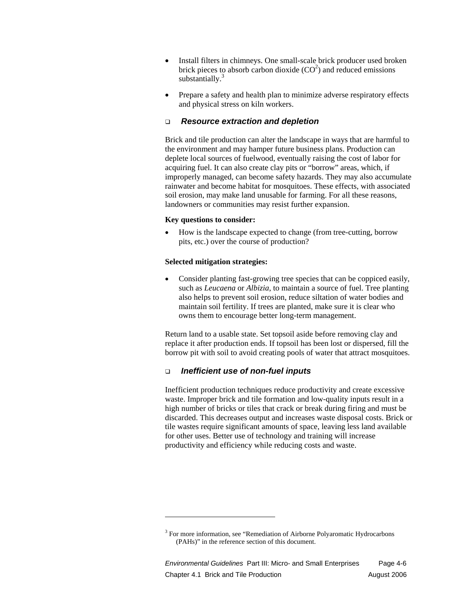- Install filters in chimneys. One small-scale brick producer used broken brick pieces to absorb carbon dioxide  $(CO<sup>2</sup>)$  and reduced emissions substantially.<sup>3</sup>
- Prepare a safety and health plan to minimize adverse respiratory effects and physical stress on kiln workers.

#### *Resource extraction and depletion*

Brick and tile production can alter the landscape in ways that are harmful to the environment and may hamper future business plans. Production can deplete local sources of fuelwood, eventually raising the cost of labor for acquiring fuel. It can also create clay pits or "borrow" areas, which, if improperly managed, can become safety hazards. They may also accumulate rainwater and become habitat for mosquitoes. These effects, with associated soil erosion, may make land unusable for farming. For all these reasons, landowners or communities may resist further expansion.

#### **Key questions to consider:**

• How is the landscape expected to change (from tree-cutting, borrow pits, etc.) over the course of production?

#### **Selected mitigation strategies:**

 $\overline{a}$ 

• Consider planting fast-growing tree species that can be coppiced easily, such as *Leucaena* or *Albizia*, to maintain a source of fuel. Tree planting also helps to prevent soil erosion, reduce siltation of water bodies and maintain soil fertility. If trees are planted, make sure it is clear who owns them to encourage better long-term management.

Return land to a usable state. Set topsoil aside before removing clay and replace it after production ends. If topsoil has been lost or dispersed, fill the borrow pit with soil to avoid creating pools of water that attract mosquitoes.

#### *Inefficient use of non-fuel inputs*

Inefficient production techniques reduce productivity and create excessive waste. Improper brick and tile formation and low-quality inputs result in a high number of bricks or tiles that crack or break during firing and must be discarded. This decreases output and increases waste disposal costs. Brick or tile wastes require significant amounts of space, leaving less land available for other uses. Better use of technology and training will increase productivity and efficiency while reducing costs and waste.

<sup>&</sup>lt;sup>3</sup> For more information, see "Remediation of Airborne Polyaromatic Hydrocarbons (PAHs)" in the reference section of this document.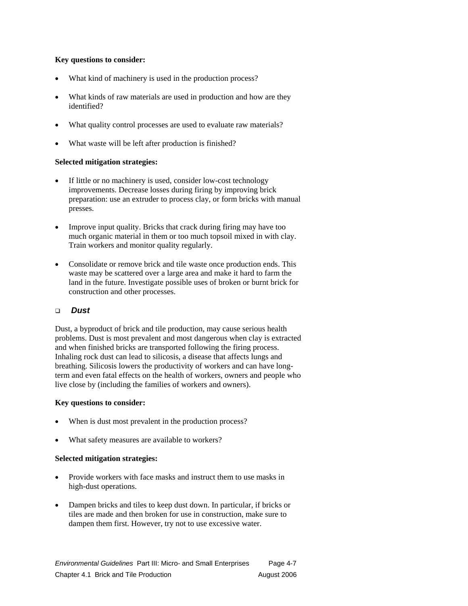#### **Key questions to consider:**

- What kind of machinery is used in the production process?
- What kinds of raw materials are used in production and how are they identified?
- What quality control processes are used to evaluate raw materials?
- What waste will be left after production is finished?

#### **Selected mitigation strategies:**

- If little or no machinery is used, consider low-cost technology improvements. Decrease losses during firing by improving brick preparation: use an extruder to process clay, or form bricks with manual presses.
- Improve input quality. Bricks that crack during firing may have too much organic material in them or too much topsoil mixed in with clay. Train workers and monitor quality regularly.
- Consolidate or remove brick and tile waste once production ends. This waste may be scattered over a large area and make it hard to farm the land in the future. Investigate possible uses of broken or burnt brick for construction and other processes.

### *Dust*

Dust, a byproduct of brick and tile production, may cause serious health problems. Dust is most prevalent and most dangerous when clay is extracted and when finished bricks are transported following the firing process. Inhaling rock dust can lead to silicosis, a disease that affects lungs and breathing. Silicosis lowers the productivity of workers and can have longterm and even fatal effects on the health of workers, owners and people who live close by (including the families of workers and owners).

#### **Key questions to consider:**

- When is dust most prevalent in the production process?
- What safety measures are available to workers?

#### **Selected mitigation strategies:**

- Provide workers with face masks and instruct them to use masks in high-dust operations.
- Dampen bricks and tiles to keep dust down. In particular, if bricks or tiles are made and then broken for use in construction, make sure to dampen them first. However, try not to use excessive water.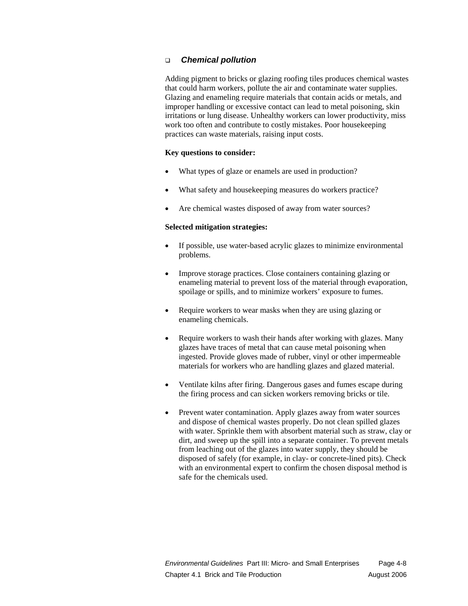#### *Chemical pollution*

Adding pigment to bricks or glazing roofing tiles produces chemical wastes that could harm workers, pollute the air and contaminate water supplies. Glazing and enameling require materials that contain acids or metals, and improper handling or excessive contact can lead to metal poisoning, skin irritations or lung disease. Unhealthy workers can lower productivity, miss work too often and contribute to costly mistakes. Poor housekeeping practices can waste materials, raising input costs.

#### **Key questions to consider:**

- What types of glaze or enamels are used in production?
- What safety and housekeeping measures do workers practice?
- Are chemical wastes disposed of away from water sources?

#### **Selected mitigation strategies:**

- If possible, use water-based acrylic glazes to minimize environmental problems.
- Improve storage practices. Close containers containing glazing or enameling material to prevent loss of the material through evaporation, spoilage or spills, and to minimize workers' exposure to fumes.
- Require workers to wear masks when they are using glazing or enameling chemicals.
- Require workers to wash their hands after working with glazes. Many glazes have traces of metal that can cause metal poisoning when ingested. Provide gloves made of rubber, vinyl or other impermeable materials for workers who are handling glazes and glazed material.
- Ventilate kilns after firing. Dangerous gases and fumes escape during the firing process and can sicken workers removing bricks or tile.
- Prevent water contamination. Apply glazes away from water sources and dispose of chemical wastes properly. Do not clean spilled glazes with water. Sprinkle them with absorbent material such as straw, clay or dirt, and sweep up the spill into a separate container. To prevent metals from leaching out of the glazes into water supply, they should be disposed of safely (for example, in clay- or concrete-lined pits). Check with an environmental expert to confirm the chosen disposal method is safe for the chemicals used.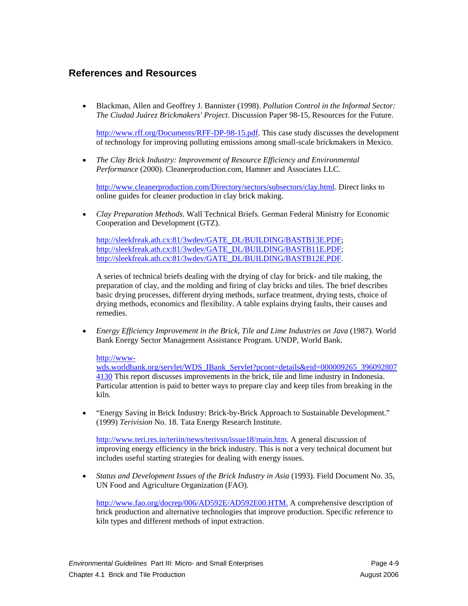## **References and Resources**

• Blackman, Allen and Geoffrey J. Bannister (1998). *Pollution Control in the Informal Sector: The Ciudad Juárez Brickmakers' Project*. Discussion Paper 98-15, Resources for the Future.

http://www.rff.org/Documents/RFF-DP-98-15.pdf. This case study discusses the development of technology for improving polluting emissions among small-scale brickmakers in Mexico.

• *The Clay Brick Industry: Improvement of Resource Efficiency and Environmental Performance* (2000). Cleanerproduction.com, Hamner and Associates LLC.

http://www.cleanerproduction.com/Directory/sectors/subsectors/clay.html. Direct links to online guides for cleaner production in clay brick making.

• *Clay Preparation Methods*. Wall Technical Briefs. German Federal Ministry for Economic Cooperation and Development (GTZ).

http://sleekfreak.ath.cx:81/3wdev/GATE\_DL/BUILDING/BASTB13E.PDF; http://sleekfreak.ath.cx:81/3wdev/GATE\_DL/BUILDING/BASTB11E.PDF; http://sleekfreak.ath.cx:81/3wdev/GATE\_DL/BUILDING/BASTB12E.PDF.

A series of technical briefs dealing with the drying of clay for brick- and tile making, the preparation of clay, and the molding and firing of clay bricks and tiles. The brief describes basic drying processes, different drying methods, surface treatment, drying tests, choice of drying methods, economics and flexibility. A table explains drying faults, their causes and remedies.

• *Energy Efficiency Improvement in the Brick, Tile and Lime Industries on Java (1987).* World Bank Energy Sector Management Assistance Program. UNDP, World Bank.

http://www-

wds.worldbank.org/servlet/WDS\_IBank\_Servlet?pcont=details&eid=000009265\_396092807 4130 This report discusses improvements in the brick, tile and lime industry in Indonesia. Particular attention is paid to better ways to prepare clay and keep tiles from breaking in the kiln.

• "Energy Saving in Brick Industry: Brick-by-Brick Approach to Sustainable Development." (1999) *Terivision* No. 18. Tata Energy Research Institute.

http://www.teri.res.in/teriin/news/terivsn/issue18/main.htm. A general discussion of improving energy efficiency in the brick industry. This is not a very technical document but includes useful starting strategies for dealing with energy issues.

• *Status and Development Issues of the Brick Industry in Asia* (1993). Field Document No. 35, UN Food and Agriculture Organization (FAO).

http://www.fao.org/docrep/006/AD592E/AD592E00.HTM. A comprehensive description of brick production and alternative technologies that improve production. Specific reference to kiln types and different methods of input extraction.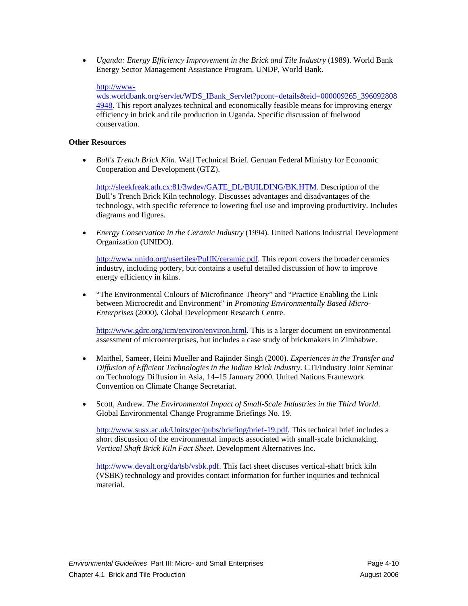• *Uganda: Energy Efficiency Improvement in the Brick and Tile Industry* (1989). World Bank Energy Sector Management Assistance Program. UNDP, World Bank.

#### http://www-

wds.worldbank.org/servlet/WDS\_IBank\_Servlet?pcont=details&eid=000009265\_396092808 4948. This report analyzes technical and economically feasible means for improving energy efficiency in brick and tile production in Uganda. Specific discussion of fuelwood conservation.

#### **Other Resources**

• *Bull's Trench Brick Kiln*. Wall Technical Brief. German Federal Ministry for Economic Cooperation and Development (GTZ).

http://sleekfreak.ath.cx:81/3wdev/GATE\_DL/BUILDING/BK.HTM. Description of the Bull's Trench Brick Kiln technology. Discusses advantages and disadvantages of the technology, with specific reference to lowering fuel use and improving productivity. Includes diagrams and figures.

• *Energy Conservation in the Ceramic Industry* (1994). United Nations Industrial Development Organization (UNIDO).

http://www.unido.org/userfiles/PuffK/ceramic.pdf. This report covers the broader ceramics industry, including pottery, but contains a useful detailed discussion of how to improve energy efficiency in kilns.

• "The Environmental Colours of Microfinance Theory" and "Practice Enabling the Link between Microcredit and Environment" in *Promoting Environmentally Based Micro-Enterprises* (2000)*.* Global Development Research Centre.

http://www.gdrc.org/icm/environ/environ.html. This is a larger document on environmental assessment of microenterprises, but includes a case study of brickmakers in Zimbabwe.

- Maithel, Sameer, Heini Mueller and Rajinder Singh (2000). *Experiences in the Transfer and Diffusion of Efficient Technologies in the Indian Brick Industry.* CTI/Industry Joint Seminar on Technology Diffusion in Asia, 14–15 January 2000. United Nations Framework Convention on Climate Change Secretariat.
- Scott, Andrew. *The Environmental Impact of Small-Scale Industries in the Third World*. Global Environmental Change Programme Briefings No. 19.

http://www.susx.ac.uk/Units/gec/pubs/briefing/brief-19.pdf. This technical brief includes a short discussion of the environmental impacts associated with small-scale brickmaking. *Vertical Shaft Brick Kiln Fact Sheet*. Development Alternatives Inc.

http://www.devalt.org/da/tsb/vsbk.pdf. This fact sheet discuses vertical-shaft brick kiln (VSBK) technology and provides contact information for further inquiries and technical material.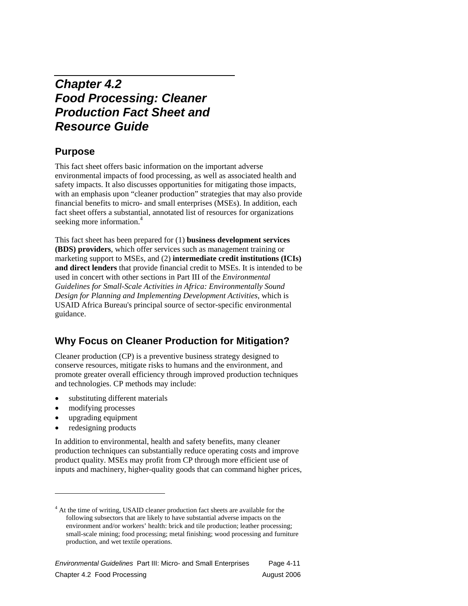# *Chapter 4.2 Food Processing: Cleaner Production Fact Sheet and Resource Guide*

## **Purpose**

This fact sheet offers basic information on the important adverse environmental impacts of food processing, as well as associated health and safety impacts. It also discusses opportunities for mitigating those impacts, with an emphasis upon "cleaner production" strategies that may also provide financial benefits to micro- and small enterprises (MSEs). In addition, each fact sheet offers a substantial, annotated list of resources for organizations seeking more information.<sup>4</sup>

This fact sheet has been prepared for (1) **business development services (BDS) providers**, which offer services such as management training or marketing support to MSEs, and (2) **intermediate credit institutions (ICIs) and direct lenders** that provide financial credit to MSEs. It is intended to be used in concert with other sections in Part III of the *Environmental Guidelines for Small-Scale Activities in Africa: Environmentally Sound Design for Planning and Implementing Development Activities,* which is USAID Africa Bureau's principal source of sector-specific environmental guidance.

# **Why Focus on Cleaner Production for Mitigation?**

Cleaner production (CP) is a preventive business strategy designed to conserve resources, mitigate risks to humans and the environment, and promote greater overall efficiency through improved production techniques and technologies. CP methods may include:

- substituting different materials
- modifying processes
- upgrading equipment
- redesigning products

 $\overline{a}$ 

In addition to environmental, health and safety benefits, many cleaner production techniques can substantially reduce operating costs and improve product quality. MSEs may profit from CP through more efficient use of inputs and machinery, higher-quality goods that can command higher prices,

<sup>&</sup>lt;sup>4</sup> At the time of writing, USAID cleaner production fact sheets are available for the following subsectors that are likely to have substantial adverse impacts on the environment and/or workers' health: brick and tile production; leather processing; small-scale mining; food processing; metal finishing; wood processing and furniture production, and wet textile operations.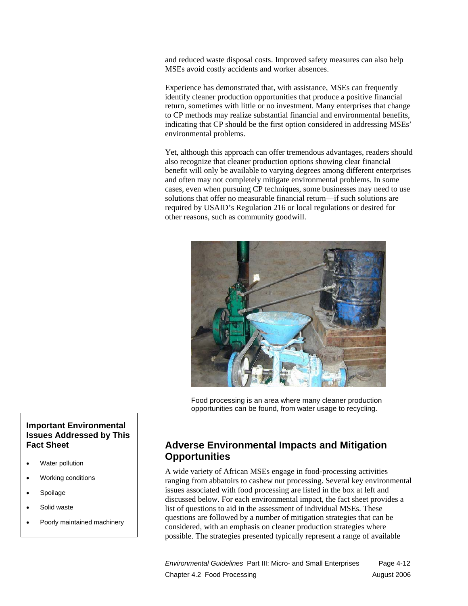and reduced waste disposal costs. Improved safety measures can also help MSEs avoid costly accidents and worker absences.

Experience has demonstrated that, with assistance, MSEs can frequently identify cleaner production opportunities that produce a positive financial return, sometimes with little or no investment. Many enterprises that change to CP methods may realize substantial financial and environmental benefits, indicating that CP should be the first option considered in addressing MSEs' environmental problems.

Yet, although this approach can offer tremendous advantages, readers should also recognize that cleaner production options showing clear financial benefit will only be available to varying degrees among different enterprises and often may not completely mitigate environmental problems. In some cases, even when pursuing CP techniques, some businesses may need to use solutions that offer no measurable financial return—if such solutions are required by USAID's Regulation 216 or local regulations or desired for other reasons, such as community goodwill.



Food processing is an area where many cleaner production opportunities can be found, from water usage to recycling.

# **Adverse Environmental Impacts and Mitigation Opportunities**

A wide variety of African MSEs engage in food-processing activities ranging from abbatoirs to cashew nut processing. Several key environmental issues associated with food processing are listed in the box at left and discussed below. For each environmental impact, the fact sheet provides a list of questions to aid in the assessment of individual MSEs. These questions are followed by a number of mitigation strategies that can be considered, with an emphasis on cleaner production strategies where possible. The strategies presented typically represent a range of available

*Environmental Guidelines* Part III: Micro- and Small Enterprises Page 4-12 Chapter 4.2 Food Processing Chapter 4.2 Food Processing

### **Important Environmental Issues Addressed by This Fact Sheet**

- Water pollution
- Working conditions
- **Spoilage**
- Solid waste
- Poorly maintained machinery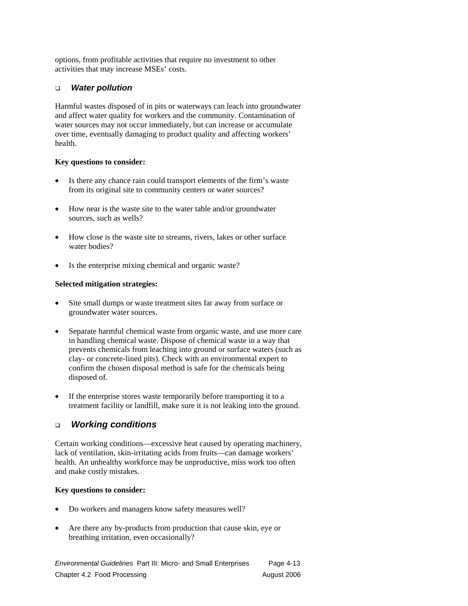options, from profitable activities that require no investment to other activities that may increase MSEs' costs.

### *Water pollution*

Harmful wastes disposed of in pits or waterways can leach into groundwater and affect water quality for workers and the community. Contamination of water sources may not occur immediately, but can increase or accumulate over time, eventually damaging to product quality and affecting workers' health.

#### **Key questions to consider:**

- Is there any chance rain could transport elements of the firm's waste from its original site to community centers or water sources?
- How near is the waste site to the water table and/or groundwater sources, such as wells?
- How close is the waste site to streams, rivers, lakes or other surface water bodies?
- Is the enterprise mixing chemical and organic waste?

### **Selected mitigation strategies:**

- Site small dumps or waste treatment sites far away from surface or groundwater water sources.
- Separate harmful chemical waste from organic waste, and use more care in handling chemical waste. Dispose of chemical waste in a way that prevents chemicals from leaching into ground or surface waters (such as clay- or concrete-lined pits). Check with an environmental expert to confirm the chosen disposal method is safe for the chemicals being disposed of.
- If the enterprise stores waste temporarily before transporting it to a treatment facility or landfill, make sure it is not leaking into the ground.

## *Working conditions*

Certain working conditions—excessive heat caused by operating machinery, lack of ventilation, skin-irritating acids from fruits—can damage workers' health. An unhealthy workforce may be unproductive, miss work too often and make costly mistakes.

#### **Key questions to consider:**

- Do workers and managers know safety measures well?
- Are there any by-products from production that cause skin, eye or breathing irritation, even occasionally?

*Environmental Guidelines* Part III: Micro- and Small Enterprises Page 4-13 Chapter 4.2 Food Processing Chapter 4.2 Food Processing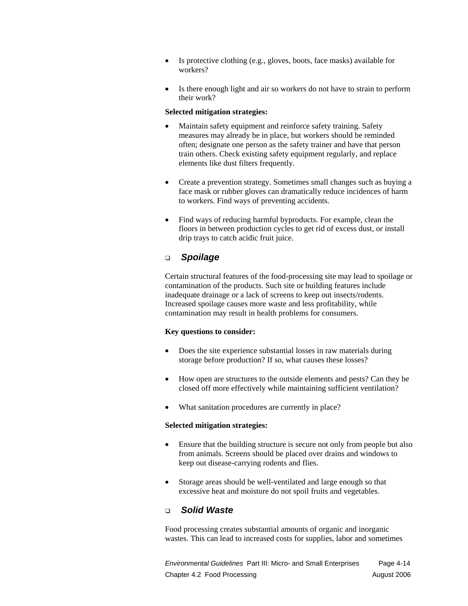- Is protective clothing (e.g., gloves, boots, face masks) available for workers?
- Is there enough light and air so workers do not have to strain to perform their work?

#### **Selected mitigation strategies:**

- Maintain safety equipment and reinforce safety training. Safety measures may already be in place, but workers should be reminded often; designate one person as the safety trainer and have that person train others. Check existing safety equipment regularly, and replace elements like dust filters frequently.
- Create a prevention strategy. Sometimes small changes such as buying a face mask or rubber gloves can dramatically reduce incidences of harm to workers. Find ways of preventing accidents.
- Find ways of reducing harmful byproducts. For example, clean the floors in between production cycles to get rid of excess dust, or install drip trays to catch acidic fruit juice.

#### *Spoilage*

Certain structural features of the food-processing site may lead to spoilage or contamination of the products. Such site or building features include inadequate drainage or a lack of screens to keep out insects/rodents. Increased spoilage causes more waste and less profitability, while contamination may result in health problems for consumers.

#### **Key questions to consider:**

- Does the site experience substantial losses in raw materials during storage before production? If so, what causes these losses?
- How open are structures to the outside elements and pests? Can they be closed off more effectively while maintaining sufficient ventilation?
- What sanitation procedures are currently in place?

#### **Selected mitigation strategies:**

- Ensure that the building structure is secure not only from people but also from animals. Screens should be placed over drains and windows to keep out disease-carrying rodents and flies.
- Storage areas should be well-ventilated and large enough so that excessive heat and moisture do not spoil fruits and vegetables.

#### *Solid Waste*

Food processing creates substantial amounts of organic and inorganic wastes. This can lead to increased costs for supplies, labor and sometimes

*Environmental Guidelines* Part III: Micro- and Small Enterprises Page 4-14 Chapter 4.2 Food Processing Chapter 2006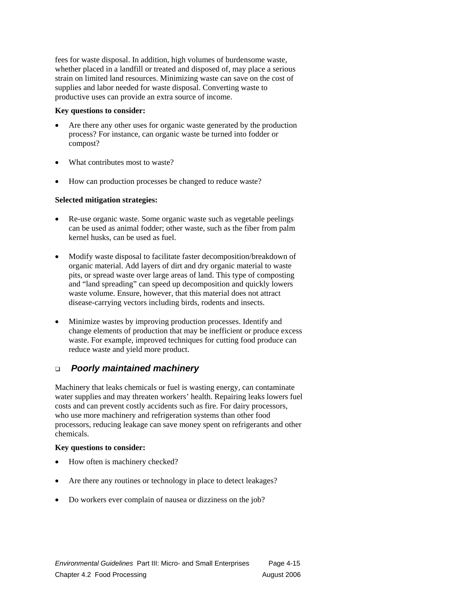fees for waste disposal. In addition, high volumes of burdensome waste, whether placed in a landfill or treated and disposed of, may place a serious strain on limited land resources. Minimizing waste can save on the cost of supplies and labor needed for waste disposal. Converting waste to productive uses can provide an extra source of income.

#### **Key questions to consider:**

- Are there any other uses for organic waste generated by the production process? For instance, can organic waste be turned into fodder or compost?
- What contributes most to waste?
- How can production processes be changed to reduce waste?

#### **Selected mitigation strategies:**

- Re-use organic waste. Some organic waste such as vegetable peelings can be used as animal fodder; other waste, such as the fiber from palm kernel husks, can be used as fuel.
- Modify waste disposal to facilitate faster decomposition/breakdown of organic material. Add layers of dirt and dry organic material to waste pits, or spread waste over large areas of land. This type of composting and "land spreading" can speed up decomposition and quickly lowers waste volume. Ensure, however, that this material does not attract disease-carrying vectors including birds, rodents and insects.
- Minimize wastes by improving production processes. Identify and change elements of production that may be inefficient or produce excess waste. For example, improved techniques for cutting food produce can reduce waste and yield more product.

## *Poorly maintained machinery*

Machinery that leaks chemicals or fuel is wasting energy, can contaminate water supplies and may threaten workers' health. Repairing leaks lowers fuel costs and can prevent costly accidents such as fire. For dairy processors, who use more machinery and refrigeration systems than other food processors, reducing leakage can save money spent on refrigerants and other chemicals.

#### **Key questions to consider:**

- How often is machinery checked?
- Are there any routines or technology in place to detect leakages?
- Do workers ever complain of nausea or dizziness on the job?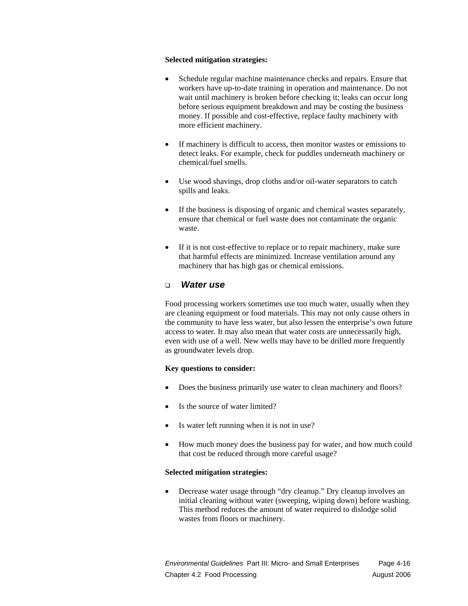#### **Selected mitigation strategies:**

- Schedule regular machine maintenance checks and repairs. Ensure that workers have up-to-date training in operation and maintenance. Do not wait until machinery is broken before checking it; leaks can occur long before serious equipment breakdown and may be costing the business money. If possible and cost-effective, replace faulty machinery with more efficient machinery.
- If machinery is difficult to access, then monitor wastes or emissions to detect leaks. For example, check for puddles underneath machinery or chemical/fuel smells.
- Use wood shavings, drop cloths and/or oil-water separators to catch spills and leaks.
- If the business is disposing of organic and chemical wastes separately, ensure that chemical or fuel waste does not contaminate the organic waste.
- If it is not cost-effective to replace or to repair machinery, make sure that harmful effects are minimized. Increase ventilation around any machinery that has high gas or chemical emissions.

#### *Water use*

Food processing workers sometimes use too much water, usually when they are cleaning equipment or food materials. This may not only cause others in the community to have less water, but also lessen the enterprise's own future access to water. It may also mean that water costs are unnecessarily high, even with use of a well. New wells may have to be drilled more frequently as groundwater levels drop.

#### **Key questions to consider:**

- Does the business primarily use water to clean machinery and floors?
- Is the source of water limited?
- Is water left running when it is not in use?
- How much money does the business pay for water, and how much could that cost be reduced through more careful usage?

#### **Selected mitigation strategies:**

• Decrease water usage through "dry cleanup." Dry cleanup involves an initial cleaning without water (sweeping, wiping down) before washing. This method reduces the amount of water required to dislodge solid wastes from floors or machinery.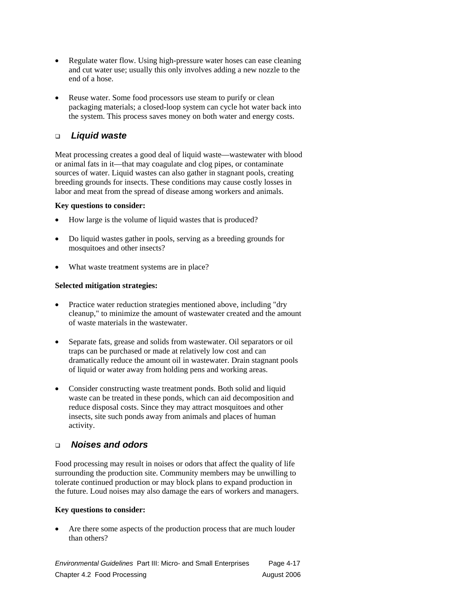- Regulate water flow. Using high-pressure water hoses can ease cleaning and cut water use; usually this only involves adding a new nozzle to the end of a hose.
- Reuse water. Some food processors use steam to purify or clean packaging materials; a closed-loop system can cycle hot water back into the system. This process saves money on both water and energy costs.

### *Liquid waste*

Meat processing creates a good deal of liquid waste—wastewater with blood or animal fats in it—that may coagulate and clog pipes, or contaminate sources of water. Liquid wastes can also gather in stagnant pools, creating breeding grounds for insects. These conditions may cause costly losses in labor and meat from the spread of disease among workers and animals.

#### **Key questions to consider:**

- How large is the volume of liquid wastes that is produced?
- Do liquid wastes gather in pools, serving as a breeding grounds for mosquitoes and other insects?
- What waste treatment systems are in place?

#### **Selected mitigation strategies:**

- Practice water reduction strategies mentioned above, including "dry cleanup," to minimize the amount of wastewater created and the amount of waste materials in the wastewater.
- Separate fats, grease and solids from wastewater. Oil separators or oil traps can be purchased or made at relatively low cost and can dramatically reduce the amount oil in wastewater. Drain stagnant pools of liquid or water away from holding pens and working areas.
- Consider constructing waste treatment ponds. Both solid and liquid waste can be treated in these ponds, which can aid decomposition and reduce disposal costs. Since they may attract mosquitoes and other insects, site such ponds away from animals and places of human activity.

### *Noises and odors*

Food processing may result in noises or odors that affect the quality of life surrounding the production site. Community members may be unwilling to tolerate continued production or may block plans to expand production in the future. Loud noises may also damage the ears of workers and managers.

#### **Key questions to consider:**

• Are there some aspects of the production process that are much louder than others?

*Environmental Guidelines* Part III: Micro- and Small Enterprises Page 4-17 Chapter 4.2 Food Processing **August 2006** 2006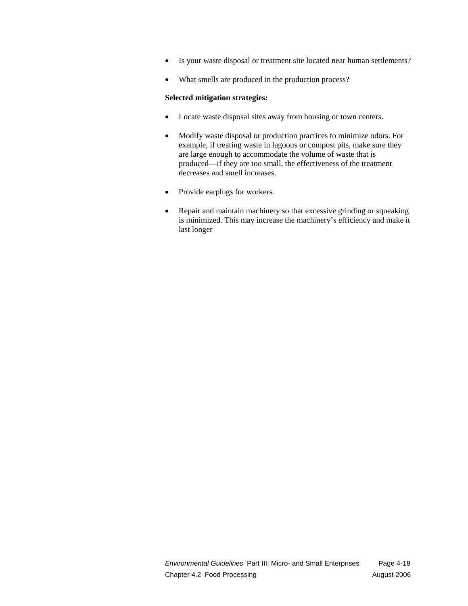- Is your waste disposal or treatment site located near human settlements?
- What smells are produced in the production process?

#### **Selected mitigation strategies:**

- Locate waste disposal sites away from housing or town centers.
- Modify waste disposal or production practices to minimize odors. For example, if treating waste in lagoons or compost pits, make sure they are large enough to accommodate the volume of waste that is produced—if they are too small, the effectiveness of the treatment decreases and smell increases.
- Provide earplugs for workers.
- Repair and maintain machinery so that excessive grinding or squeaking is minimized. This may increase the machinery's efficiency and make it last longer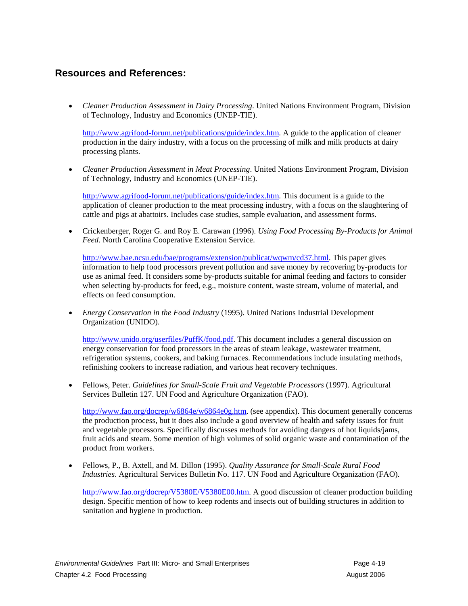## **Resources and References:**

• *Cleaner Production Assessment in Dairy Processing*. United Nations Environment Program, Division of Technology, Industry and Economics (UNEP-TIE).

http://www.agrifood-forum.net/publications/guide/index.htm. A guide to the application of cleaner production in the dairy industry, with a focus on the processing of milk and milk products at dairy processing plants.

• *Cleaner Production Assessment in Meat Processing*. United Nations Environment Program, Division of Technology, Industry and Economics (UNEP-TIE).

http://www.agrifood-forum.net/publications/guide/index.htm. This document is a guide to the application of cleaner production to the meat processing industry, with a focus on the slaughtering of cattle and pigs at abattoirs. Includes case studies, sample evaluation, and assessment forms.

• Crickenberger, Roger G. and Roy E. Carawan (1996). *Using Food Processing By-Products for Animal Feed*. North Carolina Cooperative Extension Service.

http://www.bae.ncsu.edu/bae/programs/extension/publicat/wqwm/cd37.html. This paper gives information to help food processors prevent pollution and save money by recovering by-products for use as animal feed. It considers some by-products suitable for animal feeding and factors to consider when selecting by-products for feed, e.g., moisture content, waste stream, volume of material, and effects on feed consumption.

• *Energy Conservation in the Food Industry* (1995). United Nations Industrial Development Organization (UNIDO).

http://www.unido.org/userfiles/PuffK/food.pdf. This document includes a general discussion on energy conservation for food processors in the areas of steam leakage, wastewater treatment, refrigeration systems, cookers, and baking furnaces. Recommendations include insulating methods, refinishing cookers to increase radiation, and various heat recovery techniques.

• Fellows, Peter. *Guidelines for Small-Scale Fruit and Vegetable Processors* (1997). Agricultural Services Bulletin 127. UN Food and Agriculture Organization (FAO).

http://www.fao.org/docrep/w6864e/w6864e0g.htm. (see appendix). This document generally concerns the production process, but it does also include a good overview of health and safety issues for fruit and vegetable processors. Specifically discusses methods for avoiding dangers of hot liquids/jams, fruit acids and steam. Some mention of high volumes of solid organic waste and contamination of the product from workers.

• Fellows, P., B. Axtell, and M. Dillon (1995). *Quality Assurance for Small-Scale Rural Food Industries*. Agricultural Services Bulletin No. 117. UN Food and Agriculture Organization (FAO).

http://www.fao.org/docrep/V5380E/V5380E00.htm. A good discussion of cleaner production building design. Specific mention of how to keep rodents and insects out of building structures in addition to sanitation and hygiene in production.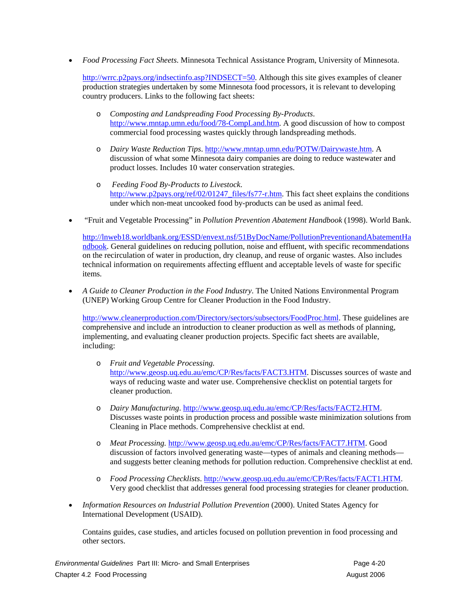• *Food Processing Fact Sheets*. Minnesota Technical Assistance Program, University of Minnesota.

http://wrrc.p2pays.org/indsectinfo.asp?INDSECT=50. Although this site gives examples of cleaner production strategies undertaken by some Minnesota food processors, it is relevant to developing country producers. Links to the following fact sheets:

- o *Composting and Landspreading Food Processing By-Products*. http://www.mntap.umn.edu/food/78-CompLand.htm. A good discussion of how to compost commercial food processing wastes quickly through landspreading methods.
- o *Dairy Waste Reduction Tips*. http://www.mntap.umn.edu/POTW/Dairywaste.htm. A discussion of what some Minnesota dairy companies are doing to reduce wastewater and product losses. Includes 10 water conservation strategies.
- o *Feeding Food By-Products to Livestock*. http://www.p2pays.org/ref/02/01247\_files/fs77-r.htm. This fact sheet explains the conditions under which non-meat uncooked food by-products can be used as animal feed.
- "Fruit and Vegetable Processing" in *Pollution Prevention Abatement Handbook* (1998). World Bank.

http://lnweb18.worldbank.org/ESSD/envext.nsf/51ByDocName/PollutionPreventionandAbatementHa ndbook. General guidelines on reducing pollution, noise and effluent, with specific recommendations on the recirculation of water in production, dry cleanup, and reuse of organic wastes. Also includes technical information on requirements affecting effluent and acceptable levels of waste for specific items.

• *A Guide to Cleaner Production in the Food Industry*. The United Nations Environmental Program (UNEP) Working Group Centre for Cleaner Production in the Food Industry.

http://www.cleanerproduction.com/Directory/sectors/subsectors/FoodProc.html. These guidelines are comprehensive and include an introduction to cleaner production as well as methods of planning, implementing, and evaluating cleaner production projects. Specific fact sheets are available, including:

- o *Fruit and Vegetable Processing.* http://www.geosp.uq.edu.au/emc/CP/Res/facts/FACT3.HTM. Discusses sources of waste and ways of reducing waste and water use. Comprehensive checklist on potential targets for cleaner production.
- o *Dairy Manufacturing*. http://www.geosp.uq.edu.au/emc/CP/Res/facts/FACT2.HTM. Discusses waste points in production process and possible waste minimization solutions from Cleaning in Place methods. Comprehensive checklist at end.
- o *Meat Processing.* http://www.geosp.uq.edu.au/emc/CP/Res/facts/FACT7.HTM. Good discussion of factors involved generating waste—types of animals and cleaning methods and suggests better cleaning methods for pollution reduction. Comprehensive checklist at end.
- o *Food Processing Checklists*. http://www.geosp.uq.edu.au/emc/CP/Res/facts/FACT1.HTM. Very good checklist that addresses general food processing strategies for cleaner production.
- *Information Resources on Industrial Pollution Prevention* (2000). United States Agency for International Development (USAID).

Contains guides, case studies, and articles focused on pollution prevention in food processing and other sectors.

*Environmental Guidelines Part III: Micro- and Small Enterprises* enterprises Page 4-20 Chapter 4.2 Food Processing **August 2006** Chapter 4.2 Food Processing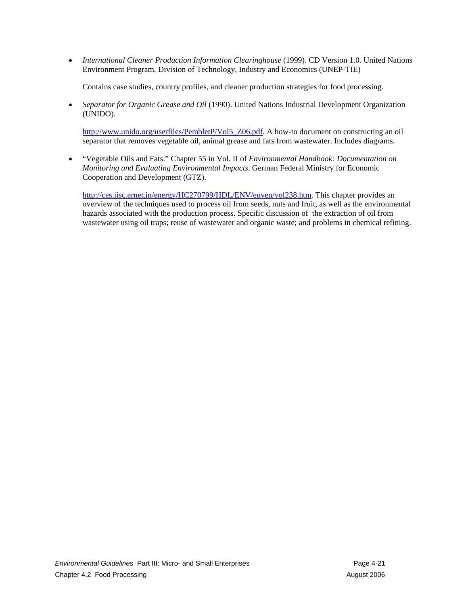• *International Cleaner Production Information Clearinghouse* (1999). CD Version 1.0. United Nations Environment Program, Division of Technology, Industry and Economics (UNEP-TIE)

Contains case studies, country profiles, and cleaner production strategies for food processing.

• *Separator for Organic Grease and Oil* (1990). United Nations Industrial Development Organization (UNIDO).

http://www.unido.org/userfiles/PembletP/Vol5\_Z06.pdf. A how-to document on constructing an oil separator that removes vegetable oil, animal grease and fats from wastewater. Includes diagrams.

• "Vegetable Oils and Fats." Chapter 55 in Vol. II of *Environmental Handbook: Documentation on Monitoring and Evaluating Environmental Impacts*. German Federal Ministry for Economic Cooperation and Development (GTZ).

http://ces.iisc.ernet.in/energy/HC270799/HDL/ENV/enven/vol238.htm. This chapter provides an overview of the techniques used to process oil from seeds, nuts and fruit, as well as the environmental hazards associated with the production process. Specific discussion of the extraction of oil from wastewater using oil traps; reuse of wastewater and organic waste; and problems in chemical refining.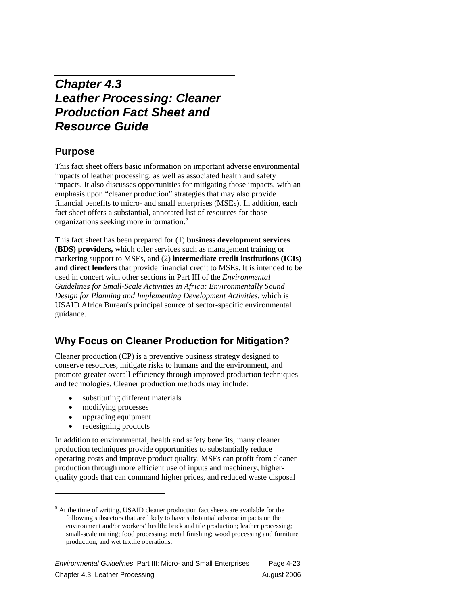# *Chapter 4.3 Leather Processing: Cleaner Production Fact Sheet and Resource Guide*

## **Purpose**

This fact sheet offers basic information on important adverse environmental impacts of leather processing, as well as associated health and safety impacts. It also discusses opportunities for mitigating those impacts, with an emphasis upon "cleaner production" strategies that may also provide financial benefits to micro- and small enterprises (MSEs). In addition, each fact sheet offers a substantial, annotated list of resources for those organizations seeking more information.5

This fact sheet has been prepared for (1) **business development services (BDS) providers,** which offer services such as management training or marketing support to MSEs, and (2) **intermediate credit institutions (ICIs) and direct lenders** that provide financial credit to MSEs. It is intended to be used in concert with other sections in Part III of the *Environmental Guidelines for Small-Scale Activities in Africa: Environmentally Sound Design for Planning and Implementing Development Activities,* which is USAID Africa Bureau's principal source of sector-specific environmental guidance.

# **Why Focus on Cleaner Production for Mitigation?**

Cleaner production (CP) is a preventive business strategy designed to conserve resources, mitigate risks to humans and the environment, and promote greater overall efficiency through improved production techniques and technologies. Cleaner production methods may include:

- substituting different materials
- modifying processes
- upgrading equipment
- redesigning products

-

In addition to environmental, health and safety benefits, many cleaner production techniques provide opportunities to substantially reduce operating costs and improve product quality. MSEs can profit from cleaner production through more efficient use of inputs and machinery, higherquality goods that can command higher prices, and reduced waste disposal

<sup>&</sup>lt;sup>5</sup> At the time of writing, USAID cleaner production fact sheets are available for the following subsectors that are likely to have substantial adverse impacts on the environment and/or workers' health: brick and tile production; leather processing; small-scale mining; food processing; metal finishing; wood processing and furniture production, and wet textile operations.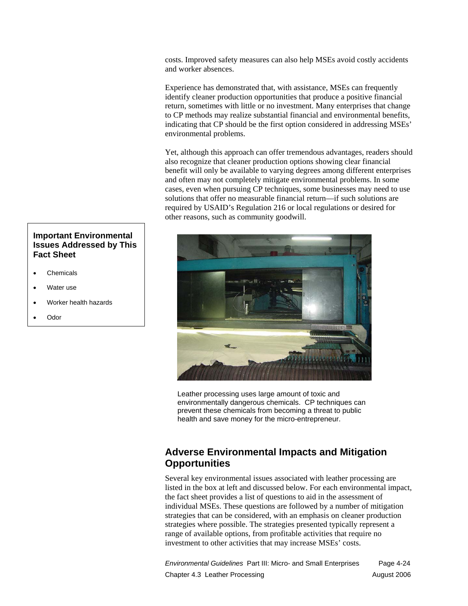costs. Improved safety measures can also help MSEs avoid costly accidents and worker absences.

Experience has demonstrated that, with assistance, MSEs can frequently identify cleaner production opportunities that produce a positive financial return, sometimes with little or no investment. Many enterprises that change to CP methods may realize substantial financial and environmental benefits, indicating that CP should be the first option considered in addressing MSEs' environmental problems.

Yet, although this approach can offer tremendous advantages, readers should also recognize that cleaner production options showing clear financial benefit will only be available to varying degrees among different enterprises and often may not completely mitigate environmental problems. In some cases, even when pursuing CP techniques, some businesses may need to use solutions that offer no measurable financial return—if such solutions are required by USAID's Regulation 216 or local regulations or desired for other reasons, such as community goodwill.



Leather processing uses large amount of toxic and environmentally dangerous chemicals. CP techniques can prevent these chemicals from becoming a threat to public health and save money for the micro-entrepreneur.

## **Adverse Environmental Impacts and Mitigation Opportunities**

Several key environmental issues associated with leather processing are listed in the box at left and discussed below. For each environmental impact, the fact sheet provides a list of questions to aid in the assessment of individual MSEs. These questions are followed by a number of mitigation strategies that can be considered, with an emphasis on cleaner production strategies where possible. The strategies presented typically represent a range of available options, from profitable activities that require no investment to other activities that may increase MSEs' costs.

*Environmental Guidelines* Part III: Micro- and Small Enterprises Page 4-24 Chapter 4.3 Leather Processing Chapter 2006

## **Important Environmental Issues Addressed by This Fact Sheet**

- **Chemicals**
- Water use
- Worker health hazards
- Odor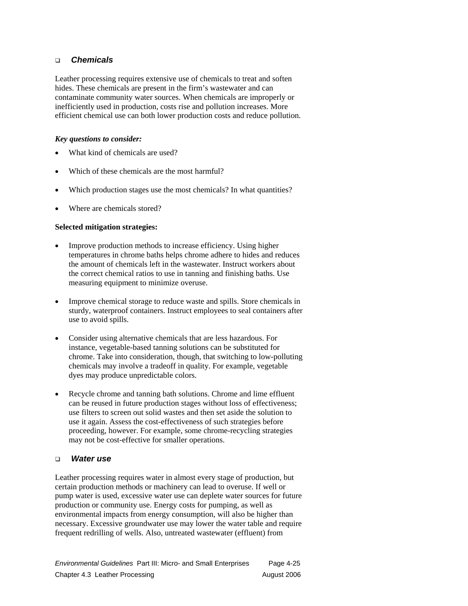#### *Chemicals*

Leather processing requires extensive use of chemicals to treat and soften hides. These chemicals are present in the firm's wastewater and can contaminate community water sources. When chemicals are improperly or inefficiently used in production, costs rise and pollution increases. More efficient chemical use can both lower production costs and reduce pollution.

#### *Key questions to consider:*

- What kind of chemicals are used?
- Which of these chemicals are the most harmful?
- Which production stages use the most chemicals? In what quantities?
- Where are chemicals stored?

#### **Selected mitigation strategies:**

- Improve production methods to increase efficiency. Using higher temperatures in chrome baths helps chrome adhere to hides and reduces the amount of chemicals left in the wastewater. Instruct workers about the correct chemical ratios to use in tanning and finishing baths. Use measuring equipment to minimize overuse.
- Improve chemical storage to reduce waste and spills. Store chemicals in sturdy, waterproof containers. Instruct employees to seal containers after use to avoid spills.
- Consider using alternative chemicals that are less hazardous. For instance, vegetable-based tanning solutions can be substituted for chrome. Take into consideration, though, that switching to low-polluting chemicals may involve a tradeoff in quality. For example, vegetable dyes may produce unpredictable colors.
- Recycle chrome and tanning bath solutions. Chrome and lime effluent can be reused in future production stages without loss of effectiveness; use filters to screen out solid wastes and then set aside the solution to use it again. Assess the cost-effectiveness of such strategies before proceeding, however. For example, some chrome-recycling strategies may not be cost-effective for smaller operations.

#### *Water use*

Leather processing requires water in almost every stage of production, but certain production methods or machinery can lead to overuse. If well or pump water is used, excessive water use can deplete water sources for future production or community use. Energy costs for pumping, as well as environmental impacts from energy consumption, will also be higher than necessary. Excessive groundwater use may lower the water table and require frequent redrilling of wells. Also, untreated wastewater (effluent) from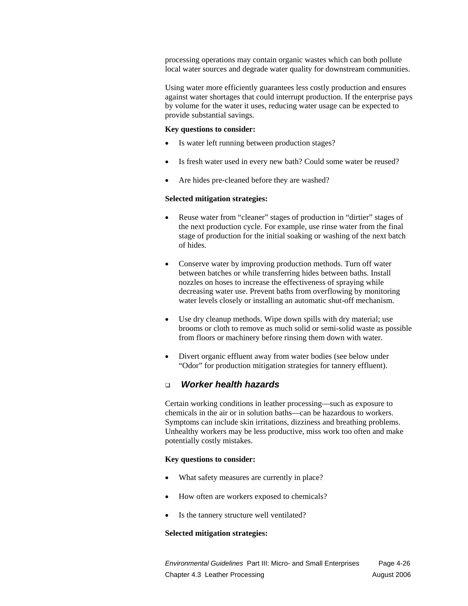processing operations may contain organic wastes which can both pollute local water sources and degrade water quality for downstream communities.

Using water more efficiently guarantees less costly production and ensures against water shortages that could interrupt production. If the enterprise pays by volume for the water it uses, reducing water usage can be expected to provide substantial savings.

#### **Key questions to consider:**

- Is water left running between production stages?
- Is fresh water used in every new bath? Could some water be reused?
- Are hides pre-cleaned before they are washed?

#### **Selected mitigation strategies:**

- Reuse water from "cleaner" stages of production in "dirtier" stages of the next production cycle. For example, use rinse water from the final stage of production for the initial soaking or washing of the next batch of hides.
- Conserve water by improving production methods. Turn off water between batches or while transferring hides between baths. Install nozzles on hoses to increase the effectiveness of spraying while decreasing water use. Prevent baths from overflowing by monitoring water levels closely or installing an automatic shut-off mechanism.
- Use dry cleanup methods. Wipe down spills with dry material; use brooms or cloth to remove as much solid or semi-solid waste as possible from floors or machinery before rinsing them down with water.
- Divert organic effluent away from water bodies (see below under "Odor" for production mitigation strategies for tannery effluent).

#### *Worker health hazards*

Certain working conditions in leather processing—such as exposure to chemicals in the air or in solution baths—can be hazardous to workers. Symptoms can include skin irritations, dizziness and breathing problems. Unhealthy workers may be less productive, miss work too often and make potentially costly mistakes.

#### **Key questions to consider:**

- What safety measures are currently in place?
- How often are workers exposed to chemicals?
- Is the tannery structure well ventilated?

#### **Selected mitigation strategies:**

*Environmental Guidelines* Part III: Micro- and Small Enterprises Page 4-26 Chapter 4.3 Leather Processing Chapter 2006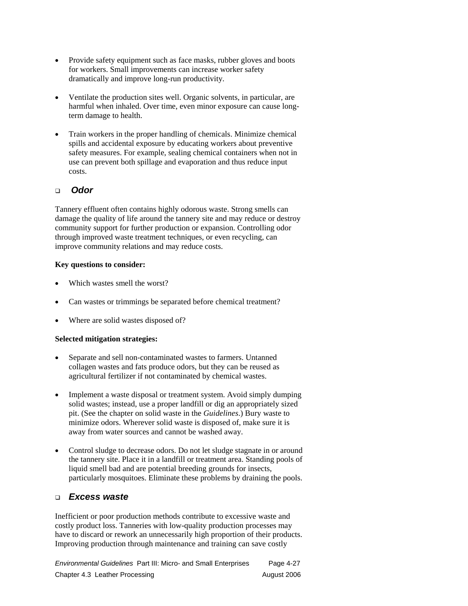- Provide safety equipment such as face masks, rubber gloves and boots for workers. Small improvements can increase worker safety dramatically and improve long-run productivity.
- Ventilate the production sites well. Organic solvents, in particular, are harmful when inhaled. Over time, even minor exposure can cause longterm damage to health.
- Train workers in the proper handling of chemicals. Minimize chemical spills and accidental exposure by educating workers about preventive safety measures. For example, sealing chemical containers when not in use can prevent both spillage and evaporation and thus reduce input costs.

## *Odor*

Tannery effluent often contains highly odorous waste. Strong smells can damage the quality of life around the tannery site and may reduce or destroy community support for further production or expansion. Controlling odor through improved waste treatment techniques, or even recycling, can improve community relations and may reduce costs.

#### **Key questions to consider:**

- Which wastes smell the worst?
- Can wastes or trimmings be separated before chemical treatment?
- Where are solid wastes disposed of?

#### **Selected mitigation strategies:**

- Separate and sell non-contaminated wastes to farmers. Untanned collagen wastes and fats produce odors, but they can be reused as agricultural fertilizer if not contaminated by chemical wastes.
- Implement a waste disposal or treatment system. Avoid simply dumping solid wastes; instead, use a proper landfill or dig an appropriately sized pit. (See the chapter on solid waste in the *Guidelines*.) Bury waste to minimize odors. Wherever solid waste is disposed of, make sure it is away from water sources and cannot be washed away.
- Control sludge to decrease odors. Do not let sludge stagnate in or around the tannery site. Place it in a landfill or treatment area. Standing pools of liquid smell bad and are potential breeding grounds for insects, particularly mosquitoes. Eliminate these problems by draining the pools.

## *Excess waste*

Inefficient or poor production methods contribute to excessive waste and costly product loss. Tanneries with low-quality production processes may have to discard or rework an unnecessarily high proportion of their products. Improving production through maintenance and training can save costly

*Environmental Guidelines* Part III: Micro- and Small Enterprises Page 4-27 Chapter 4.3 Leather Processing Chapter 4.3 Leather Processing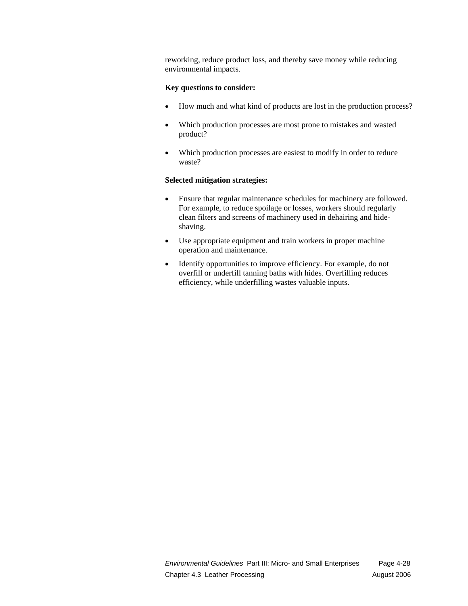reworking, reduce product loss, and thereby save money while reducing environmental impacts.

#### **Key questions to consider:**

- How much and what kind of products are lost in the production process?
- Which production processes are most prone to mistakes and wasted product?
- Which production processes are easiest to modify in order to reduce waste?

#### **Selected mitigation strategies:**

- Ensure that regular maintenance schedules for machinery are followed. For example, to reduce spoilage or losses, workers should regularly clean filters and screens of machinery used in dehairing and hideshaving.
- Use appropriate equipment and train workers in proper machine operation and maintenance.
- Identify opportunities to improve efficiency. For example, do not overfill or underfill tanning baths with hides. Overfilling reduces efficiency, while underfilling wastes valuable inputs.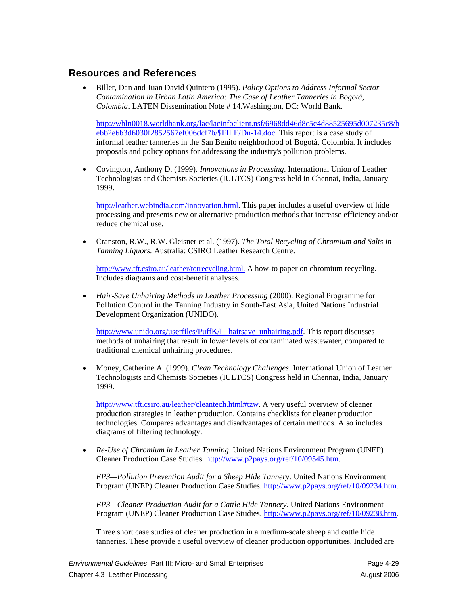## **Resources and References**

• Biller, Dan and Juan David Quintero (1995). *Policy Options to Address Informal Sector Contamination in Urban Latin America: The Case of Leather Tanneries in Bogotá, Colombia*. LATEN Dissemination Note # 14.Washington, DC: World Bank.

http://wbln0018.worldbank.org/lac/lacinfoclient.nsf/6968dd46d8c5c4d88525695d007235c8/b ebb2e6b3d6030f2852567ef006dcf7b/\$FILE/Dn-14.doc. This report is a case study of informal leather tanneries in the San Benito neighborhood of Bogotá, Colombia. It includes proposals and policy options for addressing the industry's pollution problems.

• Covington, Anthony D. (1999). *Innovations in Processing*. International Union of Leather Technologists and Chemists Societies (IULTCS) Congress held in Chennai, India, January 1999.

http://leather.webindia.com/innovation.html. This paper includes a useful overview of hide processing and presents new or alternative production methods that increase efficiency and/or reduce chemical use.

• Cranston, R.W., R.W. Gleisner et al. (1997). *The Total Recycling of Chromium and Salts in Tanning Liquors.* Australia: CSIRO Leather Research Centre.

http://www.tft.csiro.au/leather/totrecycling.html. A how-to paper on chromium recycling. Includes diagrams and cost-benefit analyses.

• *Hair-Save Unhairing Methods in Leather Processing* (2000). Regional Programme for Pollution Control in the Tanning Industry in South-East Asia, United Nations Industrial Development Organization (UNIDO).

http://www.unido.org/userfiles/PuffK/L\_hairsave\_unhairing.pdf. This report discusses methods of unhairing that result in lower levels of contaminated wastewater, compared to traditional chemical unhairing procedures.

• Money, Catherine A. (1999). *Clean Technology Challenges*. International Union of Leather Technologists and Chemists Societies (IULTCS) Congress held in Chennai, India, January 1999.

http://www.tft.csiro.au/leather/cleantech.html#tzw. A very useful overview of cleaner production strategies in leather production. Contains checklists for cleaner production technologies. Compares advantages and disadvantages of certain methods. Also includes diagrams of filtering technology.

• *Re-Use of Chromium in Leather Tanning*. United Nations Environment Program (UNEP) Cleaner Production Case Studies. http://www.p2pays.org/ref/10/09545.htm.

*EP3—Pollution Prevention Audit for a Sheep Hide Tannery*. United Nations Environment Program (UNEP) Cleaner Production Case Studies. http://www.p2pays.org/ref/10/09234.htm.

*EP3—Cleaner Production Audit for a Cattle Hide Tannery*. United Nations Environment Program (UNEP) Cleaner Production Case Studies. http://www.p2pays.org/ref/10/09238.htm.

Three short case studies of cleaner production in a medium-scale sheep and cattle hide tanneries. These provide a useful overview of cleaner production opportunities. Included are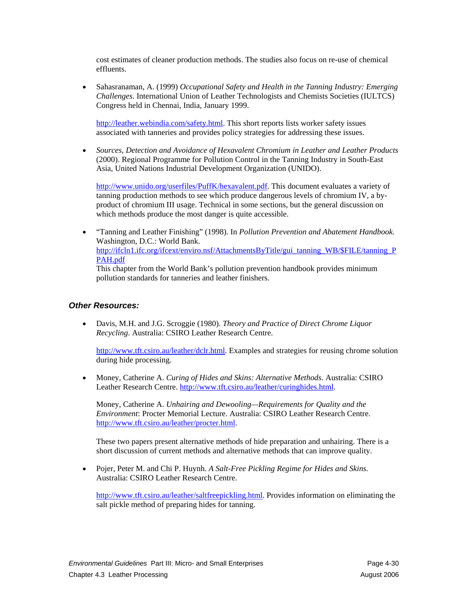cost estimates of cleaner production methods. The studies also focus on re-use of chemical effluents.

• Sahasranaman, A. (1999) *Occupational Safety and Health in the Tanning Industry: Emerging Challenges*. International Union of Leather Technologists and Chemists Societies (IULTCS) Congress held in Chennai, India, January 1999.

http://leather.webindia.com/safety.html. This short reports lists worker safety issues associated with tanneries and provides policy strategies for addressing these issues.

• *Sources, Detection and Avoidance of Hexavalent Chromium in Leather and Leather Products*  (2000). Regional Programme for Pollution Control in the Tanning Industry in South-East Asia, United Nations Industrial Development Organization (UNIDO).

http://www.unido.org/userfiles/PuffK/hexavalent.pdf. This document evaluates a variety of tanning production methods to see which produce dangerous levels of chromium IV, a byproduct of chromium III usage. Technical in some sections, but the general discussion on which methods produce the most danger is quite accessible.

• "Tanning and Leather Finishing" (1998). In *Pollution Prevention and Abatement Handbook.*  Washington, D.C.: World Bank. http://ifcln1.ifc.org/ifcext/enviro.nsf/AttachmentsByTitle/gui\_tanning\_WB/\$FILE/tanning\_P PAH.pdf This chapter from the World Bank's pollution prevention handbook provides minimum pollution standards for tanneries and leather finishers.

### *Other Resources:*

• Davis, M.H. and J.G. Scroggie (1980). *Theory and Practice of Direct Chrome Liquor Recycling*. Australia: CSIRO Leather Research Centre.

http://www.tft.csiro.au/leather/dclr.html. Examples and strategies for reusing chrome solution during hide processing.

• Money, Catherine A. *Curing of Hides and Skins: Alternative Methods*. Australia: CSIRO Leather Research Centre. http://www.tft.csiro.au/leather/curinghides.html.

Money, Catherine A. *Unhairing and Dewooling—Requirements for Quality and the Environment*: Procter Memorial Lecture. Australia: CSIRO Leather Research Centre. http://www.tft.csiro.au/leather/procter.html.

These two papers present alternative methods of hide preparation and unhairing. There is a short discussion of current methods and alternative methods that can improve quality.

• Pojer, Peter M. and Chi P. Huynh. *A Salt-Free Pickling Regime for Hides and Skins.* Australia: CSIRO Leather Research Centre.

http://www.tft.csiro.au/leather/saltfreepickling.html. Provides information on eliminating the salt pickle method of preparing hides for tanning.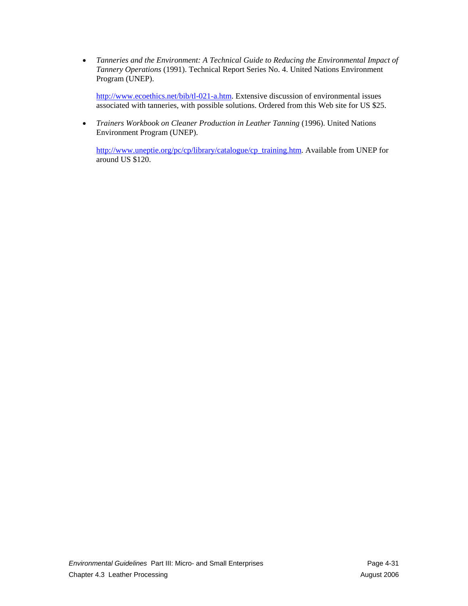• *Tanneries and the Environment: A Technical Guide to Reducing the Environmental Impact of Tannery Operations* (1991). Technical Report Series No. 4. United Nations Environment Program (UNEP).

http://www.ecoethics.net/bib/tl-021-a.htm. Extensive discussion of environmental issues associated with tanneries, with possible solutions. Ordered from this Web site for US \$25.

• *Trainers Workbook on Cleaner Production in Leather Tanning* (1996). United Nations Environment Program (UNEP).

http://www.uneptie.org/pc/cp/library/catalogue/cp\_training.htm. Available from UNEP for around US \$120.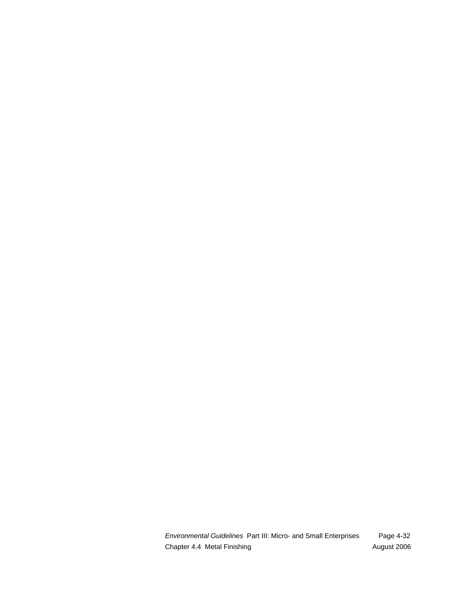*Environmental Guidelines* Part III: Micro- and Small Enterprises Page 4-32 Chapter 4.4 Metal Finishing **August 2006** August 2006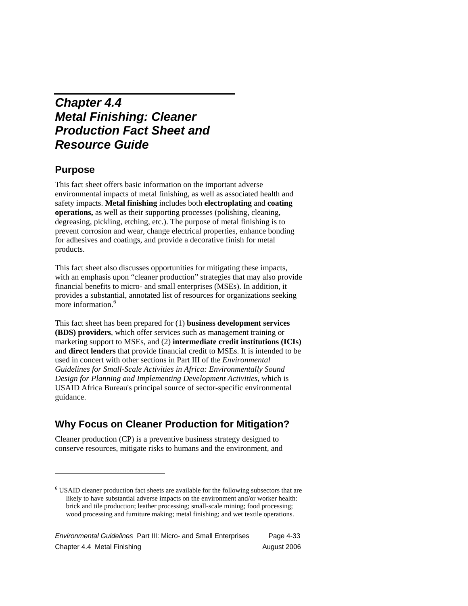*Chapter 4.4 Metal Finishing: Cleaner Production Fact Sheet and Resource Guide* 

## **Purpose**

 $\overline{a}$ 

This fact sheet offers basic information on the important adverse environmental impacts of metal finishing, as well as associated health and safety impacts. **Metal finishing** includes both **electroplating** and **coating operations,** as well as their supporting processes (polishing, cleaning, degreasing, pickling, etching, etc.). The purpose of metal finishing is to prevent corrosion and wear, change electrical properties, enhance bonding for adhesives and coatings, and provide a decorative finish for metal products.

This fact sheet also discusses opportunities for mitigating these impacts, with an emphasis upon "cleaner production" strategies that may also provide financial benefits to micro- and small enterprises (MSEs). In addition, it provides a substantial, annotated list of resources for organizations seeking more information.<sup>6</sup>

This fact sheet has been prepared for (1) **business development services (BDS) providers**, which offer services such as management training or marketing support to MSEs, and (2) **intermediate credit institutions (ICIs)** and **direct lenders** that provide financial credit to MSEs. It is intended to be used in concert with other sections in Part III of the *Environmental Guidelines for Small-Scale Activities in Africa: Environmentally Sound Design for Planning and Implementing Development Activities,* which is USAID Africa Bureau's principal source of sector-specific environmental guidance.

# **Why Focus on Cleaner Production for Mitigation?**

Cleaner production (CP) is a preventive business strategy designed to conserve resources, mitigate risks to humans and the environment, and

<sup>&</sup>lt;sup>6</sup> USAID cleaner production fact sheets are available for the following subsectors that are likely to have substantial adverse impacts on the environment and/or worker health: brick and tile production; leather processing; small-scale mining; food processing; wood processing and furniture making; metal finishing; and wet textile operations.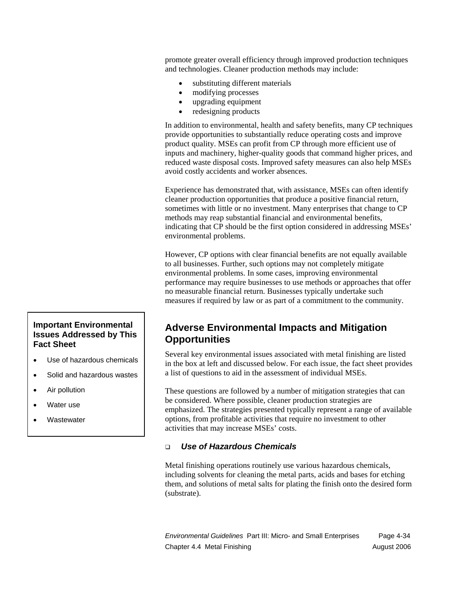promote greater overall efficiency through improved production techniques and technologies. Cleaner production methods may include:

- substituting different materials
- modifying processes
- upgrading equipment
- redesigning products

In addition to environmental, health and safety benefits, many CP techniques provide opportunities to substantially reduce operating costs and improve product quality. MSEs can profit from CP through more efficient use of inputs and machinery, higher-quality goods that command higher prices, and reduced waste disposal costs. Improved safety measures can also help MSEs avoid costly accidents and worker absences.

Experience has demonstrated that, with assistance, MSEs can often identify cleaner production opportunities that produce a positive financial return, sometimes with little or no investment. Many enterprises that change to CP methods may reap substantial financial and environmental benefits, indicating that CP should be the first option considered in addressing MSEs' environmental problems.

However, CP options with clear financial benefits are not equally available to all businesses. Further, such options may not completely mitigate environmental problems. In some cases, improving environmental performance may require businesses to use methods or approaches that offer no measurable financial return. Businesses typically undertake such measures if required by law or as part of a commitment to the community.

#### **Important Environmental Issues Addressed by This Fact Sheet**

- Use of hazardous chemicals
- Solid and hazardous wastes
- Air pollution
- Water use
- **Wastewater**

## **Adverse Environmental Impacts and Mitigation Opportunities**

Several key environmental issues associated with metal finishing are listed in the box at left and discussed below. For each issue, the fact sheet provides a list of questions to aid in the assessment of individual MSEs.

These questions are followed by a number of mitigation strategies that can be considered. Where possible, cleaner production strategies are emphasized. The strategies presented typically represent a range of available options, from profitable activities that require no investment to other activities that may increase MSEs' costs.

#### *Use of Hazardous Chemicals*

Metal finishing operations routinely use various hazardous chemicals, including solvents for cleaning the metal parts, acids and bases for etching them, and solutions of metal salts for plating the finish onto the desired form (substrate).

*Environmental Guidelines* Part III: Micro- and Small Enterprises Page 4-34 Chapter 4.4 Metal Finishing and all the chapter 4.4 Metal August 2006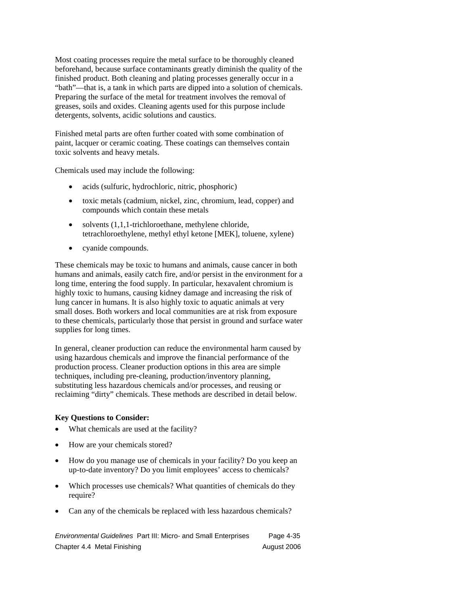Most coating processes require the metal surface to be thoroughly cleaned beforehand, because surface contaminants greatly diminish the quality of the finished product. Both cleaning and plating processes generally occur in a "bath"—that is, a tank in which parts are dipped into a solution of chemicals. Preparing the surface of the metal for treatment involves the removal of greases, soils and oxides. Cleaning agents used for this purpose include detergents, solvents, acidic solutions and caustics.

Finished metal parts are often further coated with some combination of paint, lacquer or ceramic coating. These coatings can themselves contain toxic solvents and heavy metals.

Chemicals used may include the following:

- acids (sulfuric, hydrochloric, nitric, phosphoric)
- toxic metals (cadmium, nickel, zinc, chromium, lead, copper) and compounds which contain these metals
- solvents (1,1,1-trichloroethane, methylene chloride, tetrachloroethylene, methyl ethyl ketone [MEK], toluene, xylene)
- cyanide compounds.

These chemicals may be toxic to humans and animals, cause cancer in both humans and animals, easily catch fire, and/or persist in the environment for a long time, entering the food supply. In particular, hexavalent chromium is highly toxic to humans, causing kidney damage and increasing the risk of lung cancer in humans. It is also highly toxic to aquatic animals at very small doses. Both workers and local communities are at risk from exposure to these chemicals, particularly those that persist in ground and surface water supplies for long times.

In general, cleaner production can reduce the environmental harm caused by using hazardous chemicals and improve the financial performance of the production process. Cleaner production options in this area are simple techniques, including pre-cleaning, production/inventory planning, substituting less hazardous chemicals and/or processes, and reusing or reclaiming "dirty" chemicals. These methods are described in detail below.

#### **Key Questions to Consider:**

- What chemicals are used at the facility?
- How are your chemicals stored?
- How do you manage use of chemicals in your facility? Do you keep an up-to-date inventory? Do you limit employees' access to chemicals?
- Which processes use chemicals? What quantities of chemicals do they require?
- Can any of the chemicals be replaced with less hazardous chemicals?

*Environmental Guidelines* Part III: Micro- and Small Enterprises Page 4-35 Chapter 4.4 Metal Finishing **August 2006** August 2006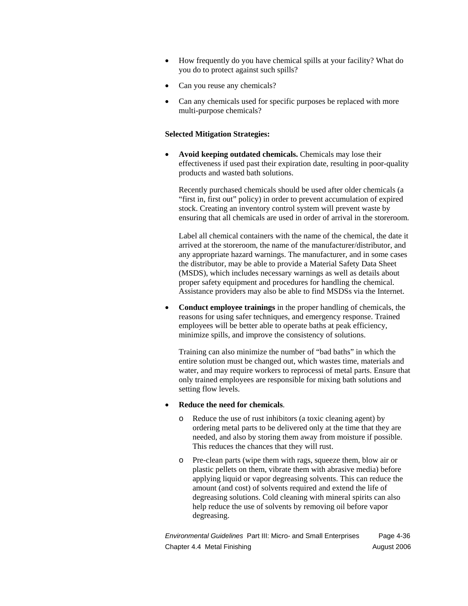- How frequently do you have chemical spills at your facility? What do you do to protect against such spills?
- Can you reuse any chemicals?
- Can any chemicals used for specific purposes be replaced with more multi-purpose chemicals?

#### **Selected Mitigation Strategies:**

• **Avoid keeping outdated chemicals.** Chemicals may lose their effectiveness if used past their expiration date, resulting in poor-quality products and wasted bath solutions.

Recently purchased chemicals should be used after older chemicals (a "first in, first out" policy) in order to prevent accumulation of expired stock. Creating an inventory control system will prevent waste by ensuring that all chemicals are used in order of arrival in the storeroom.

Label all chemical containers with the name of the chemical, the date it arrived at the storeroom, the name of the manufacturer/distributor, and any appropriate hazard warnings. The manufacturer, and in some cases the distributor, may be able to provide a Material Safety Data Sheet (MSDS), which includes necessary warnings as well as details about proper safety equipment and procedures for handling the chemical. Assistance providers may also be able to find MSDSs via the Internet.

• **Conduct employee trainings** in the proper handling of chemicals, the reasons for using safer techniques, and emergency response. Trained employees will be better able to operate baths at peak efficiency, minimize spills, and improve the consistency of solutions.

Training can also minimize the number of "bad baths" in which the entire solution must be changed out, which wastes time, materials and water, and may require workers to reprocessi of metal parts. Ensure that only trained employees are responsible for mixing bath solutions and setting flow levels.

#### • **Reduce the need for chemicals**.

- o Reduce the use of rust inhibitors (a toxic cleaning agent) by ordering metal parts to be delivered only at the time that they are needed, and also by storing them away from moisture if possible. This reduces the chances that they will rust.
- o Pre-clean parts (wipe them with rags, squeeze them, blow air or plastic pellets on them, vibrate them with abrasive media) before applying liquid or vapor degreasing solvents. This can reduce the amount (and cost) of solvents required and extend the life of degreasing solutions. Cold cleaning with mineral spirits can also help reduce the use of solvents by removing oil before vapor degreasing.

*Environmental Guidelines* Part III: Micro- and Small Enterprises Page 4-36 Chapter 4.4 Metal Finishing and all the chapter 4.4 Metal August 2006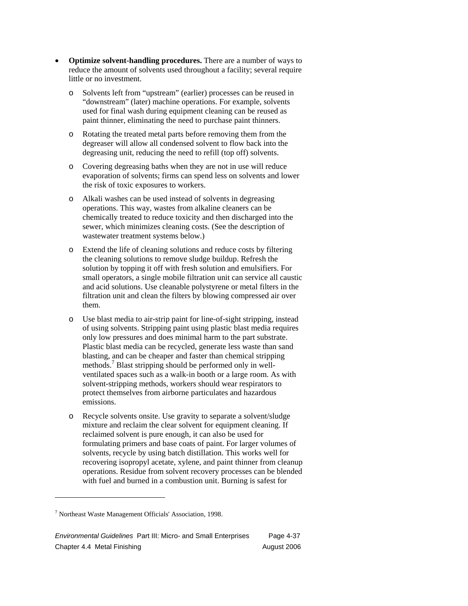- **Optimize solvent-handling procedures.** There are a number of ways to reduce the amount of solvents used throughout a facility; several require little or no investment.
	- o Solvents left from "upstream" (earlier) processes can be reused in "downstream" (later) machine operations. For example, solvents used for final wash during equipment cleaning can be reused as paint thinner, eliminating the need to purchase paint thinners.
	- o Rotating the treated metal parts before removing them from the degreaser will allow all condensed solvent to flow back into the degreasing unit, reducing the need to refill (top off) solvents.
	- o Covering degreasing baths when they are not in use will reduce evaporation of solvents; firms can spend less on solvents and lower the risk of toxic exposures to workers.
	- o Alkali washes can be used instead of solvents in degreasing operations. This way, wastes from alkaline cleaners can be chemically treated to reduce toxicity and then discharged into the sewer, which minimizes cleaning costs. (See the description of wastewater treatment systems below.)
	- o Extend the life of cleaning solutions and reduce costs by filtering the cleaning solutions to remove sludge buildup. Refresh the solution by topping it off with fresh solution and emulsifiers. For small operators, a single mobile filtration unit can service all caustic and acid solutions. Use cleanable polystyrene or metal filters in the filtration unit and clean the filters by blowing compressed air over them.
	- o Use blast media to air-strip paint for line-of-sight stripping, instead of using solvents. Stripping paint using plastic blast media requires only low pressures and does minimal harm to the part substrate. Plastic blast media can be recycled, generate less waste than sand blasting, and can be cheaper and faster than chemical stripping methods.<sup>7</sup> Blast stripping should be performed only in wellventilated spaces such as a walk-in booth or a large room. As with solvent-stripping methods, workers should wear respirators to protect themselves from airborne particulates and hazardous emissions.
	- o Recycle solvents onsite. Use gravity to separate a solvent/sludge mixture and reclaim the clear solvent for equipment cleaning. If reclaimed solvent is pure enough, it can also be used for formulating primers and base coats of paint. For larger volumes of solvents, recycle by using batch distillation. This works well for recovering isopropyl acetate, xylene, and paint thinner from cleanup operations. Residue from solvent recovery processes can be blended with fuel and burned in a combustion unit. Burning is safest for

 $\overline{a}$ 

<sup>7</sup> Northeast Waste Management Officials' Association, 1998.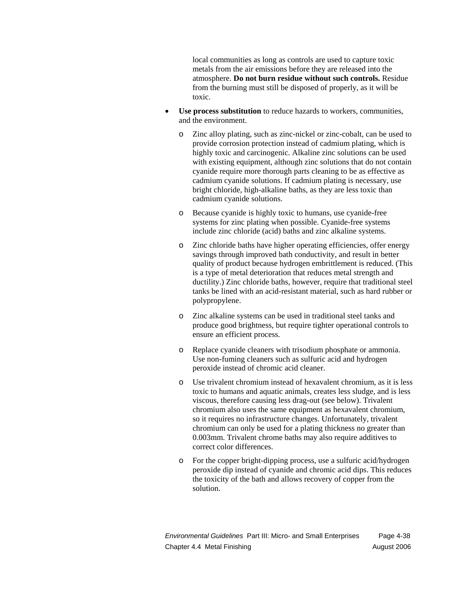local communities as long as controls are used to capture toxic metals from the air emissions before they are released into the atmosphere. **Do not burn residue without such controls.** Residue from the burning must still be disposed of properly, as it will be toxic.

- Use process substitution to reduce hazards to workers, communities, and the environment.
	- o Zinc alloy plating, such as zinc-nickel or zinc-cobalt, can be used to provide corrosion protection instead of cadmium plating, which is highly toxic and carcinogenic. Alkaline zinc solutions can be used with existing equipment, although zinc solutions that do not contain cyanide require more thorough parts cleaning to be as effective as cadmium cyanide solutions. If cadmium plating is necessary, use bright chloride, high-alkaline baths, as they are less toxic than cadmium cyanide solutions.
	- o Because cyanide is highly toxic to humans, use cyanide-free systems for zinc plating when possible. Cyanide-free systems include zinc chloride (acid) baths and zinc alkaline systems.
	- o Zinc chloride baths have higher operating efficiencies, offer energy savings through improved bath conductivity, and result in better quality of product because hydrogen embrittlement is reduced. (This is a type of metal deterioration that reduces metal strength and ductility.) Zinc chloride baths, however, require that traditional steel tanks be lined with an acid-resistant material, such as hard rubber or polypropylene.
	- o Zinc alkaline systems can be used in traditional steel tanks and produce good brightness, but require tighter operational controls to ensure an efficient process.
	- o Replace cyanide cleaners with trisodium phosphate or ammonia. Use non-fuming cleaners such as sulfuric acid and hydrogen peroxide instead of chromic acid cleaner.
	- o Use trivalent chromium instead of hexavalent chromium, as it is less toxic to humans and aquatic animals, creates less sludge, and is less viscous, therefore causing less drag-out (see below). Trivalent chromium also uses the same equipment as hexavalent chromium, so it requires no infrastructure changes. Unfortunately, trivalent chromium can only be used for a plating thickness no greater than 0.003mm. Trivalent chrome baths may also require additives to correct color differences.
	- o For the copper bright-dipping process, use a sulfuric acid/hydrogen peroxide dip instead of cyanide and chromic acid dips. This reduces the toxicity of the bath and allows recovery of copper from the solution.

*Environmental Guidelines* Part III: Micro- and Small Enterprises Page 4-38 Chapter 4.4 Metal Finishing and all the chapter 4.4 Metal August 2006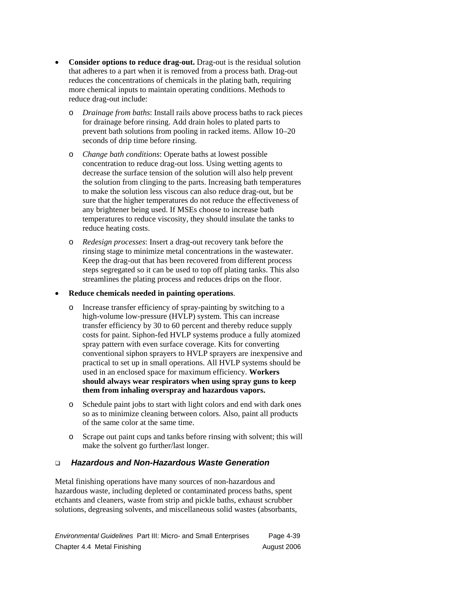- **Consider options to reduce drag-out.** Drag-out is the residual solution that adheres to a part when it is removed from a process bath. Drag-out reduces the concentrations of chemicals in the plating bath, requiring more chemical inputs to maintain operating conditions. Methods to reduce drag-out include:
	- o *Drainage from baths*: Install rails above process baths to rack pieces for drainage before rinsing. Add drain holes to plated parts to prevent bath solutions from pooling in racked items. Allow 10–20 seconds of drip time before rinsing.
	- o *Change bath conditions*: Operate baths at lowest possible concentration to reduce drag-out loss. Using wetting agents to decrease the surface tension of the solution will also help prevent the solution from clinging to the parts. Increasing bath temperatures to make the solution less viscous can also reduce drag-out, but be sure that the higher temperatures do not reduce the effectiveness of any brightener being used. If MSEs choose to increase bath temperatures to reduce viscosity, they should insulate the tanks to reduce heating costs.
	- o *Redesign processes*: Insert a drag-out recovery tank before the rinsing stage to minimize metal concentrations in the wastewater. Keep the drag-out that has been recovered from different process steps segregated so it can be used to top off plating tanks. This also streamlines the plating process and reduces drips on the floor.

#### • **Reduce chemicals needed in painting operations**.

- o Increase transfer efficiency of spray-painting by switching to a high-volume low-pressure (HVLP) system. This can increase transfer efficiency by 30 to 60 percent and thereby reduce supply costs for paint. Siphon-fed HVLP systems produce a fully atomized spray pattern with even surface coverage. Kits for converting conventional siphon sprayers to HVLP sprayers are inexpensive and practical to set up in small operations. All HVLP systems should be used in an enclosed space for maximum efficiency. **Workers should always wear respirators when using spray guns to keep them from inhaling overspray and hazardous vapors.**
- o Schedule paint jobs to start with light colors and end with dark ones so as to minimize cleaning between colors. Also, paint all products of the same color at the same time.
- o Scrape out paint cups and tanks before rinsing with solvent; this will make the solvent go further/last longer.

#### *Hazardous and Non-Hazardous Waste Generation*

Metal finishing operations have many sources of non-hazardous and hazardous waste, including depleted or contaminated process baths, spent etchants and cleaners, waste from strip and pickle baths, exhaust scrubber solutions, degreasing solvents, and miscellaneous solid wastes (absorbants,

| <b>Environmental Guidelines Part III: Micro- and Small Enterprises</b> | Page 4-39   |
|------------------------------------------------------------------------|-------------|
| Chapter 4.4 Metal Finishing                                            | August 2006 |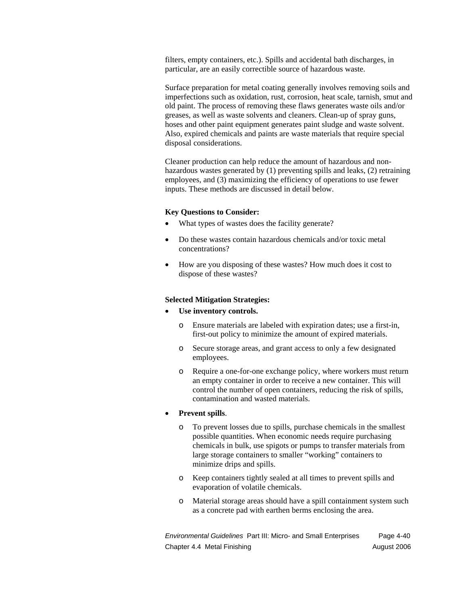filters, empty containers, etc.). Spills and accidental bath discharges, in particular, are an easily correctible source of hazardous waste.

Surface preparation for metal coating generally involves removing soils and imperfections such as oxidation, rust, corrosion, heat scale, tarnish, smut and old paint. The process of removing these flaws generates waste oils and/or greases, as well as waste solvents and cleaners. Clean-up of spray guns, hoses and other paint equipment generates paint sludge and waste solvent. Also, expired chemicals and paints are waste materials that require special disposal considerations.

Cleaner production can help reduce the amount of hazardous and nonhazardous wastes generated by (1) preventing spills and leaks, (2) retraining employees, and (3) maximizing the efficiency of operations to use fewer inputs. These methods are discussed in detail below.

#### **Key Questions to Consider:**

- What types of wastes does the facility generate?
- Do these wastes contain hazardous chemicals and/or toxic metal concentrations?
- How are you disposing of these wastes? How much does it cost to dispose of these wastes?

#### **Selected Mitigation Strategies:**

- Use inventory controls.
	- o Ensure materials are labeled with expiration dates; use a first-in, first-out policy to minimize the amount of expired materials.
	- o Secure storage areas, and grant access to only a few designated employees.
	- o Require a one-for-one exchange policy, where workers must return an empty container in order to receive a new container. This will control the number of open containers, reducing the risk of spills, contamination and wasted materials.

#### • **Prevent spills**.

- o To prevent losses due to spills, purchase chemicals in the smallest possible quantities. When economic needs require purchasing chemicals in bulk, use spigots or pumps to transfer materials from large storage containers to smaller "working" containers to minimize drips and spills.
- o Keep containers tightly sealed at all times to prevent spills and evaporation of volatile chemicals.
- o Material storage areas should have a spill containment system such as a concrete pad with earthen berms enclosing the area.

*Environmental Guidelines* Part III: Micro- and Small Enterprises Page 4-40 Chapter 4.4 Metal Finishing **August 2006** August 2006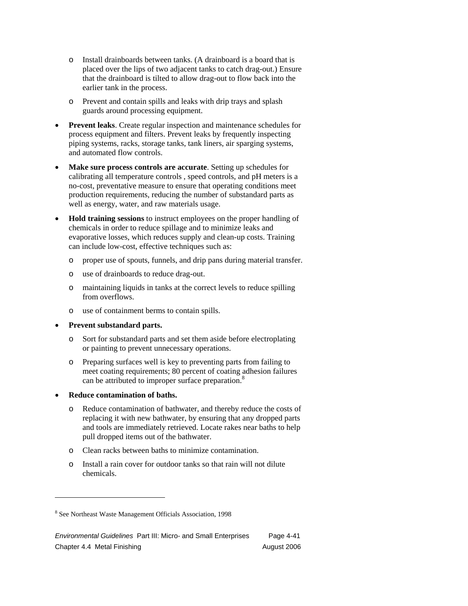- o Install drainboards between tanks. (A drainboard is a board that is placed over the lips of two adjacent tanks to catch drag-out.) Ensure that the drainboard is tilted to allow drag-out to flow back into the earlier tank in the process.
- o Prevent and contain spills and leaks with drip trays and splash guards around processing equipment.
- **Prevent leaks**. Create regular inspection and maintenance schedules for process equipment and filters. Prevent leaks by frequently inspecting piping systems, racks, storage tanks, tank liners, air sparging systems, and automated flow controls.
- **Make sure process controls are accurate**. Setting up schedules for calibrating all temperature controls , speed controls, and pH meters is a no-cost, preventative measure to ensure that operating conditions meet production requirements, reducing the number of substandard parts as well as energy, water, and raw materials usage.
- **Hold training sessions** to instruct employees on the proper handling of chemicals in order to reduce spillage and to minimize leaks and evaporative losses, which reduces supply and clean-up costs. Training can include low-cost, effective techniques such as:
	- o proper use of spouts, funnels, and drip pans during material transfer.
	- o use of drainboards to reduce drag-out.
	- o maintaining liquids in tanks at the correct levels to reduce spilling from overflows.
	- o use of containment berms to contain spills.
- **Prevent substandard parts.** 
	- o Sort for substandard parts and set them aside before electroplating or painting to prevent unnecessary operations.
	- o Preparing surfaces well is key to preventing parts from failing to meet coating requirements; 80 percent of coating adhesion failures can be attributed to improper surface preparation.<sup>8</sup>
- **Reduce contamination of baths.**

<u>.</u>

- o Reduce contamination of bathwater, and thereby reduce the costs of replacing it with new bathwater, by ensuring that any dropped parts and tools are immediately retrieved. Locate rakes near baths to help pull dropped items out of the bathwater.
- o Clean racks between baths to minimize contamination.
- o Install a rain cover for outdoor tanks so that rain will not dilute chemicals.

<sup>8</sup> See Northeast Waste Management Officials Association, 1998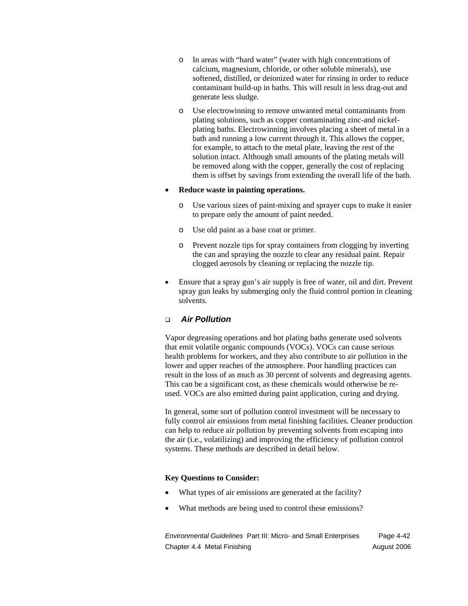- o In areas with "hard water" (water with high concentrations of calcium, magnesium, chloride, or other soluble minerals), use softened, distilled, or deionized water for rinsing in order to reduce contaminant build-up in baths. This will result in less drag-out and generate less sludge.
- o Use electrowinning to remove unwanted metal contaminants from plating solutions, such as copper contaminating zinc-and nickelplating baths. Electrowinning involves placing a sheet of metal in a bath and running a low current through it. This allows the copper, for example, to attach to the metal plate, leaving the rest of the solution intact. Although small amounts of the plating metals will be removed along with the copper, generally the cost of replacing them is offset by savings from extending the overall life of the bath.

#### • **Reduce waste in painting operations.**

- o Use various sizes of paint-mixing and sprayer cups to make it easier to prepare only the amount of paint needed.
- o Use old paint as a base coat or primer.
- o Prevent nozzle tips for spray containers from clogging by inverting the can and spraying the nozzle to clear any residual paint. Repair clogged aerosols by cleaning or replacing the nozzle tip.
- Ensure that a spray gun's air supply is free of water, oil and dirt. Prevent spray gun leaks by submerging only the fluid control portion in cleaning solvents.

## *Air Pollution*

Vapor degreasing operations and hot plating baths generate used solvents that emit volatile organic compounds (VOCs). VOCs can cause serious health problems for workers, and they also contribute to air pollution in the lower and upper reaches of the atmosphere. Poor handling practices can result in the loss of as much as 30 percent of solvents and degreasing agents. This can be a significant cost, as these chemicals would otherwise be reused. VOCs are also emitted during paint application, curing and drying.

In general, some sort of pollution control investment will be necessary to fully control air emissions from metal finishing facilities. Cleaner production can help to reduce air pollution by preventing solvents from escaping into the air (i.e., volatilizing) and improving the efficiency of pollution control systems. These methods are described in detail below.

#### **Key Questions to Consider:**

- What types of air emissions are generated at the facility?
- What methods are being used to control these emissions?

*Environmental Guidelines* Part III: Micro- and Small Enterprises Page 4-42 Chapter 4.4 Metal Finishing and all the chapter 4.4 Metal August 2006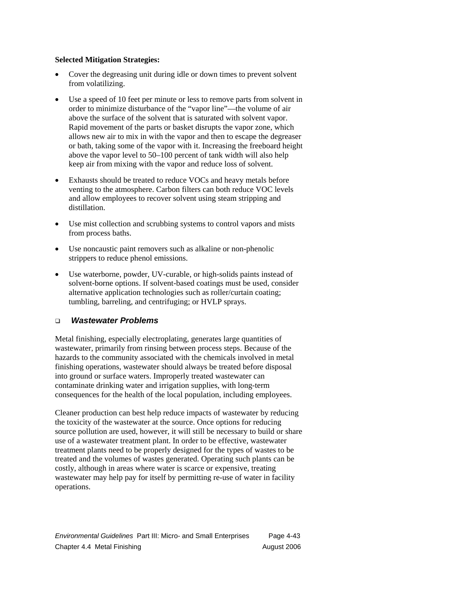#### **Selected Mitigation Strategies:**

- Cover the degreasing unit during idle or down times to prevent solvent from volatilizing.
- Use a speed of 10 feet per minute or less to remove parts from solvent in order to minimize disturbance of the "vapor line"—the volume of air above the surface of the solvent that is saturated with solvent vapor. Rapid movement of the parts or basket disrupts the vapor zone, which allows new air to mix in with the vapor and then to escape the degreaser or bath, taking some of the vapor with it. Increasing the freeboard height above the vapor level to 50–100 percent of tank width will also help keep air from mixing with the vapor and reduce loss of solvent.
- Exhausts should be treated to reduce VOCs and heavy metals before venting to the atmosphere. Carbon filters can both reduce VOC levels and allow employees to recover solvent using steam stripping and distillation.
- Use mist collection and scrubbing systems to control vapors and mists from process baths.
- Use noncaustic paint removers such as alkaline or non-phenolic strippers to reduce phenol emissions.
- Use waterborne, powder, UV-curable, or high-solids paints instead of solvent-borne options. If solvent-based coatings must be used, consider alternative application technologies such as roller/curtain coating; tumbling, barreling, and centrifuging; or HVLP sprays.

#### *Wastewater Problems*

Metal finishing, especially electroplating, generates large quantities of wastewater, primarily from rinsing between process steps. Because of the hazards to the community associated with the chemicals involved in metal finishing operations, wastewater should always be treated before disposal into ground or surface waters. Improperly treated wastewater can contaminate drinking water and irrigation supplies, with long-term consequences for the health of the local population, including employees.

Cleaner production can best help reduce impacts of wastewater by reducing the toxicity of the wastewater at the source. Once options for reducing source pollution are used, however, it will still be necessary to build or share use of a wastewater treatment plant. In order to be effective, wastewater treatment plants need to be properly designed for the types of wastes to be treated and the volumes of wastes generated. Operating such plants can be costly, although in areas where water is scarce or expensive, treating wastewater may help pay for itself by permitting re-use of water in facility operations.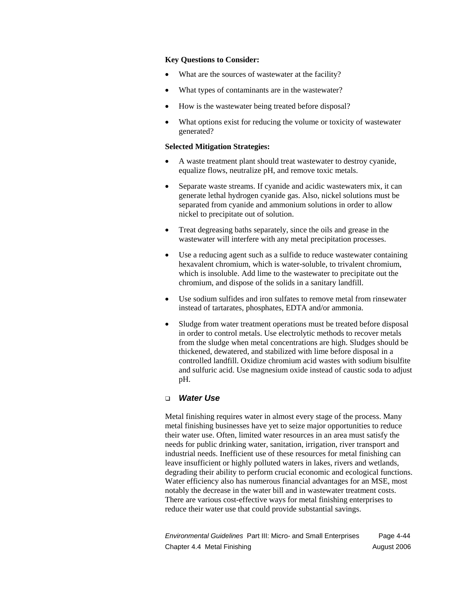#### **Key Questions to Consider:**

- What are the sources of wastewater at the facility?
- What types of contaminants are in the wastewater?
- How is the wastewater being treated before disposal?
- What options exist for reducing the volume or toxicity of wastewater generated?

#### **Selected Mitigation Strategies:**

- A waste treatment plant should treat wastewater to destroy cyanide, equalize flows, neutralize pH, and remove toxic metals.
- Separate waste streams. If cyanide and acidic wastewaters mix, it can generate lethal hydrogen cyanide gas. Also, nickel solutions must be separated from cyanide and ammonium solutions in order to allow nickel to precipitate out of solution.
- Treat degreasing baths separately, since the oils and grease in the wastewater will interfere with any metal precipitation processes.
- Use a reducing agent such as a sulfide to reduce wastewater containing hexavalent chromium, which is water-soluble, to trivalent chromium, which is insoluble. Add lime to the wastewater to precipitate out the chromium, and dispose of the solids in a sanitary landfill.
- Use sodium sulfides and iron sulfates to remove metal from rinsewater instead of tartarates, phosphates, EDTA and/or ammonia.
- Sludge from water treatment operations must be treated before disposal in order to control metals. Use electrolytic methods to recover metals from the sludge when metal concentrations are high. Sludges should be thickened, dewatered, and stabilized with lime before disposal in a controlled landfill. Oxidize chromium acid wastes with sodium bisulfite and sulfuric acid. Use magnesium oxide instead of caustic soda to adjust pH.

#### *Water Use*

Metal finishing requires water in almost every stage of the process. Many metal finishing businesses have yet to seize major opportunities to reduce their water use. Often, limited water resources in an area must satisfy the needs for public drinking water, sanitation, irrigation, river transport and industrial needs. Inefficient use of these resources for metal finishing can leave insufficient or highly polluted waters in lakes, rivers and wetlands, degrading their ability to perform crucial economic and ecological functions. Water efficiency also has numerous financial advantages for an MSE, most notably the decrease in the water bill and in wastewater treatment costs. There are various cost-effective ways for metal finishing enterprises to reduce their water use that could provide substantial savings.

*Environmental Guidelines* Part III: Micro- and Small Enterprises Page 4-44 Chapter 4.4 Metal Finishing and all the chapter 4.4 Metal August 2006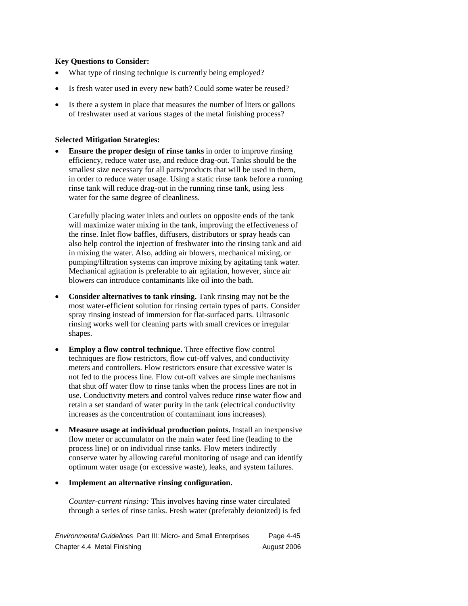#### **Key Questions to Consider:**

- What type of rinsing technique is currently being employed?
- Is fresh water used in every new bath? Could some water be reused?
- Is there a system in place that measures the number of liters or gallons of freshwater used at various stages of the metal finishing process?

#### **Selected Mitigation Strategies:**

**Ensure the proper design of rinse tanks** in order to improve rinsing efficiency, reduce water use, and reduce drag-out. Tanks should be the smallest size necessary for all parts/products that will be used in them, in order to reduce water usage. Using a static rinse tank before a running rinse tank will reduce drag-out in the running rinse tank, using less water for the same degree of cleanliness.

Carefully placing water inlets and outlets on opposite ends of the tank will maximize water mixing in the tank, improving the effectiveness of the rinse. Inlet flow baffles, diffusers, distributors or spray heads can also help control the injection of freshwater into the rinsing tank and aid in mixing the water. Also, adding air blowers, mechanical mixing, or pumping/filtration systems can improve mixing by agitating tank water. Mechanical agitation is preferable to air agitation, however, since air blowers can introduce contaminants like oil into the bath.

- **Consider alternatives to tank rinsing.** Tank rinsing may not be the most water-efficient solution for rinsing certain types of parts. Consider spray rinsing instead of immersion for flat-surfaced parts. Ultrasonic rinsing works well for cleaning parts with small crevices or irregular shapes.
- **Employ a flow control technique.** Three effective flow control techniques are flow restrictors, flow cut-off valves, and conductivity meters and controllers. Flow restrictors ensure that excessive water is not fed to the process line. Flow cut-off valves are simple mechanisms that shut off water flow to rinse tanks when the process lines are not in use. Conductivity meters and control valves reduce rinse water flow and retain a set standard of water purity in the tank (electrical conductivity increases as the concentration of contaminant ions increases).
- **Measure usage at individual production points.** Install an inexpensive flow meter or accumulator on the main water feed line (leading to the process line) or on individual rinse tanks. Flow meters indirectly conserve water by allowing careful monitoring of usage and can identify optimum water usage (or excessive waste), leaks, and system failures.
- **Implement an alternative rinsing configuration.**

*Counter-current rinsing:* This involves having rinse water circulated through a series of rinse tanks. Fresh water (preferably deionized) is fed

*Environmental Guidelines* Part III: Micro- and Small Enterprises Page 4-45 Chapter 4.4 Metal Finishing Chapter 4.4 Metal Finishing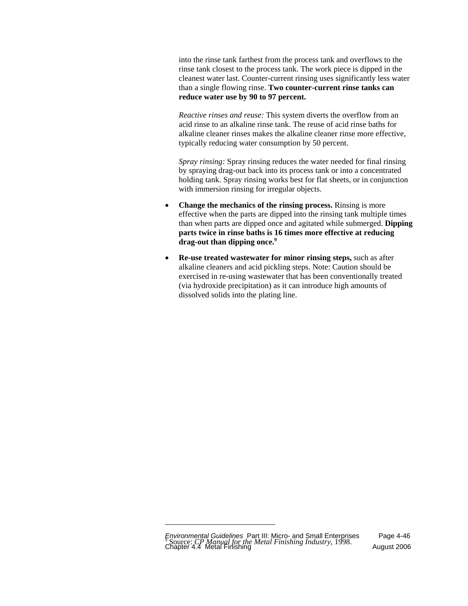into the rinse tank farthest from the process tank and overflows to the rinse tank closest to the process tank. The work piece is dipped in the cleanest water last. Counter-current rinsing uses significantly less water than a single flowing rinse. **Two counter-current rinse tanks can reduce water use by 90 to 97 percent.**

*Reactive rinses and reuse:* This system diverts the overflow from an acid rinse to an alkaline rinse tank. The reuse of acid rinse baths for alkaline cleaner rinses makes the alkaline cleaner rinse more effective, typically reducing water consumption by 50 percent.

*Spray rinsing:* Spray rinsing reduces the water needed for final rinsing by spraying drag-out back into its process tank or into a concentrated holding tank. Spray rinsing works best for flat sheets, or in conjunction with immersion rinsing for irregular objects.

- **Change the mechanics of the rinsing process.** Rinsing is more effective when the parts are dipped into the rinsing tank multiple times than when parts are dipped once and agitated while submerged. **Dipping parts twice in rinse baths is 16 times more effective at reducing drag-out than dipping once.<sup>9</sup>**
- **Re-use treated wastewater for minor rinsing steps,** such as after alkaline cleaners and acid pickling steps. Note: Caution should be exercised in re-using wastewater that has been conventionally treated (via hydroxide precipitation) as it can introduce high amounts of dissolved solids into the plating line.

 $\overline{a}$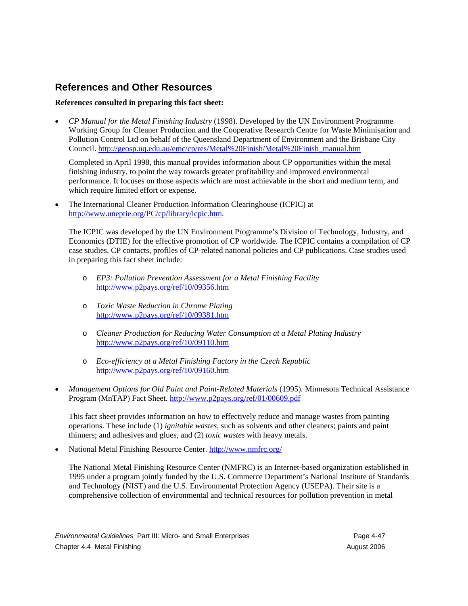# **References and Other Resources**

#### **References consulted in preparing this fact sheet:**

• *CP Manual for the Metal Finishing Industry* (1998). Developed by the UN Environment Programme Working Group for Cleaner Production and the Cooperative Research Centre for Waste Minimisation and Pollution Control Ltd on behalf of the Queensland Department of Environment and the Brisbane City Council. http://geosp.uq.edu.au/emc/cp/res/Metal%20Finish/Metal%20Finish\_manual.htm

Completed in April 1998, this manual provides information about CP opportunities within the metal finishing industry, to point the way towards greater profitability and improved environmental performance. It focuses on those aspects which are most achievable in the short and medium term, and which require limited effort or expense.

• The International Cleaner Production Information Clearinghouse (ICPIC) at http://www.uneptie.org/PC/cp/library/icpic.htm.

The ICPIC was developed by the UN Environment Programme's Division of Technology, Industry, and Economics (DTIE) for the effective promotion of CP worldwide. The ICPIC contains a compilation of CP case studies, CP contacts, profiles of CP-related national policies and CP publications. Case studies used in preparing this fact sheet include:

- o *EP3: Pollution Prevention Assessment for a Metal Finishing Facility* http://www.p2pays.org/ref/10/09356.htm
- o *Toxic Waste Reduction in Chrome Plating* http://www.p2pays.org/ref/10/09381.htm
- o *Cleaner Production for Reducing Water Consumption at a Metal Plating Industry*  http://www.p2pays.org/ref/10/09110.htm
- o *Eco-efficiency at a Metal Finishing Factory in the Czech Republic* http://www.p2pays.org/ref/10/09160.htm
- *Management Options for Old Paint and Paint-Related Materials* (1995)*.* Minnesota Technical Assistance Program (MnTAP) Fact Sheet. http://www.p2pays.org/ref/01/00609.pdf

This fact sheet provides information on how to effectively reduce and manage wastes from painting operations. These include (1) *ignitable wastes,* such as solvents and other cleaners; paints and paint thinners; and adhesives and glues, and (2) *toxic wastes* with heavy metals.

• National Metal Finishing Resource Center. http://www.nmfrc.org/

The National Metal Finishing Resource Center (NMFRC) is an Internet-based organization established in 1995 under a program jointly funded by the U.S. Commerce Department's National Institute of Standards and Technology (NIST) and the U.S. Environmental Protection Agency (USEPA). Their site is a comprehensive collection of environmental and technical resources for pollution prevention in metal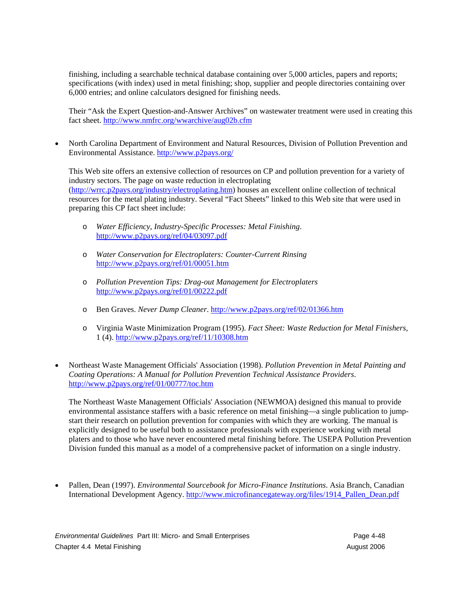finishing, including a searchable technical database containing over 5,000 articles, papers and reports; specifications (with index) used in metal finishing; shop, supplier and people directories containing over 6,000 entries; and online calculators designed for finishing needs.

Their "Ask the Expert Question-and-Answer Archives" on wastewater treatment were used in creating this fact sheet. http://www.nmfrc.org/wwarchive/aug02b.cfm

• North Carolina Department of Environment and Natural Resources, Division of Pollution Prevention and Environmental Assistance. http://www.p2pays.org/

This Web site offers an extensive collection of resources on CP and pollution prevention for a variety of industry sectors. The page on waste reduction in electroplating (http://wrrc.p2pays.org/industry/electroplating.htm) houses an excellent online collection of technical resources for the metal plating industry. Several "Fact Sheets" linked to this Web site that were used in preparing this CP fact sheet include:

- o *Water Efficiency, Industry-Specific Processes: Metal Finishing*. http://www.p2pays.org/ref/04/03097.pdf
- o *Water Conservation for Electroplaters: Counter-Current Rinsing* http://www.p2pays.org/ref/01/00051.htm
- o *Pollution Prevention Tips: Drag-out Management for Electroplaters* http://www.p2pays.org/ref/01/00222.pdf
- o Ben Graves. *Never Dump Cleaner*. http://www.p2pays.org/ref/02/01366.htm
- o Virginia Waste Minimization Program (1995). *Fact Sheet: Waste Reduction for Metal Finishers*, 1 (4). http://www.p2pays.org/ref/11/10308.htm
- Northeast Waste Management Officials' Association (1998). *Pollution Prevention in Metal Painting and Coating Operations: A Manual for Pollution Prevention Technical Assistance Providers*. http://www.p2pays.org/ref/01/00777/toc.htm

The Northeast Waste Management Officials' Association (NEWMOA) designed this manual to provide environmental assistance staffers with a basic reference on metal finishing—a single publication to jumpstart their research on pollution prevention for companies with which they are working. The manual is explicitly designed to be useful both to assistance professionals with experience working with metal platers and to those who have never encountered metal finishing before. The USEPA Pollution Prevention Division funded this manual as a model of a comprehensive packet of information on a single industry.

• Pallen, Dean (1997). *Environmental Sourcebook for Micro-Finance Institutions*. Asia Branch, Canadian International Development Agency. http://www.microfinancegateway.org/files/1914\_Pallen\_Dean.pdf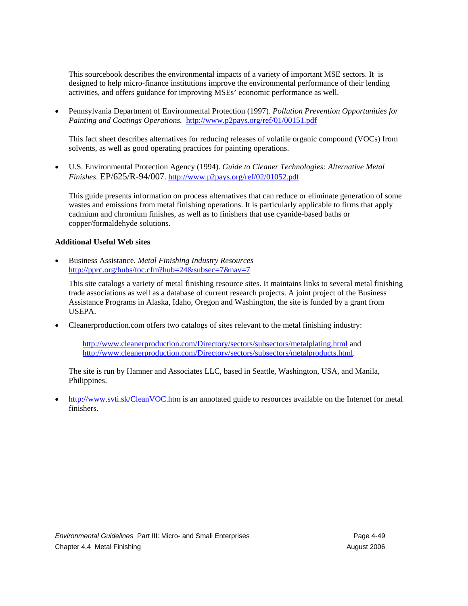This sourcebook describes the environmental impacts of a variety of important MSE sectors. It is designed to help micro-finance institutions improve the environmental performance of their lending activities, and offers guidance for improving MSEs' economic performance as well.

• Pennsylvania Department of Environmental Protection (1997). *Pollution Prevention Opportunities for Painting and Coatings Operations.* http://www.p2pays.org/ref/01/00151.pdf

This fact sheet describes alternatives for reducing releases of volatile organic compound (VOCs) from solvents, as well as good operating practices for painting operations.

• U.S. Environmental Protection Agency (1994). *Guide to Cleaner Technologies: Alternative Metal Finishes*. EP/625/R-94/007. http://www.p2pays.org/ref/02/01052.pdf

This guide presents information on process alternatives that can reduce or eliminate generation of some wastes and emissions from metal finishing operations. It is particularly applicable to firms that apply cadmium and chromium finishes, as well as to finishers that use cyanide-based baths or copper/formaldehyde solutions.

#### **Additional Useful Web sites**

• Business Assistance. *Metal Finishing Industry Resources* http://pprc.org/hubs/toc.cfm?hub=24&subsec=7&nav=7

This site catalogs a variety of metal finishing resource sites. It maintains links to several metal finishing trade associations as well as a database of current research projects. A joint project of the Business Assistance Programs in Alaska, Idaho, Oregon and Washington, the site is funded by a grant from USEPA.

• Cleanerproduction.com offers two catalogs of sites relevant to the metal finishing industry:

http://www.cleanerproduction.com/Directory/sectors/subsectors/metalplating.html and http://www.cleanerproduction.com/Directory/sectors/subsectors/metalproducts.html.

The site is run by Hamner and Associates LLC, based in Seattle, Washington, USA, and Manila, Philippines.

• http://www.svti.sk/CleanVOC.htm is an annotated guide to resources available on the Internet for metal finishers.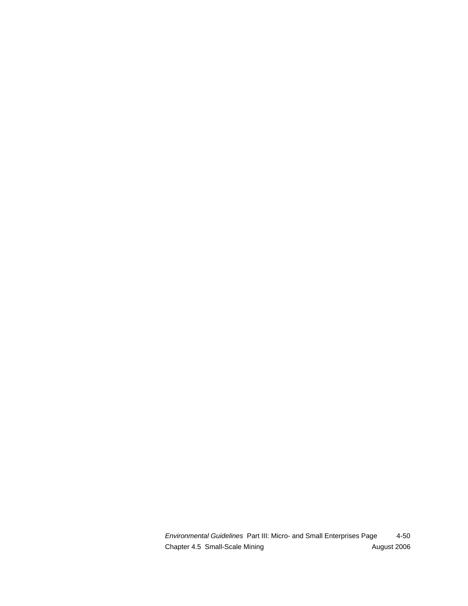*Environmental Guidelines Part III: Micro- and Small Enterprises Page* 4-50 Chapter 4.5 Small-Scale Mining Chapter 4.5 Small-Scale Mining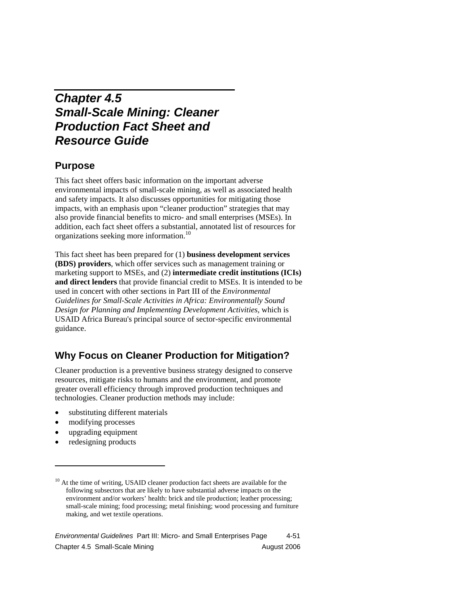*Chapter 4.5 Small-Scale Mining: Cleaner Production Fact Sheet and Resource Guide* 

# **Purpose**

This fact sheet offers basic information on the important adverse environmental impacts of small-scale mining, as well as associated health and safety impacts. It also discusses opportunities for mitigating those impacts, with an emphasis upon "cleaner production" strategies that may also provide financial benefits to micro- and small enterprises (MSEs). In addition, each fact sheet offers a substantial, annotated list of resources for organizations seeking more information.<sup>10</sup>

This fact sheet has been prepared for (1) **business development services (BDS) providers**, which offer services such as management training or marketing support to MSEs, and (2) **intermediate credit institutions (ICIs) and direct lenders** that provide financial credit to MSEs. It is intended to be used in concert with other sections in Part III of the *Environmental Guidelines for Small-Scale Activities in Africa: Environmentally Sound Design for Planning and Implementing Development Activities,* which is USAID Africa Bureau's principal source of sector-specific environmental guidance.

# **Why Focus on Cleaner Production for Mitigation?**

Cleaner production is a preventive business strategy designed to conserve resources, mitigate risks to humans and the environment, and promote greater overall efficiency through improved production techniques and technologies. Cleaner production methods may include:

- substituting different materials
- modifying processes
- upgrading equipment
- redesigning products

 $\overline{a}$ 

*Environmental Guidelines* Part III: Micro- and Small Enterprises Page 4-51 Chapter 4.5 Small-Scale Mining Chapter 4.5 Small-Scale Mining

 $10<sup>10</sup>$  At the time of writing, USAID cleaner production fact sheets are available for the following subsectors that are likely to have substantial adverse impacts on the environment and/or workers' health: brick and tile production; leather processing; small-scale mining; food processing; metal finishing; wood processing and furniture making, and wet textile operations.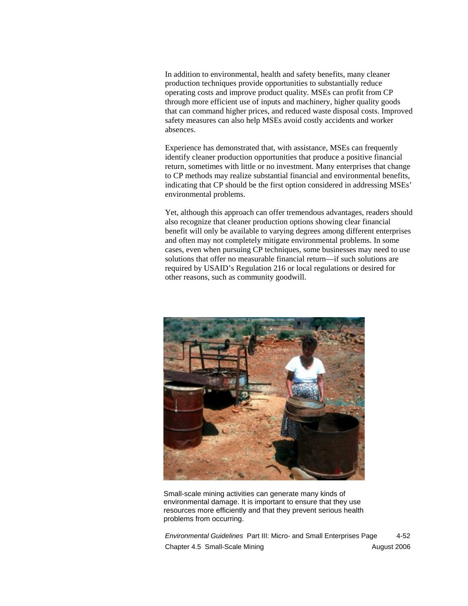In addition to environmental, health and safety benefits, many cleaner production techniques provide opportunities to substantially reduce operating costs and improve product quality. MSEs can profit from CP through more efficient use of inputs and machinery, higher quality goods that can command higher prices, and reduced waste disposal costs. Improved safety measures can also help MSEs avoid costly accidents and worker absences.

Experience has demonstrated that, with assistance, MSEs can frequently identify cleaner production opportunities that produce a positive financial return, sometimes with little or no investment. Many enterprises that change to CP methods may realize substantial financial and environmental benefits, indicating that CP should be the first option considered in addressing MSEs' environmental problems.

Yet, although this approach can offer tremendous advantages, readers should also recognize that cleaner production options showing clear financial benefit will only be available to varying degrees among different enterprises and often may not completely mitigate environmental problems. In some cases, even when pursuing CP techniques, some businesses may need to use solutions that offer no measurable financial return—if such solutions are required by USAID's Regulation 216 or local regulations or desired for other reasons, such as community goodwill.



Small-scale mining activities can generate many kinds of environmental damage. It is important to ensure that they use resources more efficiently and that they prevent serious health problems from occurring.

*Environmental Guidelines* Part III: Micro- and Small Enterprises Page 4-52 Chapter 4.5 Small-Scale Mining Chapter 4.5 Small-Scale Mining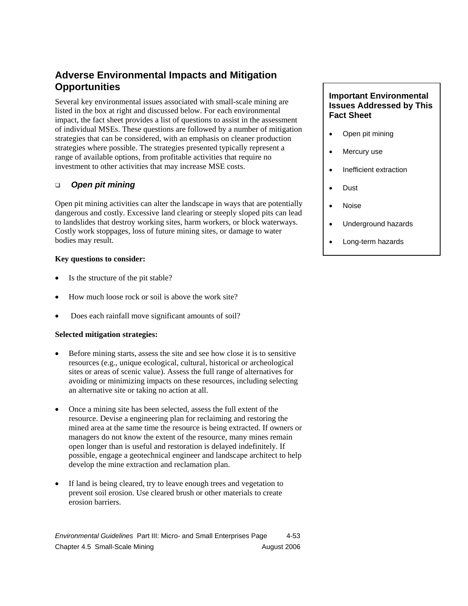# **Adverse Environmental Impacts and Mitigation Opportunities**

Several key environmental issues associated with small-scale mining are listed in the box at right and discussed below. For each environmental impact, the fact sheet provides a list of questions to assist in the assessment of individual MSEs. These questions are followed by a number of mitigation strategies that can be considered, with an emphasis on cleaner production strategies where possible. The strategies presented typically represent a range of available options, from profitable activities that require no investment to other activities that may increase MSE costs.

## *Open pit mining*

Open pit mining activities can alter the landscape in ways that are potentially dangerous and costly. Excessive land clearing or steeply sloped pits can lead to landslides that destroy working sites, harm workers, or block waterways. Costly work stoppages, loss of future mining sites, or damage to water bodies may result.

#### **Key questions to consider:**

- Is the structure of the pit stable?
- How much loose rock or soil is above the work site?
- Does each rainfall move significant amounts of soil?

#### **Selected mitigation strategies:**

- Before mining starts, assess the site and see how close it is to sensitive resources (e.g., unique ecological, cultural, historical or archeological sites or areas of scenic value). Assess the full range of alternatives for avoiding or minimizing impacts on these resources, including selecting an alternative site or taking no action at all.
- Once a mining site has been selected, assess the full extent of the resource. Devise a engineering plan for reclaiming and restoring the mined area at the same time the resource is being extracted. If owners or managers do not know the extent of the resource, many mines remain open longer than is useful and restoration is delayed indefinitely. If possible, engage a geotechnical engineer and landscape architect to help develop the mine extraction and reclamation plan.
- If land is being cleared, try to leave enough trees and vegetation to prevent soil erosion. Use cleared brush or other materials to create erosion barriers.

*Environmental Guidelines* Part III: Micro- and Small Enterprises Page 4-53 Chapter 4.5 Small-Scale Mining Chapter 4.5 Small-Scale Mining

## **Important Environmental Issues Addressed by This Fact Sheet**

- Open pit mining
- Mercury use
- Inefficient extraction
- Dust
- **Noise**
- Underground hazards
- Long-term hazards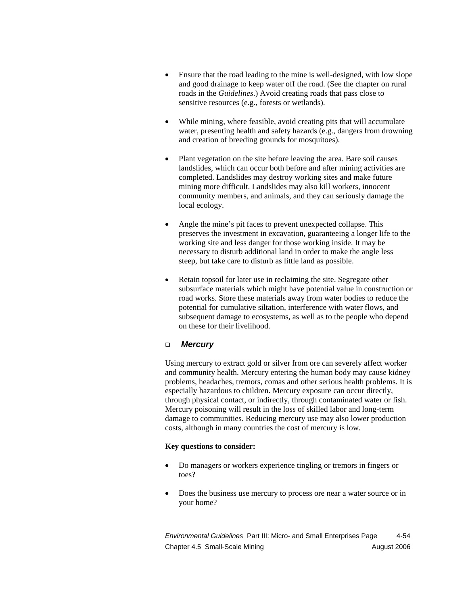- Ensure that the road leading to the mine is well-designed, with low slope and good drainage to keep water off the road. (See the chapter on rural roads in the *Guidelines*.) Avoid creating roads that pass close to sensitive resources (e.g., forests or wetlands).
- While mining, where feasible, avoid creating pits that will accumulate water, presenting health and safety hazards (e.g., dangers from drowning and creation of breeding grounds for mosquitoes).
- Plant vegetation on the site before leaving the area. Bare soil causes landslides, which can occur both before and after mining activities are completed. Landslides may destroy working sites and make future mining more difficult. Landslides may also kill workers, innocent community members, and animals, and they can seriously damage the local ecology.
- Angle the mine's pit faces to prevent unexpected collapse. This preserves the investment in excavation, guaranteeing a longer life to the working site and less danger for those working inside. It may be necessary to disturb additional land in order to make the angle less steep, but take care to disturb as little land as possible.
- Retain topsoil for later use in reclaiming the site. Segregate other subsurface materials which might have potential value in construction or road works. Store these materials away from water bodies to reduce the potential for cumulative siltation, interference with water flows, and subsequent damage to ecosystems, as well as to the people who depend on these for their livelihood.

#### *Mercury*

Using mercury to extract gold or silver from ore can severely affect worker and community health. Mercury entering the human body may cause kidney problems, headaches, tremors, comas and other serious health problems. It is especially hazardous to children. Mercury exposure can occur directly, through physical contact, or indirectly, through contaminated water or fish. Mercury poisoning will result in the loss of skilled labor and long-term damage to communities. Reducing mercury use may also lower production costs, although in many countries the cost of mercury is low.

#### **Key questions to consider:**

- Do managers or workers experience tingling or tremors in fingers or toes?
- Does the business use mercury to process ore near a water source or in your home?

*Environmental Guidelines* Part III: Micro- and Small Enterprises Page 4-54 Chapter 4.5 Small-Scale Mining Chapter 4.5 Small-Scale Mining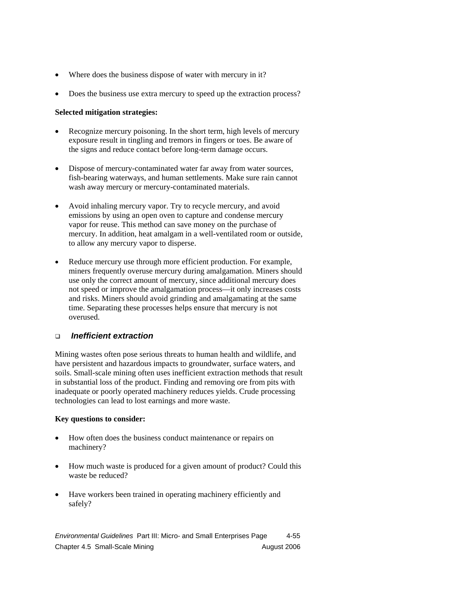- Where does the business dispose of water with mercury in it?
- Does the business use extra mercury to speed up the extraction process?

#### **Selected mitigation strategies:**

- Recognize mercury poisoning. In the short term, high levels of mercury exposure result in tingling and tremors in fingers or toes. Be aware of the signs and reduce contact before long-term damage occurs.
- Dispose of mercury-contaminated water far away from water sources, fish-bearing waterways, and human settlements. Make sure rain cannot wash away mercury or mercury-contaminated materials.
- Avoid inhaling mercury vapor. Try to recycle mercury, and avoid emissions by using an open oven to capture and condense mercury vapor for reuse. This method can save money on the purchase of mercury. In addition, heat amalgam in a well-ventilated room or outside, to allow any mercury vapor to disperse.
- Reduce mercury use through more efficient production. For example, miners frequently overuse mercury during amalgamation. Miners should use only the correct amount of mercury, since additional mercury does not speed or improve the amalgamation process—it only increases costs and risks. Miners should avoid grinding and amalgamating at the same time. Separating these processes helps ensure that mercury is not overused.

#### *Inefficient extraction*

Mining wastes often pose serious threats to human health and wildlife, and have persistent and hazardous impacts to groundwater, surface waters, and soils. Small-scale mining often uses inefficient extraction methods that result in substantial loss of the product. Finding and removing ore from pits with inadequate or poorly operated machinery reduces yields. Crude processing technologies can lead to lost earnings and more waste.

#### **Key questions to consider:**

- How often does the business conduct maintenance or repairs on machinery?
- How much waste is produced for a given amount of product? Could this waste be reduced?
- Have workers been trained in operating machinery efficiently and safely?

*Environmental Guidelines* Part III: Micro- and Small Enterprises Page 4-55 Chapter 4.5 Small-Scale Mining Chapter 4.5 Small-Scale Mining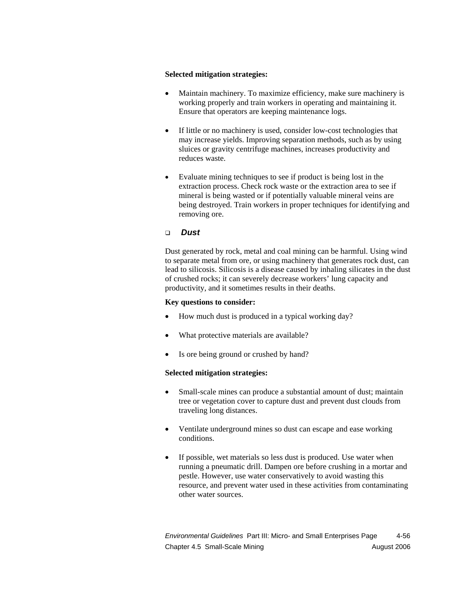#### **Selected mitigation strategies:**

- Maintain machinery. To maximize efficiency, make sure machinery is working properly and train workers in operating and maintaining it. Ensure that operators are keeping maintenance logs.
- If little or no machinery is used, consider low-cost technologies that may increase yields. Improving separation methods, such as by using sluices or gravity centrifuge machines, increases productivity and reduces waste.
- Evaluate mining techniques to see if product is being lost in the extraction process. Check rock waste or the extraction area to see if mineral is being wasted or if potentially valuable mineral veins are being destroyed. Train workers in proper techniques for identifying and removing ore.

#### *Dust*

Dust generated by rock, metal and coal mining can be harmful. Using wind to separate metal from ore, or using machinery that generates rock dust, can lead to silicosis. Silicosis is a disease caused by inhaling silicates in the dust of crushed rocks; it can severely decrease workers' lung capacity and productivity, and it sometimes results in their deaths.

#### **Key questions to consider:**

- How much dust is produced in a typical working day?
- What protective materials are available?
- Is ore being ground or crushed by hand?

#### **Selected mitigation strategies:**

- Small-scale mines can produce a substantial amount of dust; maintain tree or vegetation cover to capture dust and prevent dust clouds from traveling long distances.
- Ventilate underground mines so dust can escape and ease working conditions.
- If possible, wet materials so less dust is produced. Use water when running a pneumatic drill. Dampen ore before crushing in a mortar and pestle. However, use water conservatively to avoid wasting this resource, and prevent water used in these activities from contaminating other water sources.

*Environmental Guidelines* Part III: Micro- and Small Enterprises Page 4-56 Chapter 4.5 Small-Scale Mining Chapter 4.5 Small-Scale Mining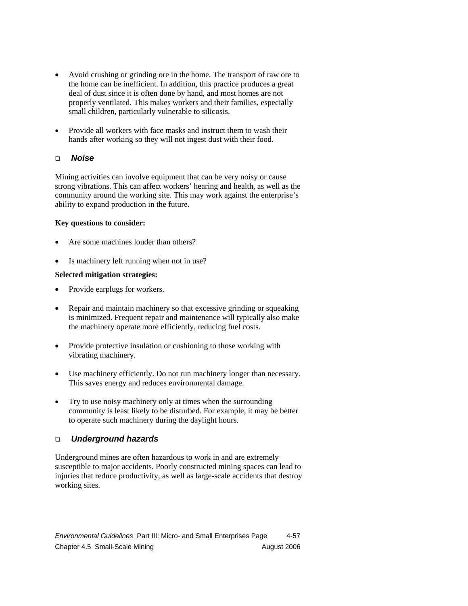- Avoid crushing or grinding ore in the home. The transport of raw ore to the home can be inefficient. In addition, this practice produces a great deal of dust since it is often done by hand, and most homes are not properly ventilated. This makes workers and their families, especially small children, particularly vulnerable to silicosis.
- Provide all workers with face masks and instruct them to wash their hands after working so they will not ingest dust with their food.

#### *Noise*

Mining activities can involve equipment that can be very noisy or cause strong vibrations. This can affect workers' hearing and health, as well as the community around the working site. This may work against the enterprise's ability to expand production in the future.

#### **Key questions to consider:**

- Are some machines louder than others?
- Is machinery left running when not in use?

#### **Selected mitigation strategies:**

- Provide earplugs for workers.
- Repair and maintain machinery so that excessive grinding or squeaking is minimized. Frequent repair and maintenance will typically also make the machinery operate more efficiently, reducing fuel costs.
- Provide protective insulation or cushioning to those working with vibrating machinery.
- Use machinery efficiently. Do not run machinery longer than necessary. This saves energy and reduces environmental damage.
- Try to use noisy machinery only at times when the surrounding community is least likely to be disturbed. For example, it may be better to operate such machinery during the daylight hours.

# *Underground hazards*

Underground mines are often hazardous to work in and are extremely susceptible to major accidents. Poorly constructed mining spaces can lead to injuries that reduce productivity, as well as large-scale accidents that destroy working sites.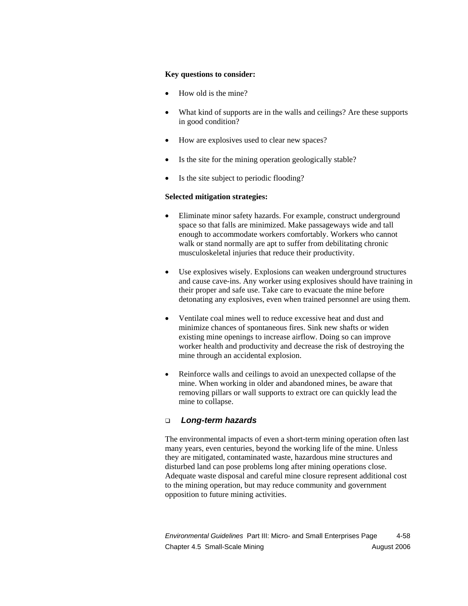#### **Key questions to consider:**

- How old is the mine?
- What kind of supports are in the walls and ceilings? Are these supports in good condition?
- How are explosives used to clear new spaces?
- Is the site for the mining operation geologically stable?
- Is the site subject to periodic flooding?

#### **Selected mitigation strategies:**

- Eliminate minor safety hazards. For example, construct underground space so that falls are minimized. Make passageways wide and tall enough to accommodate workers comfortably. Workers who cannot walk or stand normally are apt to suffer from debilitating chronic musculoskeletal injuries that reduce their productivity.
- Use explosives wisely. Explosions can weaken underground structures and cause cave-ins. Any worker using explosives should have training in their proper and safe use. Take care to evacuate the mine before detonating any explosives, even when trained personnel are using them.
- Ventilate coal mines well to reduce excessive heat and dust and minimize chances of spontaneous fires. Sink new shafts or widen existing mine openings to increase airflow. Doing so can improve worker health and productivity and decrease the risk of destroying the mine through an accidental explosion.
- Reinforce walls and ceilings to avoid an unexpected collapse of the mine. When working in older and abandoned mines, be aware that removing pillars or wall supports to extract ore can quickly lead the mine to collapse.

#### *Long-term hazards*

The environmental impacts of even a short-term mining operation often last many years, even centuries, beyond the working life of the mine. Unless they are mitigated, contaminated waste, hazardous mine structures and disturbed land can pose problems long after mining operations close. Adequate waste disposal and careful mine closure represent additional cost to the mining operation, but may reduce community and government opposition to future mining activities.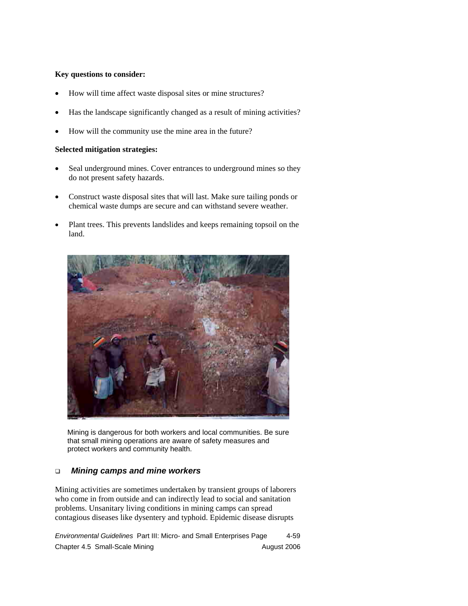#### **Key questions to consider:**

- How will time affect waste disposal sites or mine structures?
- Has the landscape significantly changed as a result of mining activities?
- How will the community use the mine area in the future?

#### **Selected mitigation strategies:**

- Seal underground mines. Cover entrances to underground mines so they do not present safety hazards.
- Construct waste disposal sites that will last. Make sure tailing ponds or chemical waste dumps are secure and can withstand severe weather.
- Plant trees. This prevents landslides and keeps remaining topsoil on the land.



Mining is dangerous for both workers and local communities. Be sure that small mining operations are aware of safety measures and protect workers and community health.

#### *Mining camps and mine workers*

Mining activities are sometimes undertaken by transient groups of laborers who come in from outside and can indirectly lead to social and sanitation problems. Unsanitary living conditions in mining camps can spread contagious diseases like dysentery and typhoid. Epidemic disease disrupts

*Environmental Guidelines* Part III: Micro- and Small Enterprises Page 4-59 Chapter 4.5 Small-Scale Mining Chapter 4.5 Small-Scale Mining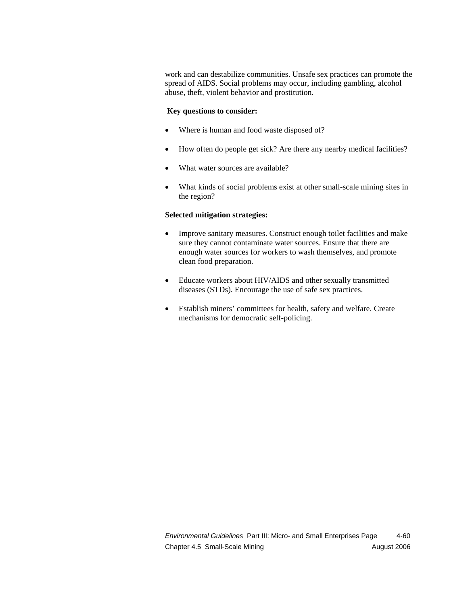work and can destabilize communities. Unsafe sex practices can promote the spread of AIDS. Social problems may occur, including gambling, alcohol abuse, theft, violent behavior and prostitution.

#### **Key questions to consider:**

- Where is human and food waste disposed of?
- How often do people get sick? Are there any nearby medical facilities?
- What water sources are available?
- What kinds of social problems exist at other small-scale mining sites in the region?

#### **Selected mitigation strategies:**

- Improve sanitary measures. Construct enough toilet facilities and make sure they cannot contaminate water sources. Ensure that there are enough water sources for workers to wash themselves, and promote clean food preparation.
- Educate workers about HIV/AIDS and other sexually transmitted diseases (STDs). Encourage the use of safe sex practices.
- Establish miners' committees for health, safety and welfare. Create mechanisms for democratic self-policing.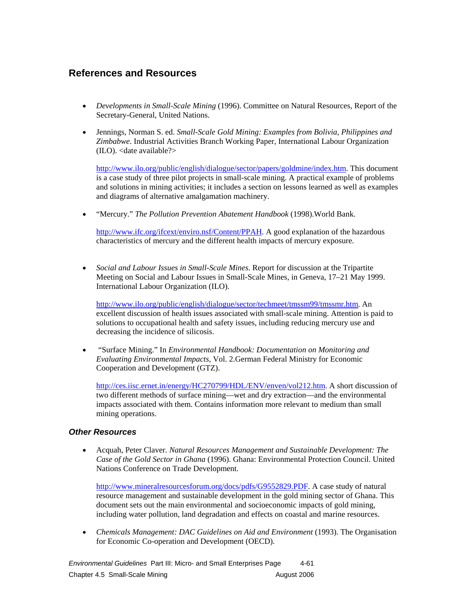# **References and Resources**

- *Developments in Small-Scale Mining* (1996). Committee on Natural Resources, Report of the Secretary-General, United Nations.
- Jennings, Norman S. ed. *Small-Scale Gold Mining: Examples from Bolivia, Philippines and Zimbabwe*. Industrial Activities Branch Working Paper, International Labour Organization (ILO).  $\langle$  date available? $>$

http://www.ilo.org/public/english/dialogue/sector/papers/goldmine/index.htm. This document is a case study of three pilot projects in small-scale mining. A practical example of problems and solutions in mining activities; it includes a section on lessons learned as well as examples and diagrams of alternative amalgamation machinery.

• "Mercury." *The Pollution Prevention Abatement Handbook* (1998).World Bank.

http://www.ifc.org/ifcext/enviro.nsf/Content/PPAH. A good explanation of the hazardous characteristics of mercury and the different health impacts of mercury exposure.

• *Social and Labour Issues in Small-Scale Mines*. Report for discussion at the Tripartite Meeting on Social and Labour Issues in Small-Scale Mines, in Geneva, 17–21 May 1999. International Labour Organization (ILO).

http://www.ilo.org/public/english/dialogue/sector/techmeet/tmssm99/tmssmr.htm. An excellent discussion of health issues associated with small-scale mining. Attention is paid to solutions to occupational health and safety issues, including reducing mercury use and decreasing the incidence of silicosis.

• "Surface Mining." In *Environmental Handbook: Documentation on Monitoring and Evaluating Environmental Impacts,* Vol. 2.German Federal Ministry for Economic Cooperation and Development (GTZ).

http://ces.iisc.ernet.in/energy/HC270799/HDL/ENV/enven/vol212.htm. A short discussion of two different methods of surface mining—wet and dry extraction—and the environmental impacts associated with them. Contains information more relevant to medium than small mining operations.

#### *Other Resources*

• Acquah, Peter Claver*. Natural Resources Management and Sustainable Development: The Case of the Gold Sector in Ghana* (1996). Ghana: Environmental Protection Council. United Nations Conference on Trade Development.

http://www.mineralresourcesforum.org/docs/pdfs/G9552829.PDF. A case study of natural resource management and sustainable development in the gold mining sector of Ghana. This document sets out the main environmental and socioeconomic impacts of gold mining, including water pollution, land degradation and effects on coastal and marine resources.

• *Chemicals Management: DAC Guidelines on Aid and Environment* (1993). The Organisation for Economic Co-operation and Development (OECD).

*Environmental Guidelines* Part III: Micro- and Small Enterprises Page 4-61 Chapter 4.5 Small-Scale Mining Chapter 2006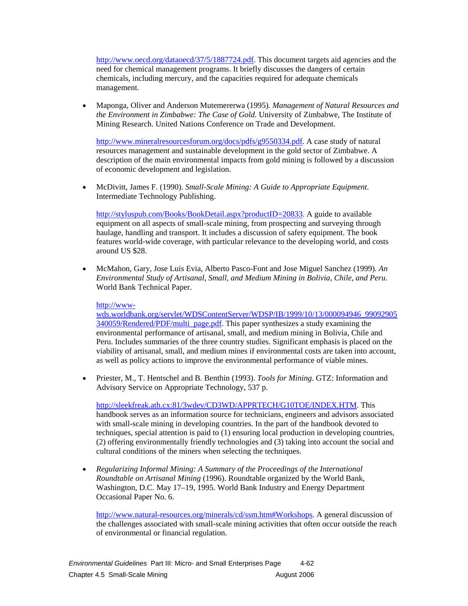http://www.oecd.org/dataoecd/37/5/1887724.pdf. This document targets aid agencies and the need for chemical management programs. It briefly discusses the dangers of certain chemicals, including mercury, and the capacities required for adequate chemicals management.

• Maponga, Oliver and Anderson Mutemererwa (1995)*. Management of Natural Resources and the Environment in Zimbabwe: The Case of Gold.* University of Zimbabwe, The Institute of Mining Research. United Nations Conference on Trade and Development.

http://www.mineralresourcesforum.org/docs/pdfs/g9550334.pdf. A case study of natural resources management and sustainable development in the gold sector of Zimbabwe. A description of the main environmental impacts from gold mining is followed by a discussion of economic development and legislation.

• McDivitt, James F. (1990). *Small-Scale Mining: A Guide to Appropriate Equipment*. Intermediate Technology Publishing.

http://styluspub.com/Books/BookDetail.aspx?productID=20833. A guide to available equipment on all aspects of small-scale mining, from prospecting and surveying through haulage, handling and transport. It includes a discussion of safety equipment. The book features world-wide coverage, with particular relevance to the developing world, and costs around US \$28.

• McMahon, Gary, Jose Luis Evia, Alberto Pasco-Font and Jose Miguel Sanchez (1999)*. An Environmental Study of Artisanal, Small, and Medium Mining in Bolivia, Chile, and Peru*. World Bank Technical Paper.

#### http://www-

wds.worldbank.org/servlet/WDSContentServer/WDSP/IB/1999/10/13/000094946\_99092905 340059/Rendered/PDF/multi\_page.pdf. This paper synthesizes a study examining the environmental performance of artisanal, small, and medium mining in Bolivia, Chile and Peru. Includes summaries of the three country studies. Significant emphasis is placed on the viability of artisanal, small, and medium mines if environmental costs are taken into account, as well as policy actions to improve the environmental performance of viable mines.

• Priester, M., T. Hentschel and B. Benthin (1993). *Tools for Mining*. GTZ: Information and Advisory Service on Appropriate Technology, 537 p.

http://sleekfreak.ath.cx:81/3wdev/CD3WD/APPRTECH/G10TOE/INDEX.HTM. This handbook serves as an information source for technicians, engineers and advisors associated with small-scale mining in developing countries. In the part of the handbook devoted to techniques, special attention is paid to (1) ensuring local production in developing countries, (2) offering environmentally friendly technologies and (3) taking into account the social and cultural conditions of the miners when selecting the techniques.

• *Regularizing Informal Mining: A Summary of the Proceedings of the International Roundtable on Artisanal Mining* (1996). Roundtable organized by the World Bank, Washington, D.C. May 17–19, 1995. World Bank Industry and Energy Department Occasional Paper No. 6.

http://www.natural-resources.org/minerals/cd/ssm.htm#Workshops. A general discussion of the challenges associated with small-scale mining activities that often occur outside the reach of environmental or financial regulation.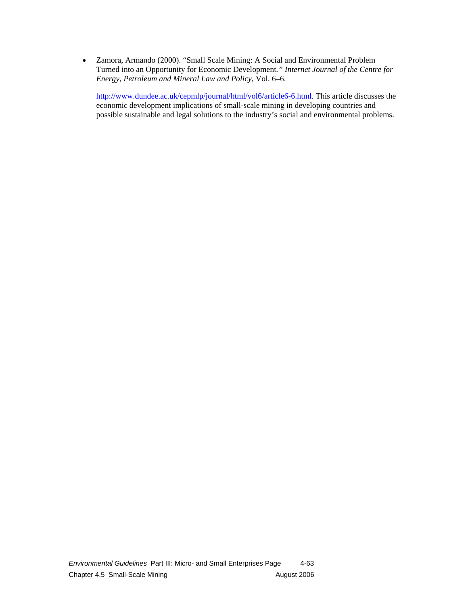• Zamora, Armando (2000). "Small Scale Mining: A Social and Environmental Problem Turned into an Opportunity for Economic Development*." Internet Journal of the Centre for Energy, Petroleum and Mineral Law and Policy*, Vol. 6–6.

http://www.dundee.ac.uk/cepmlp/journal/html/vol6/article6-6.html. This article discusses the economic development implications of small-scale mining in developing countries and possible sustainable and legal solutions to the industry's social and environmental problems.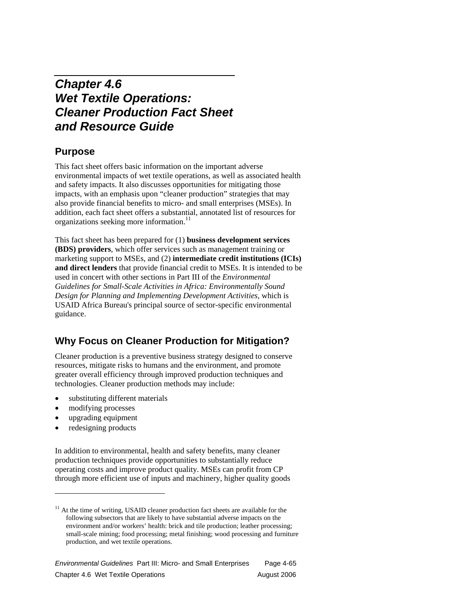# *Chapter 4.6 Wet Textile Operations: Cleaner Production Fact Sheet and Resource Guide*

# **Purpose**

This fact sheet offers basic information on the important adverse environmental impacts of wet textile operations, as well as associated health and safety impacts. It also discusses opportunities for mitigating those impacts, with an emphasis upon "cleaner production" strategies that may also provide financial benefits to micro- and small enterprises (MSEs). In addition, each fact sheet offers a substantial, annotated list of resources for organizations seeking more information.<sup>11</sup>

This fact sheet has been prepared for (1) **business development services (BDS) providers**, which offer services such as management training or marketing support to MSEs, and (2) **intermediate credit institutions (ICIs) and direct lenders** that provide financial credit to MSEs. It is intended to be used in concert with other sections in Part III of the *Environmental Guidelines for Small-Scale Activities in Africa: Environmentally Sound Design for Planning and Implementing Development Activities,* which is USAID Africa Bureau's principal source of sector-specific environmental guidance.

# **Why Focus on Cleaner Production for Mitigation?**

Cleaner production is a preventive business strategy designed to conserve resources, mitigate risks to humans and the environment, and promote greater overall efficiency through improved production techniques and technologies. Cleaner production methods may include:

- substituting different materials
- modifying processes
- upgrading equipment
- redesigning products

 $\overline{a}$ 

In addition to environmental, health and safety benefits, many cleaner production techniques provide opportunities to substantially reduce operating costs and improve product quality. MSEs can profit from CP through more efficient use of inputs and machinery, higher quality goods

 $11$  At the time of writing, USAID cleaner production fact sheets are available for the following subsectors that are likely to have substantial adverse impacts on the environment and/or workers' health: brick and tile production; leather processing; small-scale mining; food processing; metal finishing; wood processing and furniture production, and wet textile operations.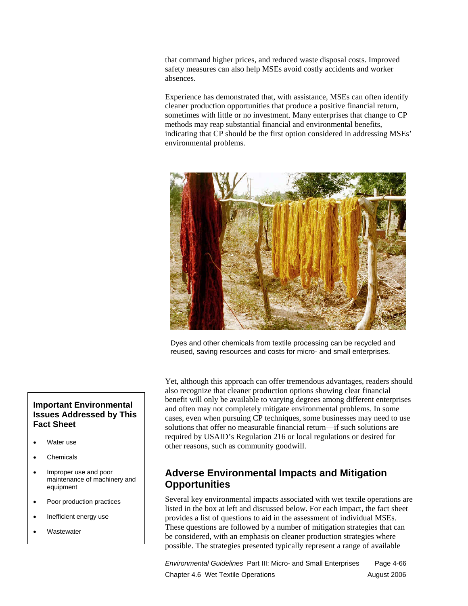that command higher prices, and reduced waste disposal costs. Improved safety measures can also help MSEs avoid costly accidents and worker absences.

Experience has demonstrated that, with assistance, MSEs can often identify cleaner production opportunities that produce a positive financial return, sometimes with little or no investment. Many enterprises that change to CP methods may reap substantial financial and environmental benefits, indicating that CP should be the first option considered in addressing MSEs' environmental problems.



Dyes and other chemicals from textile processing can be recycled and reused, saving resources and costs for micro- and small enterprises.

Yet, although this approach can offer tremendous advantages, readers should also recognize that cleaner production options showing clear financial benefit will only be available to varying degrees among different enterprises and often may not completely mitigate environmental problems. In some cases, even when pursuing CP techniques, some businesses may need to use solutions that offer no measurable financial return—if such solutions are required by USAID's Regulation 216 or local regulations or desired for other reasons, such as community goodwill.

# **Adverse Environmental Impacts and Mitigation Opportunities**

Several key environmental impacts associated with wet textile operations are listed in the box at left and discussed below. For each impact, the fact sheet provides a list of questions to aid in the assessment of individual MSEs. These questions are followed by a number of mitigation strategies that can be considered, with an emphasis on cleaner production strategies where possible. The strategies presented typically represent a range of available

*Environmental Guidelines* Part III: Micro- and Small Enterprises Page 4-66 Chapter 4.6 Wet Textile Operations **August 2006** 

# **Important Environmental Issues Addressed by This Fact Sheet**

- Water use
- Chemicals
- Improper use and poor maintenance of machinery and equipment
- Poor production practices
- Inefficient energy use
- **Wastewater**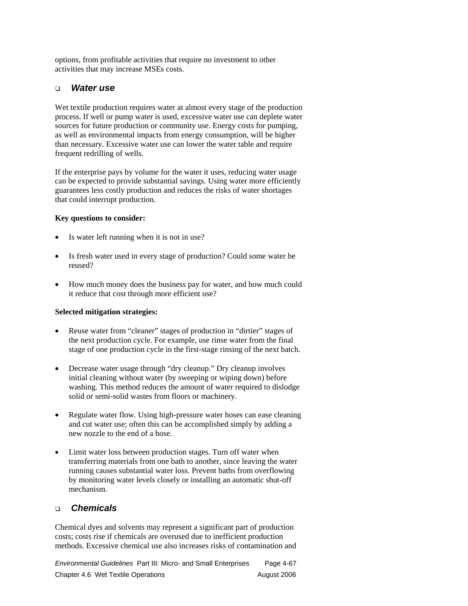options, from profitable activities that require no investment to other activities that may increase MSEs costs.

# *Water use*

Wet textile production requires water at almost every stage of the production process. If well or pump water is used, excessive water use can deplete water sources for future production or community use. Energy costs for pumping, as well as environmental impacts from energy consumption, will be higher than necessary. Excessive water use can lower the water table and require frequent redrilling of wells.

If the enterprise pays by volume for the water it uses, reducing water usage can be expected to provide substantial savings. Using water more efficiently guarantees less costly production and reduces the risks of water shortages that could interrupt production.

#### **Key questions to consider:**

- Is water left running when it is not in use?
- Is fresh water used in every stage of production? Could some water be reused?
- How much money does the business pay for water, and how much could it reduce that cost through more efficient use?

# **Selected mitigation strategies:**

- Reuse water from "cleaner" stages of production in "dirtier" stages of the next production cycle. For example, use rinse water from the final stage of one production cycle in the first-stage rinsing of the next batch.
- Decrease water usage through "dry cleanup." Dry cleanup involves initial cleaning without water (by sweeping or wiping down) before washing. This method reduces the amount of water required to dislodge solid or semi-solid wastes from floors or machinery.
- Regulate water flow. Using high-pressure water hoses can ease cleaning and cut water use; often this can be accomplished simply by adding a new nozzle to the end of a hose.
- Limit water loss between production stages. Turn off water when transferring materials from one bath to another, since leaving the water running causes substantial water loss. Prevent baths from overflowing by monitoring water levels closely or installing an automatic shut-off mechanism.

# *Chemicals*

Chemical dyes and solvents may represent a significant part of production costs; costs rise if chemicals are overused due to inefficient production methods. Excessive chemical use also increases risks of contamination and

*Environmental Guidelines* Part III: Micro- and Small Enterprises Page 4-67 Chapter 4.6 Wet Textile Operations **August 2006**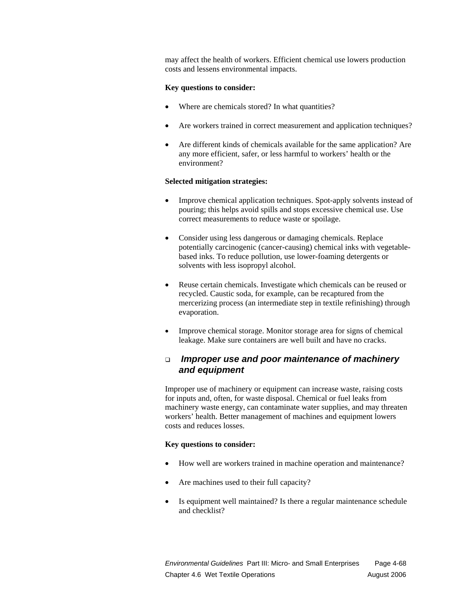may affect the health of workers. Efficient chemical use lowers production costs and lessens environmental impacts.

#### **Key questions to consider:**

- Where are chemicals stored? In what quantities?
- Are workers trained in correct measurement and application techniques?
- Are different kinds of chemicals available for the same application? Are any more efficient, safer, or less harmful to workers' health or the environment?

#### **Selected mitigation strategies:**

- Improve chemical application techniques. Spot-apply solvents instead of pouring; this helps avoid spills and stops excessive chemical use. Use correct measurements to reduce waste or spoilage.
- Consider using less dangerous or damaging chemicals. Replace potentially carcinogenic (cancer-causing) chemical inks with vegetablebased inks. To reduce pollution, use lower-foaming detergents or solvents with less isopropyl alcohol.
- Reuse certain chemicals. Investigate which chemicals can be reused or recycled. Caustic soda, for example, can be recaptured from the mercerizing process (an intermediate step in textile refinishing) through evaporation.
- Improve chemical storage. Monitor storage area for signs of chemical leakage. Make sure containers are well built and have no cracks.

# *Improper use and poor maintenance of machinery and equipment*

Improper use of machinery or equipment can increase waste, raising costs for inputs and, often, for waste disposal. Chemical or fuel leaks from machinery waste energy, can contaminate water supplies, and may threaten workers' health. Better management of machines and equipment lowers costs and reduces losses.

#### **Key questions to consider:**

- How well are workers trained in machine operation and maintenance?
- Are machines used to their full capacity?
- Is equipment well maintained? Is there a regular maintenance schedule and checklist?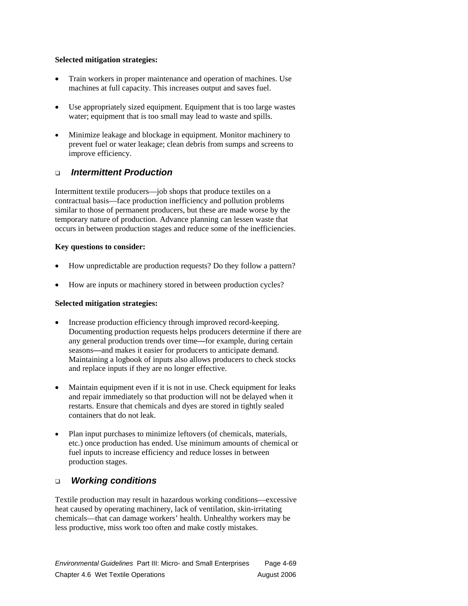#### **Selected mitigation strategies:**

- Train workers in proper maintenance and operation of machines. Use machines at full capacity. This increases output and saves fuel.
- Use appropriately sized equipment. Equipment that is too large wastes water; equipment that is too small may lead to waste and spills.
- Minimize leakage and blockage in equipment. Monitor machinery to prevent fuel or water leakage; clean debris from sumps and screens to improve efficiency.

# *Intermittent Production*

Intermittent textile producers—job shops that produce textiles on a contractual basis—face production inefficiency and pollution problems similar to those of permanent producers, but these are made worse by the temporary nature of production. Advance planning can lessen waste that occurs in between production stages and reduce some of the inefficiencies.

#### **Key questions to consider:**

- How unpredictable are production requests? Do they follow a pattern?
- How are inputs or machinery stored in between production cycles?

#### **Selected mitigation strategies:**

- Increase production efficiency through improved record-keeping. Documenting production requests helps producers determine if there are any general production trends over time**—**for example, during certain seasons**—**and makes it easier for producers to anticipate demand. Maintaining a logbook of inputs also allows producers to check stocks and replace inputs if they are no longer effective.
- Maintain equipment even if it is not in use. Check equipment for leaks and repair immediately so that production will not be delayed when it restarts. Ensure that chemicals and dyes are stored in tightly sealed containers that do not leak.
- Plan input purchases to minimize leftovers (of chemicals, materials, etc.) once production has ended. Use minimum amounts of chemical or fuel inputs to increase efficiency and reduce losses in between production stages.

# *Working conditions*

Textile production may result in hazardous working conditions—excessive heat caused by operating machinery, lack of ventilation, skin-irritating chemicals—that can damage workers' health. Unhealthy workers may be less productive, miss work too often and make costly mistakes.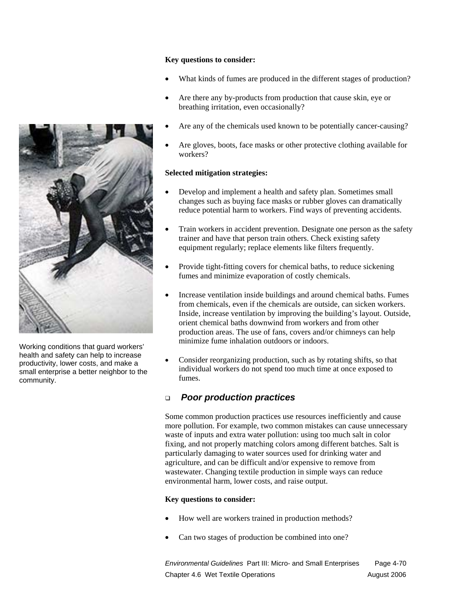Working conditions that guard workers' health and safety can help to increase productivity, lower costs, and make a small enterprise a better neighbor to the community.

#### **Key questions to consider:**

- What kinds of fumes are produced in the different stages of production?
- Are there any by-products from production that cause skin, eye or breathing irritation, even occasionally?
- Are any of the chemicals used known to be potentially cancer-causing?
- Are gloves, boots, face masks or other protective clothing available for workers?

#### **Selected mitigation strategies:**

- Develop and implement a health and safety plan. Sometimes small changes such as buying face masks or rubber gloves can dramatically reduce potential harm to workers. Find ways of preventing accidents.
- Train workers in accident prevention. Designate one person as the safety trainer and have that person train others. Check existing safety equipment regularly; replace elements like filters frequently.
- Provide tight-fitting covers for chemical baths, to reduce sickening fumes and minimize evaporation of costly chemicals.
- Increase ventilation inside buildings and around chemical baths. Fumes from chemicals, even if the chemicals are outside, can sicken workers. Inside, increase ventilation by improving the building's layout. Outside, orient chemical baths downwind from workers and from other production areas. The use of fans, covers and/or chimneys can help minimize fume inhalation outdoors or indoors.
- Consider reorganizing production, such as by rotating shifts, so that individual workers do not spend too much time at once exposed to fumes.

# *Poor production practices*

Some common production practices use resources inefficiently and cause more pollution. For example, two common mistakes can cause unnecessary waste of inputs and extra water pollution: using too much salt in color fixing, and not properly matching colors among different batches. Salt is particularly damaging to water sources used for drinking water and agriculture, and can be difficult and/or expensive to remove from wastewater. Changing textile production in simple ways can reduce environmental harm, lower costs, and raise output.

#### **Key questions to consider:**

- How well are workers trained in production methods?
- Can two stages of production be combined into one?

*Environmental Guidelines* Part III: Micro- and Small Enterprises Page 4-70 Chapter 4.6 Wet Textile Operations **August 2006**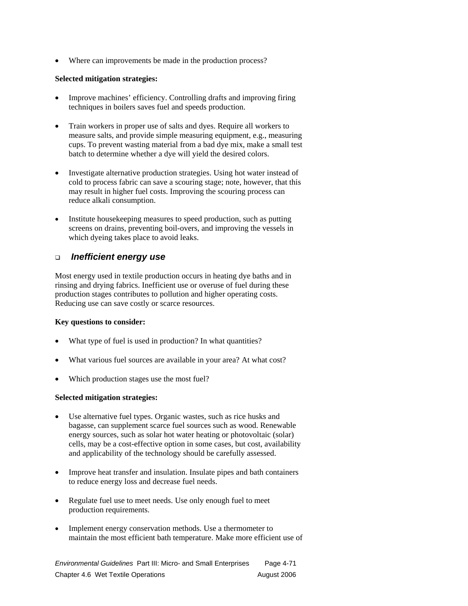• Where can improvements be made in the production process?

#### **Selected mitigation strategies:**

- Improve machines' efficiency. Controlling drafts and improving firing techniques in boilers saves fuel and speeds production.
- Train workers in proper use of salts and dyes. Require all workers to measure salts, and provide simple measuring equipment, e.g., measuring cups. To prevent wasting material from a bad dye mix, make a small test batch to determine whether a dye will yield the desired colors.
- Investigate alternative production strategies. Using hot water instead of cold to process fabric can save a scouring stage; note, however, that this may result in higher fuel costs. Improving the scouring process can reduce alkali consumption.
- Institute housekeeping measures to speed production, such as putting screens on drains, preventing boil-overs, and improving the vessels in which dyeing takes place to avoid leaks.

# *Inefficient energy use*

Most energy used in textile production occurs in heating dye baths and in rinsing and drying fabrics. Inefficient use or overuse of fuel during these production stages contributes to pollution and higher operating costs. Reducing use can save costly or scarce resources.

#### **Key questions to consider:**

- What type of fuel is used in production? In what quantities?
- What various fuel sources are available in your area? At what cost?
- Which production stages use the most fuel?

#### **Selected mitigation strategies:**

- Use alternative fuel types. Organic wastes, such as rice husks and bagasse, can supplement scarce fuel sources such as wood. Renewable energy sources, such as solar hot water heating or photovoltaic (solar) cells, may be a cost-effective option in some cases, but cost, availability and applicability of the technology should be carefully assessed.
- Improve heat transfer and insulation. Insulate pipes and bath containers to reduce energy loss and decrease fuel needs.
- Regulate fuel use to meet needs. Use only enough fuel to meet production requirements.
- Implement energy conservation methods. Use a thermometer to maintain the most efficient bath temperature. Make more efficient use of

*Environmental Guidelines* Part III: Micro- and Small Enterprises Page 4-71 Chapter 4.6 Wet Textile Operations **August 2006**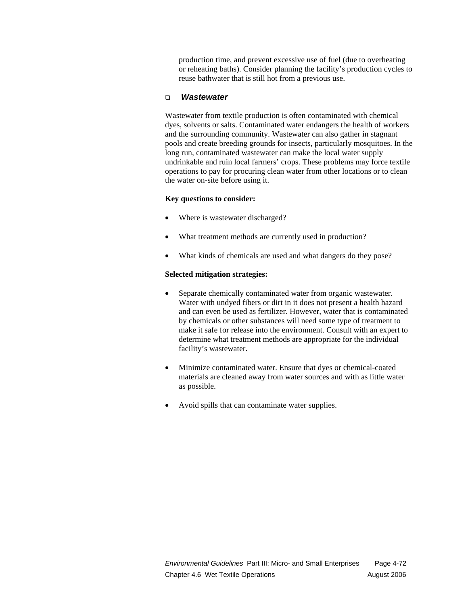production time, and prevent excessive use of fuel (due to overheating or reheating baths). Consider planning the facility's production cycles to reuse bathwater that is still hot from a previous use.

#### *Wastewater*

Wastewater from textile production is often contaminated with chemical dyes, solvents or salts. Contaminated water endangers the health of workers and the surrounding community. Wastewater can also gather in stagnant pools and create breeding grounds for insects, particularly mosquitoes. In the long run, contaminated wastewater can make the local water supply undrinkable and ruin local farmers' crops. These problems may force textile operations to pay for procuring clean water from other locations or to clean the water on-site before using it.

#### **Key questions to consider:**

- Where is wastewater discharged?
- What treatment methods are currently used in production?
- What kinds of chemicals are used and what dangers do they pose?

#### **Selected mitigation strategies:**

- Separate chemically contaminated water from organic wastewater. Water with undyed fibers or dirt in it does not present a health hazard and can even be used as fertilizer. However, water that is contaminated by chemicals or other substances will need some type of treatment to make it safe for release into the environment. Consult with an expert to determine what treatment methods are appropriate for the individual facility's wastewater.
- Minimize contaminated water. Ensure that dyes or chemical-coated materials are cleaned away from water sources and with as little water as possible.
- Avoid spills that can contaminate water supplies.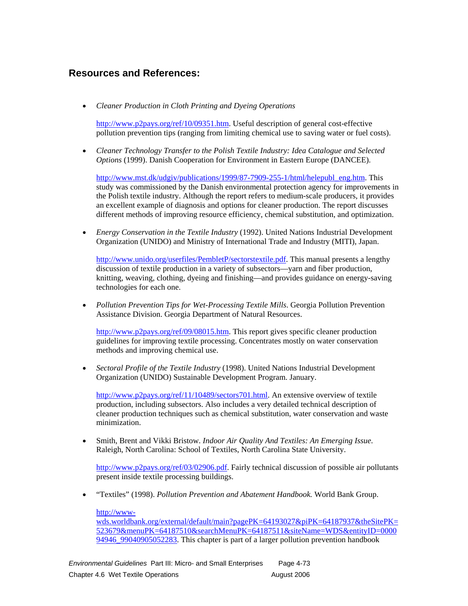## **Resources and References:**

• *Cleaner Production in Cloth Printing and Dyeing Operations* 

http://www.p2pays.org/ref/10/09351.htm. Useful description of general cost-effective pollution prevention tips (ranging from limiting chemical use to saving water or fuel costs).

• *Cleaner Technology Transfer to the Polish Textile Industry: Idea Catalogue and Selected Options* (1999). Danish Cooperation for Environment in Eastern Europe (DANCEE).

http://www.mst.dk/udgiv/publications/1999/87-7909-255-1/html/helepubl\_eng.htm. This study was commissioned by the Danish environmental protection agency for improvements in the Polish textile industry. Although the report refers to medium-scale producers, it provides an excellent example of diagnosis and options for cleaner production. The report discusses different methods of improving resource efficiency, chemical substitution, and optimization.

• *Energy Conservation in the Textile Industry* (1992). United Nations Industrial Development Organization (UNIDO) and Ministry of International Trade and Industry (MITI), Japan.

http://www.unido.org/userfiles/PembletP/sectorstextile.pdf. This manual presents a lengthy discussion of textile production in a variety of subsectors—yarn and fiber production, knitting, weaving, clothing, dyeing and finishing—and provides guidance on energy-saving technologies for each one.

• *Pollution Prevention Tips for Wet-Processing Textile Mills*. Georgia Pollution Prevention Assistance Division. Georgia Department of Natural Resources.

http://www.p2pays.org/ref/09/08015.htm. This report gives specific cleaner production guidelines for improving textile processing. Concentrates mostly on water conservation methods and improving chemical use.

• *Sectoral Profile of the Textile Industry* (1998). United Nations Industrial Development Organization (UNIDO) Sustainable Development Program. January.

http://www.p2pays.org/ref/11/10489/sectors701.html. An extensive overview of textile production, including subsectors. Also includes a very detailed technical description of cleaner production techniques such as chemical substitution, water conservation and waste minimization.

• Smith, Brent and Vikki Bristow. *Indoor Air Quality And Textiles: An Emerging Issue.* Raleigh, North Carolina: School of Textiles, North Carolina State University.

http://www.p2pays.org/ref/03/02906.pdf. Fairly technical discussion of possible air pollutants present inside textile processing buildings.

• "Textiles" (1998). *Pollution Prevention and Abatement Handbook.* World Bank Group.

http://www-

wds.worldbank.org/external/default/main?pagePK=64193027&piPK=64187937&theSitePK= 523679&menuPK=64187510&searchMenuPK=64187511&siteName=WDS&entityID=0000 94946\_99040905052283. This chapter is part of a larger pollution prevention handbook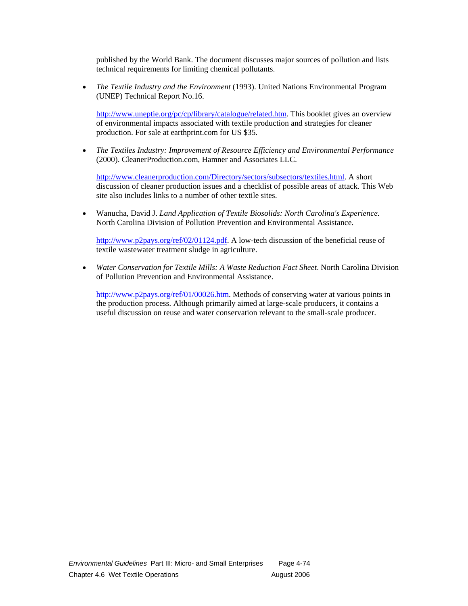published by the World Bank. The document discusses major sources of pollution and lists technical requirements for limiting chemical pollutants.

• *The Textile Industry and the Environment* (1993). United Nations Environmental Program (UNEP) Technical Report No.16.

http://www.uneptie.org/pc/cp/library/catalogue/related.htm. This booklet gives an overview of environmental impacts associated with textile production and strategies for cleaner production. For sale at earthprint.com for US \$35.

• *The Textiles Industry: Improvement of Resource Efficiency and Environmental Performance*  (2000). CleanerProduction.com, Hamner and Associates LLC.

http://www.cleanerproduction.com/Directory/sectors/subsectors/textiles.html. A short discussion of cleaner production issues and a checklist of possible areas of attack. This Web site also includes links to a number of other textile sites.

• Wanucha, David J. *Land Application of Textile Biosolids: North Carolina's Experience.* North Carolina Division of Pollution Prevention and Environmental Assistance.

http://www.p2pays.org/ref/02/01124.pdf. A low-tech discussion of the beneficial reuse of textile wastewater treatment sludge in agriculture.

• *Water Conservation for Textile Mills: A Waste Reduction Fact Sheet*. North Carolina Division of Pollution Prevention and Environmental Assistance.

http://www.p2pays.org/ref/01/00026.htm. Methods of conserving water at various points in the production process. Although primarily aimed at large-scale producers, it contains a useful discussion on reuse and water conservation relevant to the small-scale producer.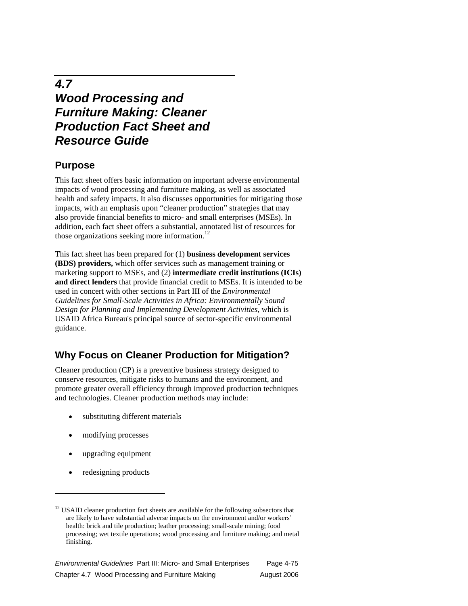# *4.7 Wood Processing and Furniture Making: Cleaner Production Fact Sheet and Resource Guide*

## **Purpose**

This fact sheet offers basic information on important adverse environmental impacts of wood processing and furniture making, as well as associated health and safety impacts. It also discusses opportunities for mitigating those impacts, with an emphasis upon "cleaner production" strategies that may also provide financial benefits to micro- and small enterprises (MSEs). In addition, each fact sheet offers a substantial, annotated list of resources for those organizations seeking more information.<sup>12</sup>

This fact sheet has been prepared for (1) **business development services (BDS) providers,** which offer services such as management training or marketing support to MSEs, and (2) **intermediate credit institutions (ICIs) and direct lenders** that provide financial credit to MSEs. It is intended to be used in concert with other sections in Part III of the *Environmental Guidelines for Small-Scale Activities in Africa: Environmentally Sound Design for Planning and Implementing Development Activities,* which is USAID Africa Bureau's principal source of sector-specific environmental guidance.

# **Why Focus on Cleaner Production for Mitigation?**

Cleaner production (CP) is a preventive business strategy designed to conserve resources, mitigate risks to humans and the environment, and promote greater overall efficiency through improved production techniques and technologies. Cleaner production methods may include:

- substituting different materials
- modifying processes
- upgrading equipment
- redesigning products

-

 $12$  USAID cleaner production fact sheets are available for the following subsectors that are likely to have substantial adverse impacts on the environment and/or workers' health: brick and tile production; leather processing; small-scale mining; food processing; wet textile operations; wood processing and furniture making; and metal finishing.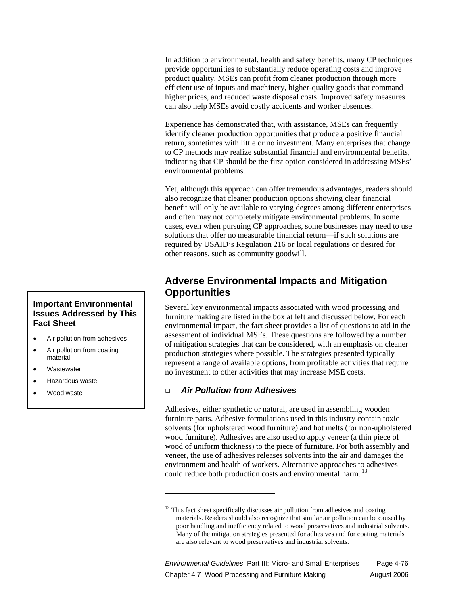In addition to environmental, health and safety benefits, many CP techniques provide opportunities to substantially reduce operating costs and improve product quality. MSEs can profit from cleaner production through more efficient use of inputs and machinery, higher-quality goods that command higher prices, and reduced waste disposal costs. Improved safety measures can also help MSEs avoid costly accidents and worker absences.

Experience has demonstrated that, with assistance, MSEs can frequently identify cleaner production opportunities that produce a positive financial return, sometimes with little or no investment. Many enterprises that change to CP methods may realize substantial financial and environmental benefits, indicating that CP should be the first option considered in addressing MSEs' environmental problems.

Yet, although this approach can offer tremendous advantages, readers should also recognize that cleaner production options showing clear financial benefit will only be available to varying degrees among different enterprises and often may not completely mitigate environmental problems. In some cases, even when pursuing CP approaches, some businesses may need to use solutions that offer no measurable financial return—if such solutions are required by USAID's Regulation 216 or local regulations or desired for other reasons, such as community goodwill.

## **Adverse Environmental Impacts and Mitigation Opportunities**

Several key environmental impacts associated with wood processing and furniture making are listed in the box at left and discussed below. For each environmental impact, the fact sheet provides a list of questions to aid in the assessment of individual MSEs. These questions are followed by a number of mitigation strategies that can be considered, with an emphasis on cleaner production strategies where possible. The strategies presented typically represent a range of available options, from profitable activities that require no investment to other activities that may increase MSE costs.

## *Air Pollution from Adhesives*

-

Adhesives, either synthetic or natural, are used in assembling wooden furniture parts. Adhesive formulations used in this industry contain toxic solvents (for upholstered wood furniture) and hot melts (for non-upholstered wood furniture). Adhesives are also used to apply veneer (a thin piece of wood of uniform thickness) to the piece of furniture. For both assembly and veneer, the use of adhesives releases solvents into the air and damages the environment and health of workers. Alternative approaches to adhesives could reduce both production costs and environmental harm.<sup>13</sup>

## **Important Environmental Issues Addressed by This Fact Sheet**

- Air pollution from adhesives
- Air pollution from coating material
- **Wastewater**
- Hazardous waste
- Wood waste

 $13$  This fact sheet specifically discusses air pollution from adhesives and coating materials. Readers should also recognize that similar air pollution can be caused by poor handling and inefficiency related to wood preservatives and industrial solvents. Many of the mitigation strategies presented for adhesives and for coating materials are also relevant to wood preservatives and industrial solvents.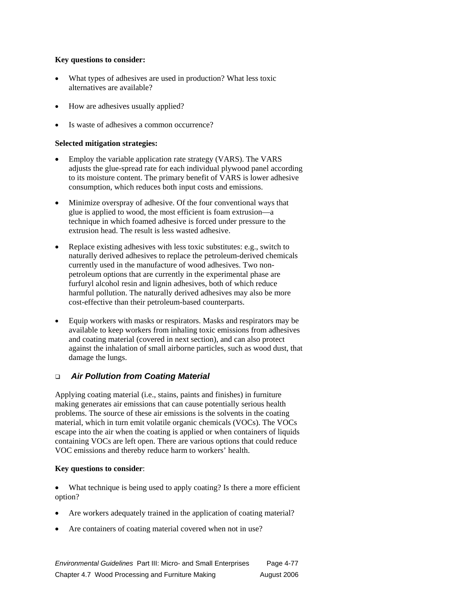#### **Key questions to consider:**

- What types of adhesives are used in production? What less toxic alternatives are available?
- How are adhesives usually applied?
- Is waste of adhesives a common occurrence?

### **Selected mitigation strategies:**

- Employ the variable application rate strategy (VARS). The VARS adjusts the glue-spread rate for each individual plywood panel according to its moisture content. The primary benefit of VARS is lower adhesive consumption, which reduces both input costs and emissions.
- Minimize overspray of adhesive. Of the four conventional ways that glue is applied to wood, the most efficient is foam extrusion—a technique in which foamed adhesive is forced under pressure to the extrusion head. The result is less wasted adhesive.
- Replace existing adhesives with less toxic substitutes: e.g., switch to naturally derived adhesives to replace the petroleum-derived chemicals currently used in the manufacture of wood adhesives. Two nonpetroleum options that are currently in the experimental phase are furfuryl alcohol resin and lignin adhesives, both of which reduce harmful pollution. The naturally derived adhesives may also be more cost-effective than their petroleum-based counterparts.
- Equip workers with masks or respirators. Masks and respirators may be available to keep workers from inhaling toxic emissions from adhesives and coating material (covered in next section), and can also protect against the inhalation of small airborne particles, such as wood dust, that damage the lungs.

## *Air Pollution from Coating Material*

Applying coating material (i.e., stains, paints and finishes) in furniture making generates air emissions that can cause potentially serious health problems. The source of these air emissions is the solvents in the coating material, which in turn emit volatile organic chemicals (VOCs). The VOCs escape into the air when the coating is applied or when containers of liquids containing VOCs are left open. There are various options that could reduce VOC emissions and thereby reduce harm to workers' health.

### **Key questions to consider**:

- What technique is being used to apply coating? Is there a more efficient option?
- Are workers adequately trained in the application of coating material?
- Are containers of coating material covered when not in use?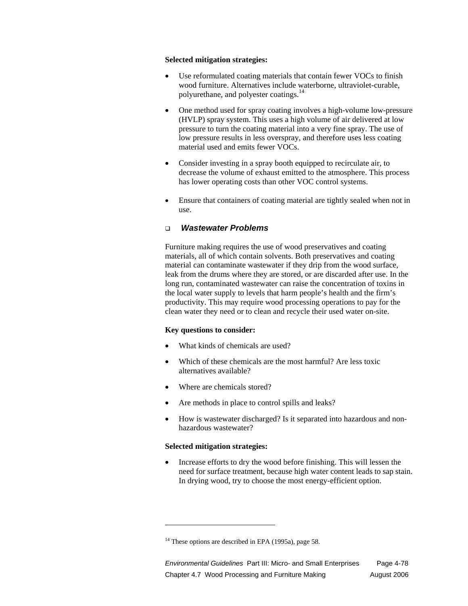#### **Selected mitigation strategies:**

- Use reformulated coating materials that contain fewer VOCs to finish wood furniture. Alternatives include waterborne, ultraviolet-curable, polyurethane, and polyester coatings.<sup>14</sup>
- One method used for spray coating involves a high-volume low-pressure (HVLP) spray system. This uses a high volume of air delivered at low pressure to turn the coating material into a very fine spray. The use of low pressure results in less overspray, and therefore uses less coating material used and emits fewer VOCs.
- Consider investing in a spray booth equipped to recirculate air, to decrease the volume of exhaust emitted to the atmosphere. This process has lower operating costs than other VOC control systems.
- Ensure that containers of coating material are tightly sealed when not in use.

#### *Wastewater Problems*

Furniture making requires the use of wood preservatives and coating materials, all of which contain solvents. Both preservatives and coating material can contaminate wastewater if they drip from the wood surface, leak from the drums where they are stored, or are discarded after use. In the long run, contaminated wastewater can raise the concentration of toxins in the local water supply to levels that harm people's health and the firm's productivity. This may require wood processing operations to pay for the clean water they need or to clean and recycle their used water on-site.

#### **Key questions to consider:**

- What kinds of chemicals are used?
- Which of these chemicals are the most harmful? Are less toxic alternatives available?
- Where are chemicals stored?
- Are methods in place to control spills and leaks?
- How is wastewater discharged? Is it separated into hazardous and nonhazardous wastewater?

#### **Selected mitigation strategies:**

 $\overline{a}$ 

• Increase efforts to dry the wood before finishing. This will lessen the need for surface treatment, because high water content leads to sap stain. In drying wood, try to choose the most energy-efficient option.

<sup>&</sup>lt;sup>14</sup> These options are described in EPA (1995a), page 58.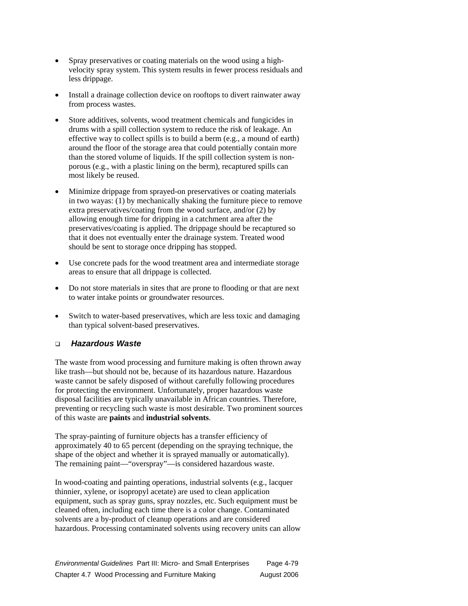- Spray preservatives or coating materials on the wood using a highvelocity spray system. This system results in fewer process residuals and less drippage.
- Install a drainage collection device on rooftops to divert rainwater away from process wastes.
- Store additives, solvents, wood treatment chemicals and fungicides in drums with a spill collection system to reduce the risk of leakage. An effective way to collect spills is to build a berm (e.g., a mound of earth) around the floor of the storage area that could potentially contain more than the stored volume of liquids. If the spill collection system is nonporous (e.g., with a plastic lining on the berm), recaptured spills can most likely be reused.
- Minimize drippage from sprayed-on preservatives or coating materials in two wayas: (1) by mechanically shaking the furniture piece to remove extra preservatives/coating from the wood surface, and/or (2) by allowing enough time for dripping in a catchment area after the preservatives/coating is applied. The drippage should be recaptured so that it does not eventually enter the drainage system. Treated wood should be sent to storage once dripping has stopped.
- Use concrete pads for the wood treatment area and intermediate storage areas to ensure that all drippage is collected.
- Do not store materials in sites that are prone to flooding or that are next to water intake points or groundwater resources.
- Switch to water-based preservatives, which are less toxic and damaging than typical solvent-based preservatives.

## *Hazardous Waste*

The waste from wood processing and furniture making is often thrown away like trash—but should not be, because of its hazardous nature. Hazardous waste cannot be safely disposed of without carefully following procedures for protecting the environment. Unfortunately, proper hazardous waste disposal facilities are typically unavailable in African countries. Therefore, preventing or recycling such waste is most desirable. Two prominent sources of this waste are **paints** and **industrial solvents**.

The spray-painting of furniture objects has a transfer efficiency of approximately 40 to 65 percent (depending on the spraying technique, the shape of the object and whether it is sprayed manually or automatically). The remaining paint—"overspray"—is considered hazardous waste.

In wood-coating and painting operations, industrial solvents (e.g., lacquer thinnier, xylene, or isopropyl acetate) are used to clean application equipment, such as spray guns, spray nozzles, etc. Such equipment must be cleaned often, including each time there is a color change. Contaminated solvents are a by-product of cleanup operations and are considered hazardous. Processing contaminated solvents using recovery units can allow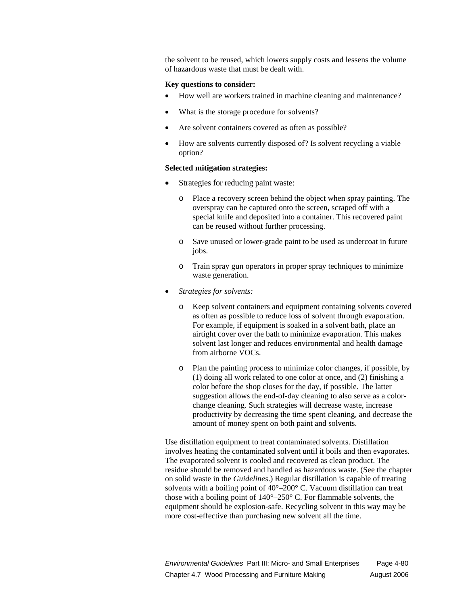the solvent to be reused, which lowers supply costs and lessens the volume of hazardous waste that must be dealt with.

#### **Key questions to consider:**

- How well are workers trained in machine cleaning and maintenance?
- What is the storage procedure for solvents?
- Are solvent containers covered as often as possible?
- How are solvents currently disposed of? Is solvent recycling a viable option?

#### **Selected mitigation strategies:**

- Strategies for reducing paint waste:
	- o Place a recovery screen behind the object when spray painting. The overspray can be captured onto the screen, scraped off with a special knife and deposited into a container. This recovered paint can be reused without further processing.
	- o Save unused or lower-grade paint to be used as undercoat in future jobs.
	- o Train spray gun operators in proper spray techniques to minimize waste generation.
- *Strategies for solvents:*
	- o Keep solvent containers and equipment containing solvents covered as often as possible to reduce loss of solvent through evaporation. For example, if equipment is soaked in a solvent bath, place an airtight cover over the bath to minimize evaporation. This makes solvent last longer and reduces environmental and health damage from airborne VOCs.
	- o Plan the painting process to minimize color changes, if possible, by (1) doing all work related to one color at once, and (2) finishing a color before the shop closes for the day, if possible. The latter suggestion allows the end-of-day cleaning to also serve as a colorchange cleaning. Such strategies will decrease waste, increase productivity by decreasing the time spent cleaning, and decrease the amount of money spent on both paint and solvents.

Use distillation equipment to treat contaminated solvents. Distillation involves heating the contaminated solvent until it boils and then evaporates. The evaporated solvent is cooled and recovered as clean product. The residue should be removed and handled as hazardous waste. (See the chapter on solid waste in the *Guidelines*.) Regular distillation is capable of treating solvents with a boiling point of  $40^{\circ}$ –200 $^{\circ}$  C. Vacuum distillation can treat those with a boiling point of  $140^{\circ} - 250^{\circ}$  C. For flammable solvents, the equipment should be explosion-safe. Recycling solvent in this way may be more cost-effective than purchasing new solvent all the time.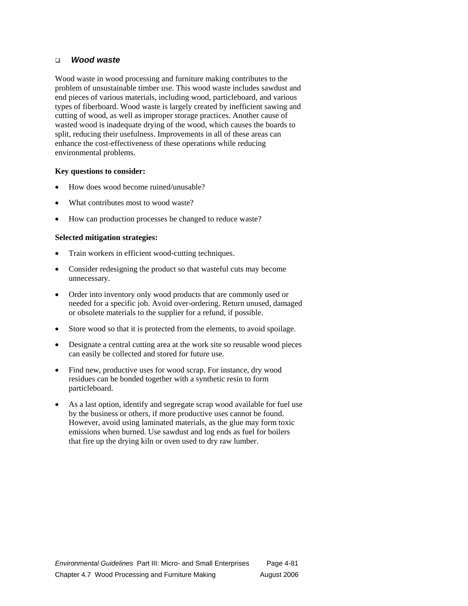#### *Wood waste*

Wood waste in wood processing and furniture making contributes to the problem of unsustainable timber use. This wood waste includes sawdust and end pieces of various materials, including wood, particleboard, and various types of fiberboard. Wood waste is largely created by inefficient sawing and cutting of wood, as well as improper storage practices. Another cause of wasted wood is inadequate drying of the wood, which causes the boards to split, reducing their usefulness. Improvements in all of these areas can enhance the cost-effectiveness of these operations while reducing environmental problems.

#### **Key questions to consider:**

- How does wood become ruined/unusable?
- What contributes most to wood waste?
- How can production processes be changed to reduce waste?

#### **Selected mitigation strategies:**

- Train workers in efficient wood-cutting techniques.
- Consider redesigning the product so that wasteful cuts may become unnecessary.
- Order into inventory only wood products that are commonly used or needed for a specific job. Avoid over-ordering. Return unused, damaged or obsolete materials to the supplier for a refund, if possible.
- Store wood so that it is protected from the elements, to avoid spoilage.
- Designate a central cutting area at the work site so reusable wood pieces can easily be collected and stored for future use.
- Find new, productive uses for wood scrap. For instance, dry wood residues can be bonded together with a synthetic resin to form particleboard.
- As a last option, identify and segregate scrap wood available for fuel use by the business or others, if more productive uses cannot be found. However, avoid using laminated materials, as the glue may form toxic emissions when burned. Use sawdust and log ends as fuel for boilers that fire up the drying kiln or oven used to dry raw lumber.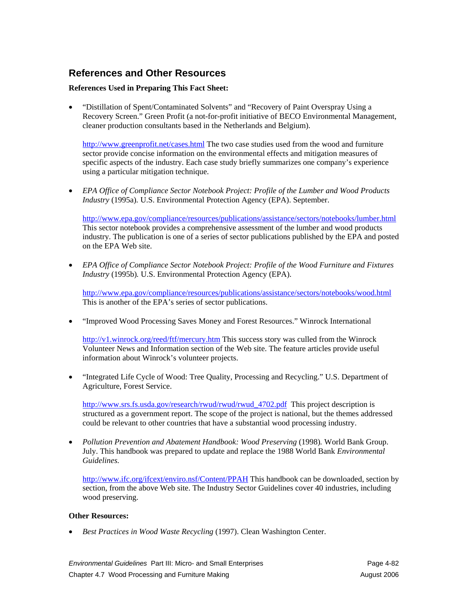## **References and Other Resources**

### **References Used in Preparing This Fact Sheet:**

• "Distillation of Spent/Contaminated Solvents" and "Recovery of Paint Overspray Using a Recovery Screen." Green Profit (a not-for-profit initiative of BECO Environmental Management, cleaner production consultants based in the Netherlands and Belgium).

http://www.greenprofit.net/cases.html The two case studies used from the wood and furniture sector provide concise information on the environmental effects and mitigation measures of specific aspects of the industry. Each case study briefly summarizes one company's experience using a particular mitigation technique.

• *EPA Office of Compliance Sector Notebook Project: Profile of the Lumber and Wood Products Industry* (1995a)*.* U.S. Environmental Protection Agency (EPA). September.

http://www.epa.gov/compliance/resources/publications/assistance/sectors/notebooks/lumber.html This sector notebook provides a comprehensive assessment of the lumber and wood products industry. The publication is one of a series of sector publications published by the EPA and posted on the EPA Web site.

• *EPA Office of Compliance Sector Notebook Project: Profile of the Wood Furniture and Fixtures Industry* (1995b)*.* U.S. Environmental Protection Agency (EPA).

http://www.epa.gov/compliance/resources/publications/assistance/sectors/notebooks/wood.html This is another of the EPA's series of sector publications.

• "Improved Wood Processing Saves Money and Forest Resources." Winrock International

http://v1.winrock.org/reed/ftf/mercury.htm This success story was culled from the Winrock Volunteer News and Information section of the Web site. The feature articles provide useful information about Winrock's volunteer projects.

• "Integrated Life Cycle of Wood: Tree Quality, Processing and Recycling." U.S. Department of Agriculture, Forest Service.

http://www.srs.fs.usda.gov/research/rwud/rwud/rwud\_4702.pdf This project description is structured as a government report. The scope of the project is national, but the themes addressed could be relevant to other countries that have a substantial wood processing industry.

• *Pollution Prevention and Abatement Handbook: Wood Preserving (1998).* World Bank Group. July. This handbook was prepared to update and replace the 1988 World Bank *Environmental Guidelines.*

http://www.ifc.org/ifcext/enviro.nsf/Content/PPAH This handbook can be downloaded, section by section, from the above Web site. The Industry Sector Guidelines cover 40 industries, including wood preserving.

### **Other Resources:**

• *Best Practices in Wood Waste Recycling* (1997). Clean Washington Center.